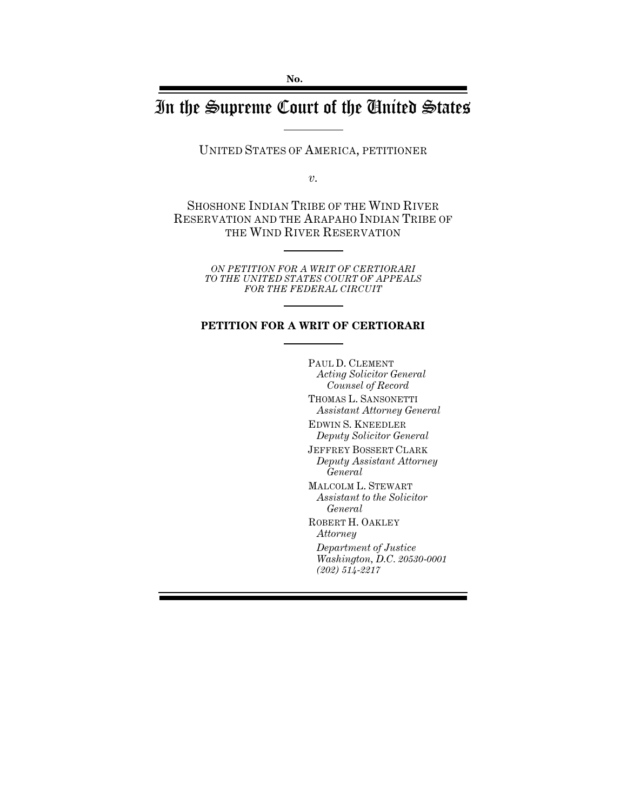# In the Supreme Court of the United States

UNITED STATES OF AMERICA, PETITIONER

*v.*

SHOSHONE INDIAN TRIBE OF THE WIND RIVER RESERVATION AND THE ARAPAHO INDIAN TRIBE OF THE WIND RIVER RESERVATION

> *ON PETITION FOR A WRIT OF CERTIORARI TO THE UNITED STATES COURT OF APPEALS FOR THE FEDERAL CIRCUIT*

#### **PETITION FOR A WRIT OF CERTIORARI**

PAUL D. CLEMENT *Acting Solicitor General Counsel of Record* THOMAS L. SANSONETTI *Assistant Attorney General*

EDWIN S. KNEEDLER *Deputy Solicitor General*

JEFFREY BOSSERT CLARK *Deputy Assistant Attorney General*

MALCOLM L. STEWART *Assistant to the Solicitor General*

ROBERT H. OAKLEY *Attorney*

*Department of Justice Washington, D.C. 20530-0001 (202) 514-2217*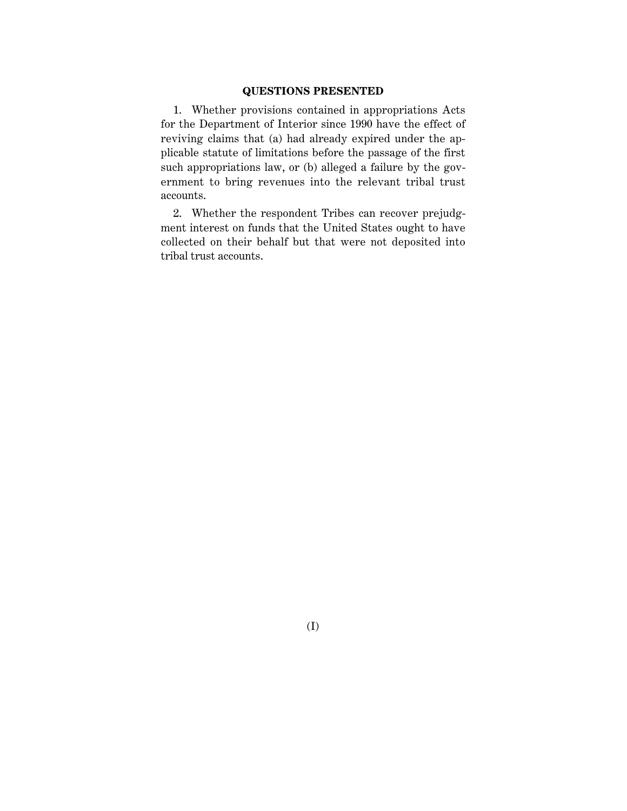#### **QUESTIONS PRESENTED**

1. Whether provisions contained in appropriations Acts for the Department of Interior since 1990 have the effect of reviving claims that (a) had already expired under the applicable statute of limitations before the passage of the first such appropriations law, or (b) alleged a failure by the government to bring revenues into the relevant tribal trust accounts.

2. Whether the respondent Tribes can recover prejudgment interest on funds that the United States ought to have collected on their behalf but that were not deposited into tribal trust accounts.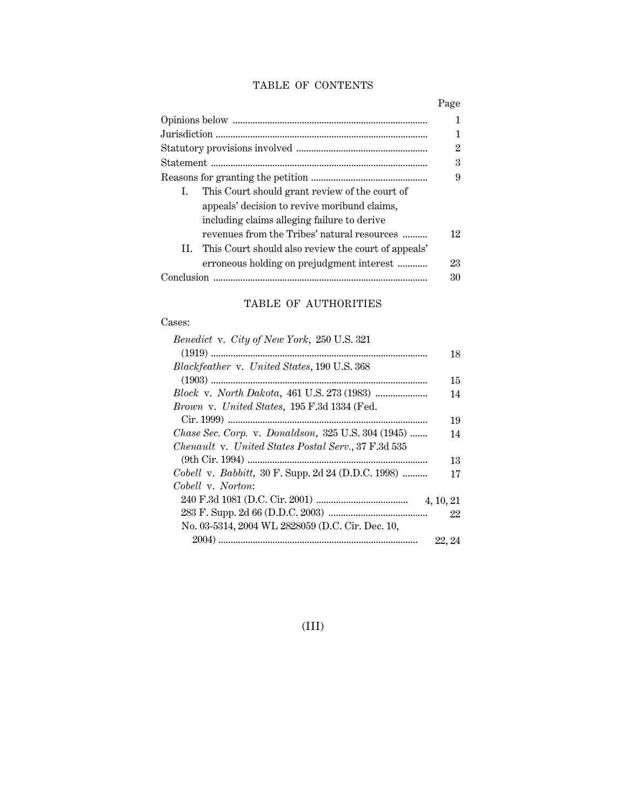## TABLE OF CONTENTS

|    |                                                     | 1  |
|----|-----------------------------------------------------|----|
|    |                                                     | 2  |
|    |                                                     | 3  |
|    |                                                     | 9  |
| L. | This Court should grant review of the court of      |    |
|    | appeals' decision to revive moribund claims,        |    |
|    | including claims alleging failure to derive         |    |
|    | revenues from the Tribes' natural resources         | 12 |
| Н. | This Court should also review the court of appeals' |    |
|    | erroneous holding on prejudgment interest           | 23 |
|    |                                                     | 30 |
|    |                                                     |    |

## TABLE OF AUTHORITIES

## Cases:

| Benedict v. City of New York, 250 U.S. 321          |           |
|-----------------------------------------------------|-----------|
|                                                     | 18        |
| Blackfeather v. United States, 190 U.S. 368         |           |
|                                                     | 15        |
|                                                     | 14        |
| Brown v. United States, 195 F.3d 1334 (Fed.         |           |
|                                                     | 19        |
| Chase Sec. Corp. v. Donaldson, 325 U.S. 304 (1945)  | 14        |
| Chenault v. United States Postal Serv., 37 F.3d 535 |           |
|                                                     | 13        |
| Cobell v. Babbitt, 30 F. Supp. 2d 24 (D.D.C. 1998)  | 17        |
| Cobell v. Norton:                                   |           |
|                                                     | 4, 10, 21 |
|                                                     | 22        |
| No. 03-5314, 2004 WL 2828059 (D.C. Cir. Dec. 10,    |           |
|                                                     | 22.24     |

(III)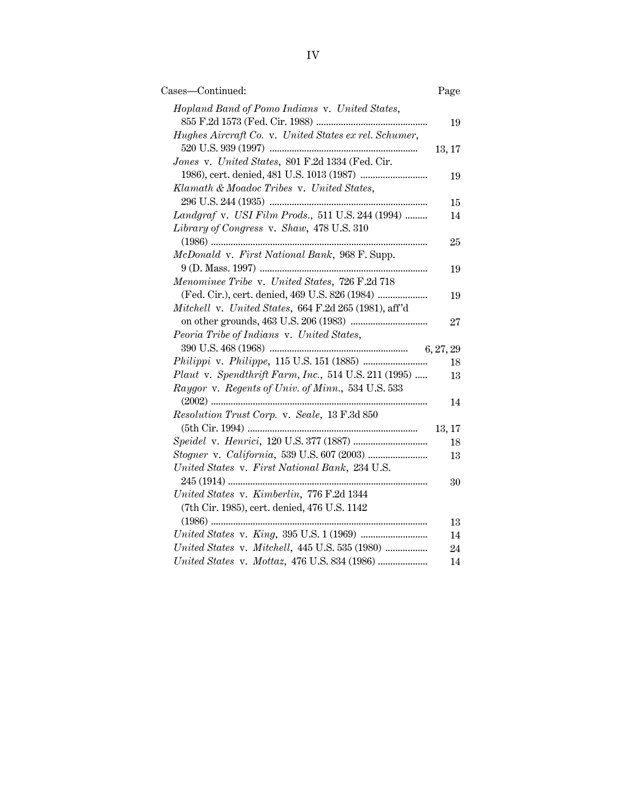| Cases—Continued:                                      | Page   |
|-------------------------------------------------------|--------|
| Hopland Band of Pomo Indians v. United States,        |        |
|                                                       | 19     |
| Hughes Aircraft Co. v. United States ex rel. Schumer, |        |
|                                                       | 13, 17 |
| Jones v. United States, 801 F.2d 1334 (Fed. Cir.      |        |
|                                                       | 19     |
| Klamath & Moadoc Tribes v. United States,             |        |
|                                                       | 15     |
| Landgraf v. USI Film Prods., 511 U.S. 244 (1994)      | 14     |
| Library of Congress v. Shaw, 478 U.S. 310             |        |
| .                                                     | 25     |
| McDonald v. First National Bank, 968 F. Supp.         |        |
|                                                       | 19     |
| Menominee Tribe v. United States, 726 F.2d 718        |        |
| (Fed. Cir.), cert. denied, 469 U.S. 826 (1984)        | 19     |
| Mitchell v. United States, 664 F.2d 265 (1981), aff'd |        |
|                                                       | 27     |
| Peoria Tribe of Indians v. United States,             |        |
|                                                       |        |
|                                                       | 18     |
| Plaut v. Spendthrift Farm, Inc., 514 U.S. 211 (1995)  | 13     |
| Raygor v. Regents of Univ. of Minn., 534 U.S. 533     |        |
| .                                                     | 14     |
| Resolution Trust Corp. v. Seale, 13 F.3d 850          |        |
|                                                       | 13, 17 |
|                                                       | 18     |
|                                                       | 13     |
| United States v. First National Bank, 234 U.S.        |        |
|                                                       | 30     |
| United States v. Kimberlin, 776 F.2d 1344             |        |
| (7th Cir. 1985), cert. denied, 476 U.S. 1142          |        |
|                                                       | 13     |
|                                                       | 14     |
| United States v. Mitchell, 445 U.S. 535 (1980)        | 24     |
|                                                       | 14     |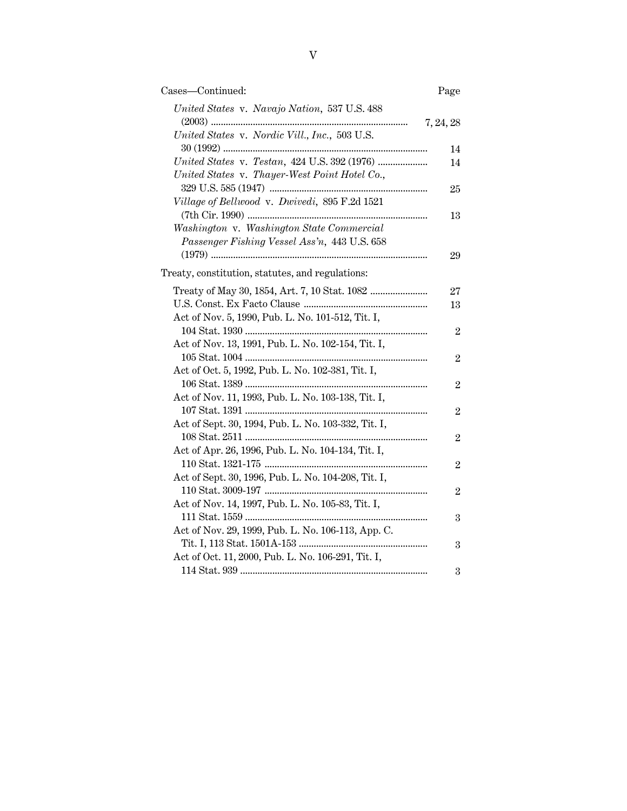| Cases-Continued:                                    | Page           |
|-----------------------------------------------------|----------------|
| United States v. Navajo Nation, 537 U.S. 488        |                |
|                                                     | 7, 24, 28      |
| United States v. Nordic Vill., Inc., 503 U.S.       |                |
|                                                     | 14             |
| United States v. Testan, 424 U.S. 392 (1976)        | 14             |
| United States v. Thayer-West Point Hotel Co.,       |                |
|                                                     | 25             |
| Village of Bellwood v. Dwivedi, 895 F.2d 1521       |                |
|                                                     | 13             |
| Washington v. Washington State Commercial           |                |
| Passenger Fishing Vessel Ass'n, 443 U.S. 658        |                |
|                                                     | 29             |
|                                                     |                |
| Treaty, constitution, statutes, and regulations:    |                |
|                                                     | 27             |
|                                                     | 13             |
| Act of Nov. 5, 1990, Pub. L. No. 101-512, Tit. I,   |                |
|                                                     | $\overline{2}$ |
| Act of Nov. 13, 1991, Pub. L. No. 102-154, Tit. I,  |                |
|                                                     | $\overline{2}$ |
| Act of Oct. 5, 1992, Pub. L. No. 102-381, Tit. I,   |                |
|                                                     | $\overline{2}$ |
| Act of Nov. 11, 1993, Pub. L. No. 103-138, Tit. I,  |                |
|                                                     | $\overline{2}$ |
| Act of Sept. 30, 1994, Pub. L. No. 103-332, Tit. I, |                |
|                                                     | $\overline{2}$ |
| Act of Apr. 26, 1996, Pub. L. No. 104-134, Tit. I,  |                |
|                                                     | $\overline{2}$ |
| Act of Sept. 30, 1996, Pub. L. No. 104-208, Tit. I, |                |
|                                                     | $\overline{2}$ |
| Act of Nov. 14, 1997, Pub. L. No. 105-83, Tit. I,   |                |
|                                                     | 3              |
| Act of Nov. 29, 1999, Pub. L. No. 106-113, App. C.  |                |
|                                                     | 3              |
| Act of Oct. 11, 2000, Pub. L. No. 106-291, Tit. I,  |                |
|                                                     | 3              |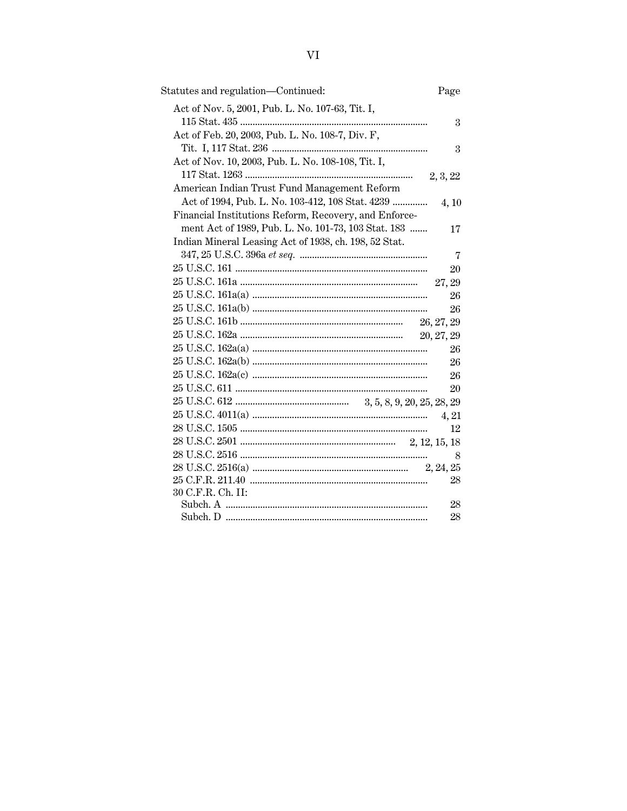| Statutes and regulation-Continued:                    | Page           |
|-------------------------------------------------------|----------------|
| Act of Nov. 5, 2001, Pub. L. No. 107-63, Tit. I,      |                |
|                                                       | 3              |
| Act of Feb. 20, 2003, Pub. L. No. 108-7, Div. F,      |                |
|                                                       | 3              |
| Act of Nov. 10, 2003, Pub. L. No. 108-108, Tit. I,    |                |
|                                                       | 2, 3, 22       |
| American Indian Trust Fund Management Reform          |                |
| Act of 1994, Pub. L. No. 103-412, 108 Stat. 4239      | 4,10           |
| Financial Institutions Reform, Recovery, and Enforce- |                |
| ment Act of 1989, Pub. L. No. 101-73, 103 Stat. 183   | 17             |
| Indian Mineral Leasing Act of 1938, ch. 198, 52 Stat. |                |
|                                                       | $\overline{7}$ |
|                                                       | 20             |
|                                                       | 27, 29         |
|                                                       | 26             |
|                                                       | 26             |
|                                                       | 26, 27, 29     |
|                                                       | 20, 27, 29     |
|                                                       | 26             |
|                                                       | 26             |
|                                                       | 26             |
|                                                       | 20             |
|                                                       |                |
|                                                       | 4, 21          |
|                                                       | 12             |
|                                                       |                |
|                                                       | 8              |
|                                                       |                |
|                                                       | 28             |
| 30 C.F.R. Ch. II:                                     |                |
|                                                       | 28             |
|                                                       | 28             |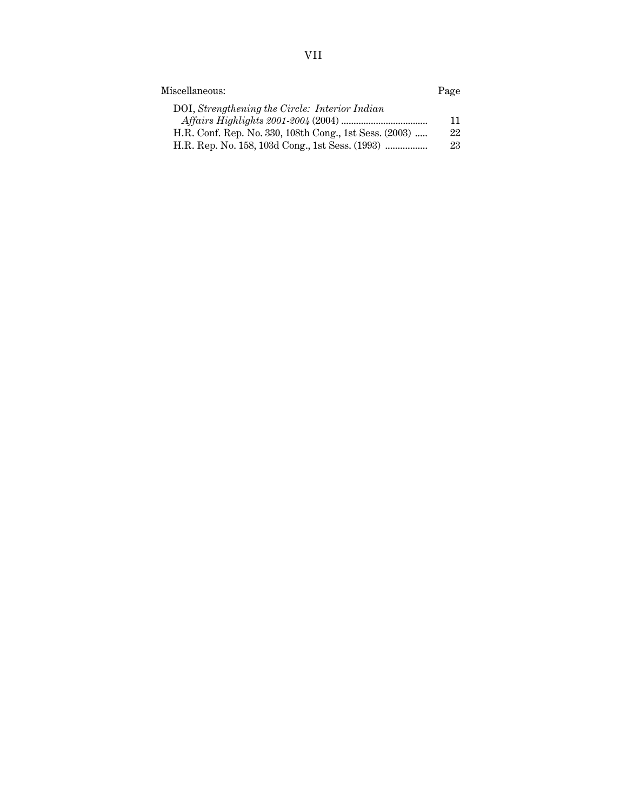| Miscellaneous:                                         |    |
|--------------------------------------------------------|----|
| DOI, Strengthening the Circle: Interior Indian         |    |
|                                                        | 11 |
| H.R. Conf. Rep. No. 330, 108th Cong., 1st Sess. (2003) | 22 |
|                                                        | 23 |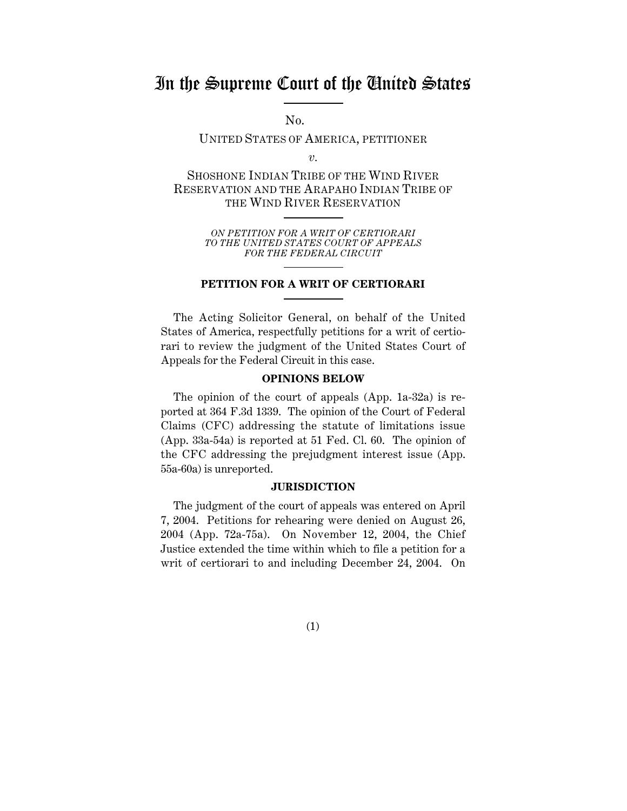## In the Supreme Court of the United States

No.

UNITED STATES OF AMERICA, PETITIONER

*v.*

SHOSHONE INDIAN TRIBE OF THE WIND RIVER RESERVATION AND THE ARAPAHO INDIAN TRIBE OF THE WIND RIVER RESERVATION

> *ON PETITION FOR A WRIT OF CERTIORARI TO THE UNITED STATES COURT OF APPEALS FOR THE FEDERAL CIRCUIT*

#### **PETITION FOR A WRIT OF CERTIORARI**

The Acting Solicitor General, on behalf of the United States of America, respectfully petitions for a writ of certiorari to review the judgment of the United States Court of Appeals for the Federal Circuit in this case.

#### **OPINIONS BELOW**

The opinion of the court of appeals (App. 1a-32a) is reported at 364 F.3d 1339. The opinion of the Court of Federal Claims (CFC) addressing the statute of limitations issue (App. 33a-54a) is reported at 51 Fed. Cl. 60. The opinion of the CFC addressing the prejudgment interest issue (App. 55a-60a) is unreported.

#### **JURISDICTION**

The judgment of the court of appeals was entered on April 7, 2004. Petitions for rehearing were denied on August 26, 2004 (App. 72a-75a). On November 12, 2004, the Chief Justice extended the time within which to file a petition for a writ of certiorari to and including December 24, 2004. On

(1)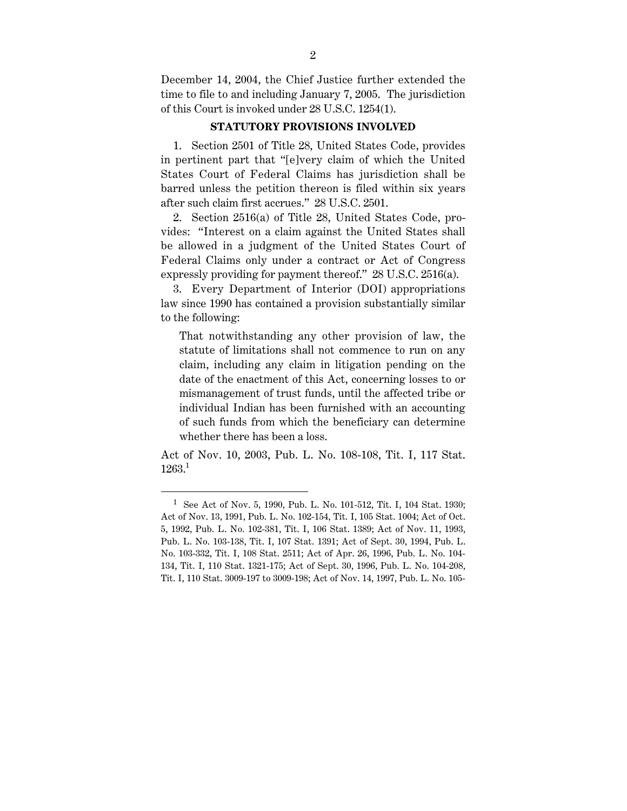December 14, 2004, the Chief Justice further extended the time to file to and including January 7, 2005. The jurisdiction of this Court is invoked under 28 U.S.C. 1254(1).

#### **STATUTORY PROVISIONS INVOLVED**

1. Section 2501 of Title 28, United States Code, provides in pertinent part that "[e]very claim of which the United States Court of Federal Claims has jurisdiction shall be barred unless the petition thereon is filed within six years after such claim first accrues." 28 U.S.C. 2501.

2. Section 2516(a) of Title 28, United States Code, provides: "Interest on a claim against the United States shall be allowed in a judgment of the United States Court of Federal Claims only under a contract or Act of Congress expressly providing for payment thereof." 28 U.S.C. 2516(a).

3. Every Department of Interior (DOI) appropriations law since 1990 has contained a provision substantially similar to the following:

That notwithstanding any other provision of law, the statute of limitations shall not commence to run on any claim, including any claim in litigation pending on the date of the enactment of this Act, concerning losses to or mismanagement of trust funds, until the affected tribe or individual Indian has been furnished with an accounting of such funds from which the beneficiary can determine whether there has been a loss.

Act of Nov. 10, 2003, Pub. L. No. 108-108, Tit. I, 117 Stat. 1263.1

<sup>1</sup> See Act of Nov. 5, 1990, Pub. L. No. 101-512, Tit. I, 104 Stat. 1930; Act of Nov. 13, 1991, Pub. L. No. 102-154, Tit. I, 105 Stat. 1004; Act of Oct. 5, 1992, Pub. L. No. 102-381, Tit. I, 106 Stat. 1389; Act of Nov. 11, 1993, Pub. L. No. 103-138, Tit. I, 107 Stat. 1391; Act of Sept. 30, 1994, Pub. L. No. 103-332, Tit. I, 108 Stat. 2511; Act of Apr. 26, 1996, Pub. L. No. 104- 134, Tit. I, 110 Stat. 1321-175; Act of Sept. 30, 1996, Pub. L. No. 104-208, Tit. I, 110 Stat. 3009-197 to 3009-198; Act of Nov. 14, 1997, Pub. L. No. 105-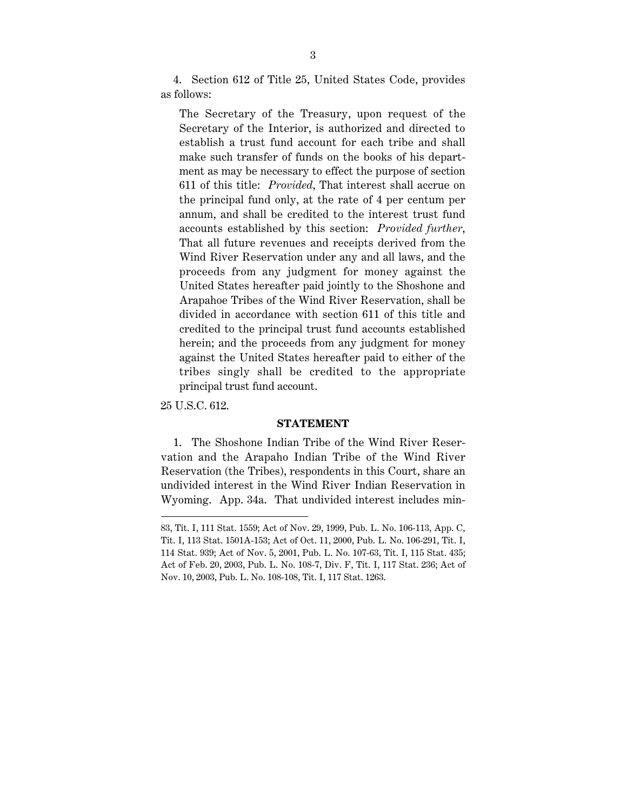4. Section 612 of Title 25, United States Code, provides as follows:

The Secretary of the Treasury, upon request of the Secretary of the Interior, is authorized and directed to establish a trust fund account for each tribe and shall make such transfer of funds on the books of his department as may be necessary to effect the purpose of section 611 of this title: *Provided*, That interest shall accrue on the principal fund only, at the rate of 4 per centum per annum, and shall be credited to the interest trust fund accounts established by this section: *Provided further*, That all future revenues and receipts derived from the Wind River Reservation under any and all laws, and the proceeds from any judgment for money against the United States hereafter paid jointly to the Shoshone and Arapahoe Tribes of the Wind River Reservation, shall be divided in accordance with section 611 of this title and credited to the principal trust fund accounts established herein; and the proceeds from any judgment for money against the United States hereafter paid to either of the tribes singly shall be credited to the appropriate principal trust fund account.

25 U.S.C. 612.

 $\overline{a}$ 

#### **STATEMENT**

1. The Shoshone Indian Tribe of the Wind River Reservation and the Arapaho Indian Tribe of the Wind River Reservation (the Tribes), respondents in this Court, share an undivided interest in the Wind River Indian Reservation in Wyoming. App. 34a. That undivided interest includes min-

<sup>83,</sup> Tit. I, 111 Stat. 1559; Act of Nov. 29, 1999, Pub. L. No. 106-113, App. C, Tit. I, 113 Stat. 1501A-153; Act of Oct. 11, 2000, Pub. L. No. 106-291, Tit. I, 114 Stat. 939; Act of Nov. 5, 2001, Pub. L. No. 107-63, Tit. I, 115 Stat. 435; Act of Feb. 20, 2003, Pub. L. No. 108-7, Div. F, Tit. I, 117 Stat. 236; Act of Nov. 10, 2003, Pub. L. No. 108-108, Tit. I, 117 Stat. 1263.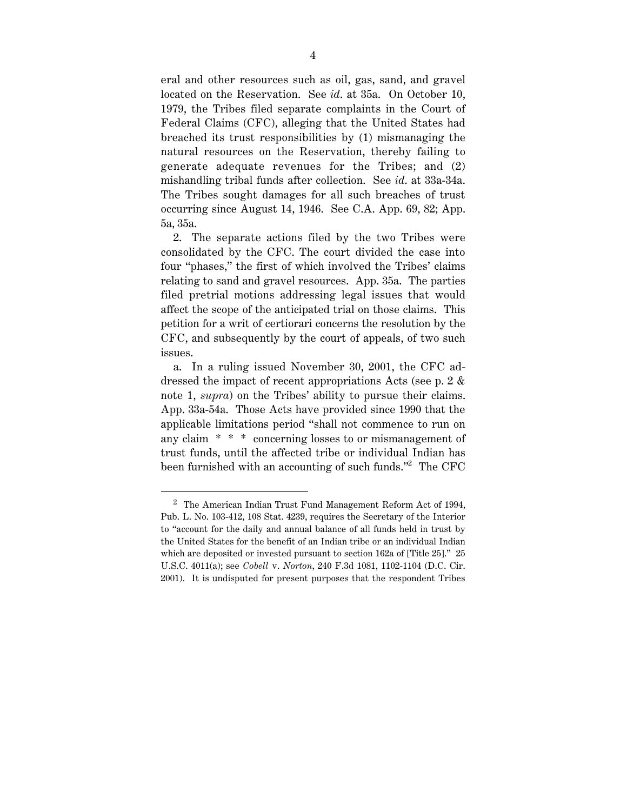eral and other resources such as oil, gas, sand, and gravel located on the Reservation. See *id*. at 35a. On October 10, 1979, the Tribes filed separate complaints in the Court of Federal Claims (CFC), alleging that the United States had breached its trust responsibilities by (1) mismanaging the natural resources on the Reservation, thereby failing to generate adequate revenues for the Tribes; and (2) mishandling tribal funds after collection. See *id*. at 33a-34a. The Tribes sought damages for all such breaches of trust occurring since August 14, 1946. See C.A. App. 69, 82; App. 5a, 35a.

2. The separate actions filed by the two Tribes were consolidated by the CFC. The court divided the case into four "phases," the first of which involved the Tribes' claims relating to sand and gravel resources. App. 35a. The parties filed pretrial motions addressing legal issues that would affect the scope of the anticipated trial on those claims. This petition for a writ of certiorari concerns the resolution by the CFC, and subsequently by the court of appeals, of two such issues.

a. In a ruling issued November 30, 2001, the CFC addressed the impact of recent appropriations Acts (see p. 2 & note 1, *supra*) on the Tribes' ability to pursue their claims. App. 33a-54a. Those Acts have provided since 1990 that the applicable limitations period "shall not commence to run on any claim \* \* \* concerning losses to or mismanagement of trust funds, until the affected tribe or individual Indian has been furnished with an accounting of such funds."<sup>2</sup> The CFC

<sup>2</sup> The American Indian Trust Fund Management Reform Act of 1994, Pub. L. No. 103-412, 108 Stat. 4239, requires the Secretary of the Interior to "account for the daily and annual balance of all funds held in trust by the United States for the benefit of an Indian tribe or an individual Indian which are deposited or invested pursuant to section 162a of [Title 25]." 25 U.S.C. 4011(a); see *Cobell* v. *Norton*, 240 F.3d 1081, 1102-1104 (D.C. Cir. 2001). It is undisputed for present purposes that the respondent Tribes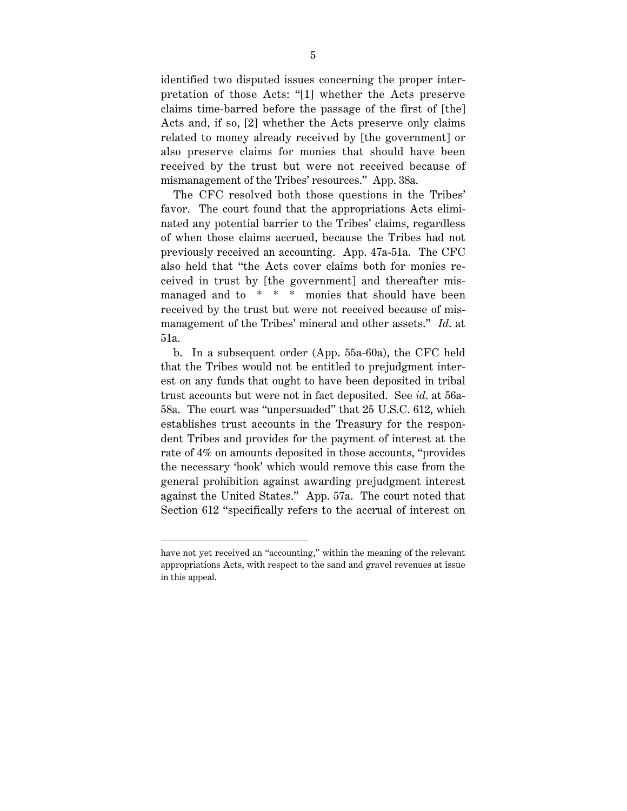identified two disputed issues concerning the proper interpretation of those Acts: "[1] whether the Acts preserve claims time-barred before the passage of the first of [the] Acts and, if so, [2] whether the Acts preserve only claims related to money already received by [the government] or also preserve claims for monies that should have been received by the trust but were not received because of mismanagement of the Tribes' resources." App. 38a.

The CFC resolved both those questions in the Tribes' favor. The court found that the appropriations Acts eliminated any potential barrier to the Tribes' claims, regardless of when those claims accrued, because the Tribes had not previously received an accounting. App. 47a-51a. The CFC also held that "the Acts cover claims both for monies received in trust by [the government] and thereafter mismanaged and to \* \* \* monies that should have been received by the trust but were not received because of mismanagement of the Tribes' mineral and other assets." *Id*. at 51a.

b. In a subsequent order (App. 55a-60a), the CFC held that the Tribes would not be entitled to prejudgment interest on any funds that ought to have been deposited in tribal trust accounts but were not in fact deposited. See *id*. at 56a-58a. The court was "unpersuaded" that 25 U.S.C. 612, which establishes trust accounts in the Treasury for the respondent Tribes and provides for the payment of interest at the rate of 4% on amounts deposited in those accounts, "provides the necessary 'hook' which would remove this case from the general prohibition against awarding prejudgment interest against the United States." App. 57a. The court noted that Section 612 "specifically refers to the accrual of interest on

have not yet received an "accounting," within the meaning of the relevant appropriations Acts, with respect to the sand and gravel revenues at issue in this appeal.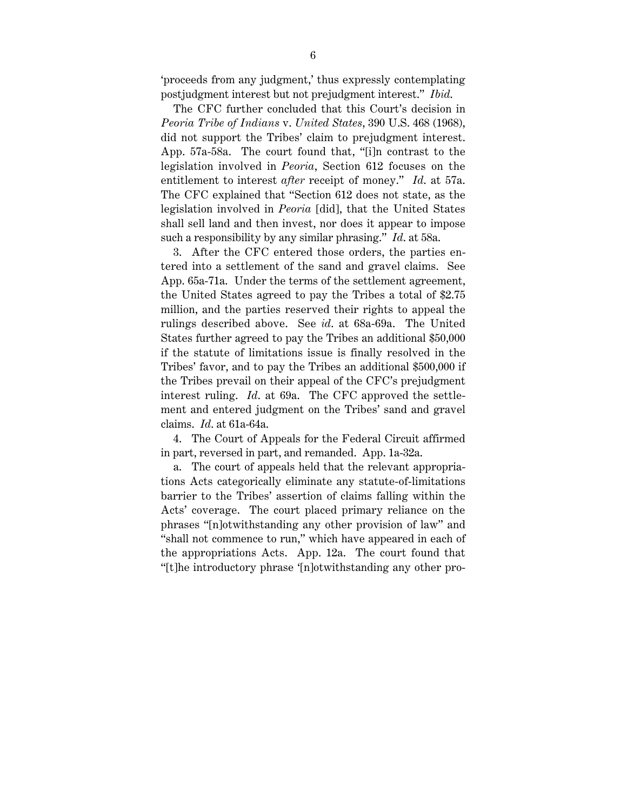'proceeds from any judgment,' thus expressly contemplating postjudgment interest but not prejudgment interest." *Ibid*.

The CFC further concluded that this Court's decision in *Peoria Tribe of Indians* v. *United States*, 390 U.S. 468 (1968), did not support the Tribes' claim to prejudgment interest. App. 57a-58a. The court found that, "[i]n contrast to the legislation involved in *Peoria*, Section 612 focuses on the entitlement to interest *after* receipt of money." *Id*. at 57a. The CFC explained that "Section 612 does not state, as the legislation involved in *Peoria* [did], that the United States shall sell land and then invest, nor does it appear to impose such a responsibility by any similar phrasing." *Id*. at 58a.

3. After the CFC entered those orders, the parties entered into a settlement of the sand and gravel claims. See App. 65a-71a. Under the terms of the settlement agreement, the United States agreed to pay the Tribes a total of \$2.75 million, and the parties reserved their rights to appeal the rulings described above. See *id*. at 68a-69a. The United States further agreed to pay the Tribes an additional \$50,000 if the statute of limitations issue is finally resolved in the Tribes' favor, and to pay the Tribes an additional \$500,000 if the Tribes prevail on their appeal of the CFC's prejudgment interest ruling. *Id*. at 69a. The CFC approved the settlement and entered judgment on the Tribes' sand and gravel claims. *Id*. at 61a-64a.

4. The Court of Appeals for the Federal Circuit affirmed in part, reversed in part, and remanded. App. 1a-32a.

a. The court of appeals held that the relevant appropriations Acts categorically eliminate any statute-of-limitations barrier to the Tribes' assertion of claims falling within the Acts' coverage. The court placed primary reliance on the phrases "[n]otwithstanding any other provision of law" and "shall not commence to run," which have appeared in each of the appropriations Acts. App. 12a. The court found that "[t]he introductory phrase '[n]otwithstanding any other pro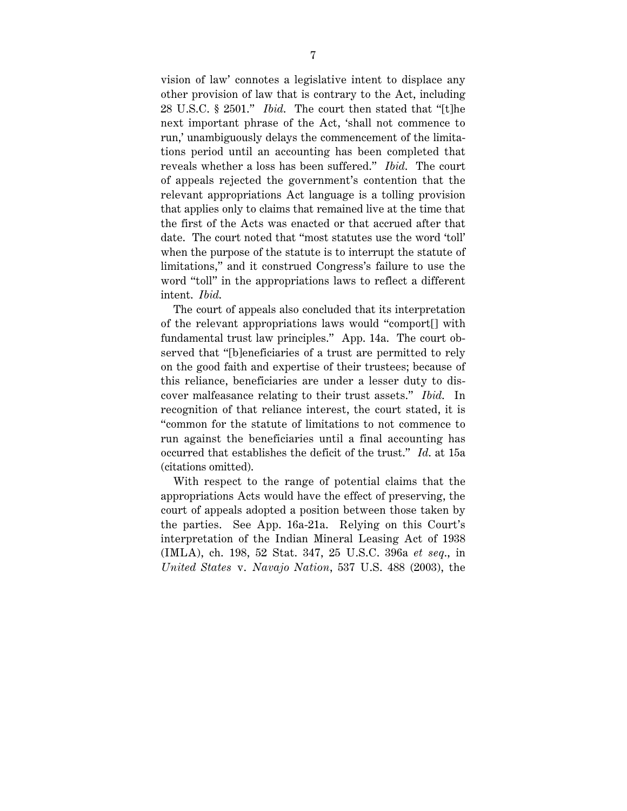vision of law' connotes a legislative intent to displace any other provision of law that is contrary to the Act, including 28 U.S.C. § 2501." *Ibid*. The court then stated that "[t]he next important phrase of the Act, 'shall not commence to run,' unambiguously delays the commencement of the limitations period until an accounting has been completed that reveals whether a loss has been suffered." *Ibid*. The court of appeals rejected the government's contention that the relevant appropriations Act language is a tolling provision that applies only to claims that remained live at the time that the first of the Acts was enacted or that accrued after that date. The court noted that "most statutes use the word 'toll' when the purpose of the statute is to interrupt the statute of limitations," and it construed Congress's failure to use the word "toll" in the appropriations laws to reflect a different intent. *Ibid*.

The court of appeals also concluded that its interpretation of the relevant appropriations laws would "comport[] with fundamental trust law principles." App. 14a. The court observed that "[b]eneficiaries of a trust are permitted to rely on the good faith and expertise of their trustees; because of this reliance, beneficiaries are under a lesser duty to discover malfeasance relating to their trust assets." *Ibid*. In recognition of that reliance interest, the court stated, it is "common for the statute of limitations to not commence to run against the beneficiaries until a final accounting has occurred that establishes the deficit of the trust." *Id*. at 15a (citations omitted).

With respect to the range of potential claims that the appropriations Acts would have the effect of preserving, the court of appeals adopted a position between those taken by the parties. See App. 16a-21a. Relying on this Court's interpretation of the Indian Mineral Leasing Act of 1938 (IMLA), ch. 198, 52 Stat. 347, 25 U.S.C. 396a *et seq*., in *United States* v. *Navajo Nation*, 537 U.S. 488 (2003), the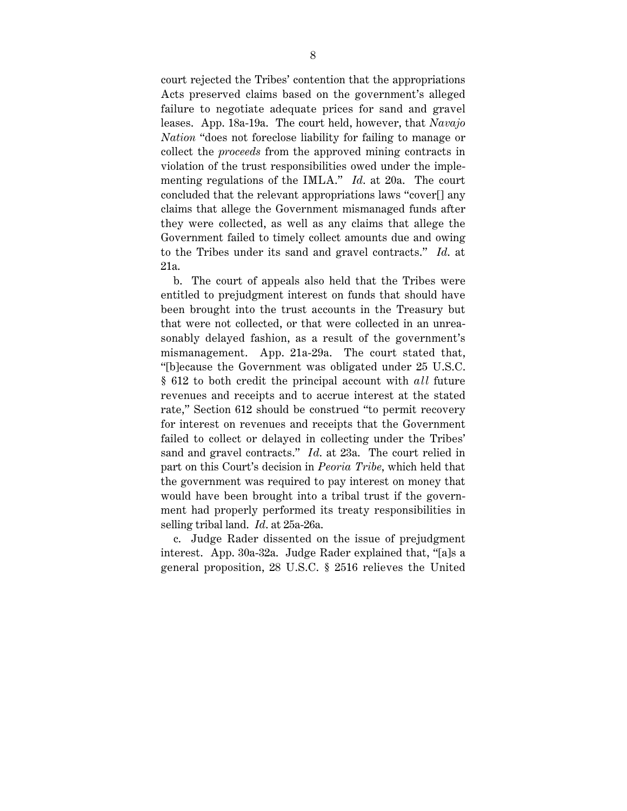court rejected the Tribes' contention that the appropriations Acts preserved claims based on the government's alleged failure to negotiate adequate prices for sand and gravel leases. App. 18a-19a. The court held, however, that *Navajo Nation* "does not foreclose liability for failing to manage or collect the *proceeds* from the approved mining contracts in violation of the trust responsibilities owed under the implementing regulations of the IMLA." *Id*. at 20a. The court concluded that the relevant appropriations laws "cover[] any claims that allege the Government mismanaged funds after they were collected, as well as any claims that allege the Government failed to timely collect amounts due and owing to the Tribes under its sand and gravel contracts." *Id*. at 21a.

b. The court of appeals also held that the Tribes were entitled to prejudgment interest on funds that should have been brought into the trust accounts in the Treasury but that were not collected, or that were collected in an unreasonably delayed fashion, as a result of the government's mismanagement. App. 21a-29a. The court stated that, "[b]ecause the Government was obligated under 25 U.S.C. § 612 to both credit the principal account with *all* future revenues and receipts and to accrue interest at the stated rate," Section 612 should be construed "to permit recovery for interest on revenues and receipts that the Government failed to collect or delayed in collecting under the Tribes' sand and gravel contracts." *Id*. at 23a. The court relied in part on this Court's decision in *Peoria Tribe*, which held that the government was required to pay interest on money that would have been brought into a tribal trust if the government had properly performed its treaty responsibilities in selling tribal land. *Id*. at 25a-26a.

c. Judge Rader dissented on the issue of prejudgment interest. App. 30a-32a. Judge Rader explained that, "[a]s a general proposition, 28 U.S.C. § 2516 relieves the United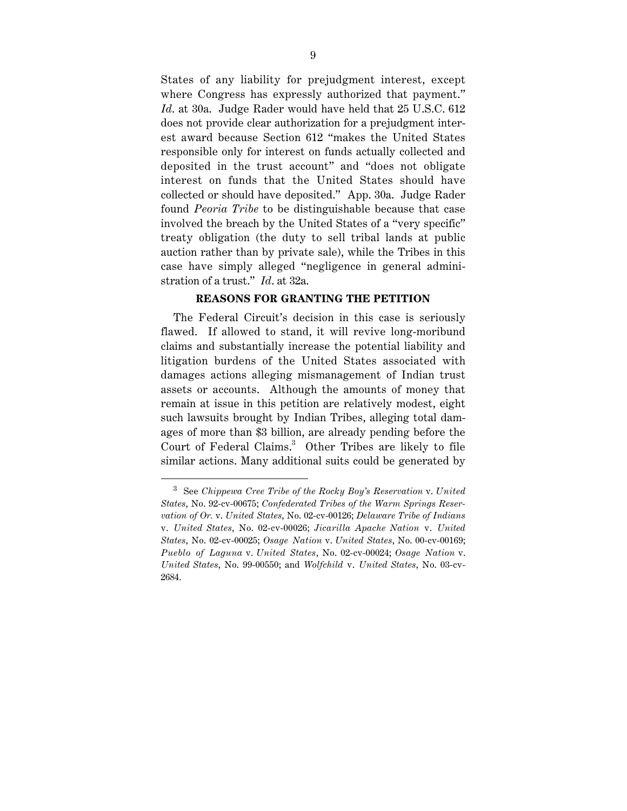States of any liability for prejudgment interest, except where Congress has expressly authorized that payment." *Id*. at 30a. Judge Rader would have held that 25 U.S.C. 612 does not provide clear authorization for a prejudgment interest award because Section 612 "makes the United States responsible only for interest on funds actually collected and deposited in the trust account" and "does not obligate interest on funds that the United States should have collected or should have deposited." App. 30a. Judge Rader found *Peoria Tribe* to be distinguishable because that case involved the breach by the United States of a "very specific" treaty obligation (the duty to sell tribal lands at public auction rather than by private sale), while the Tribes in this case have simply alleged "negligence in general administration of a trust." *Id*. at 32a.

#### **REASONS FOR GRANTING THE PETITION**

The Federal Circuit's decision in this case is seriously flawed. If allowed to stand, it will revive long-moribund claims and substantially increase the potential liability and litigation burdens of the United States associated with damages actions alleging mismanagement of Indian trust assets or accounts. Although the amounts of money that remain at issue in this petition are relatively modest, eight such lawsuits brought by Indian Tribes, alleging total damages of more than \$3 billion, are already pending before the Court of Federal Claims.<sup>3</sup> Other Tribes are likely to file similar actions. Many additional suits could be generated by

 <sup>3</sup> See *Chippewa Cree Tribe of the Rocky Boy's Reservation* v. *United States*, No. 92-cv-00675; *Confederated Tribes of the Warm Springs Reservation of Or.* v. *United States*, No. 02-cv-00126; *Delaware Tribe of Indians* v. *United States*, No. 02-cv-00026; *Jicarilla Apache Nation* v. *United States*, No. 02-cv-00025; *Osage Nation* v. *United States*, No. 00-cv-00169; *Pueblo of Laguna* v. *United States*, No. 02-cv-00024; *Osage Nation* v. *United States*, No. 99-00550; and *Wolfchild* v. *United States*, No. 03-cv-2684.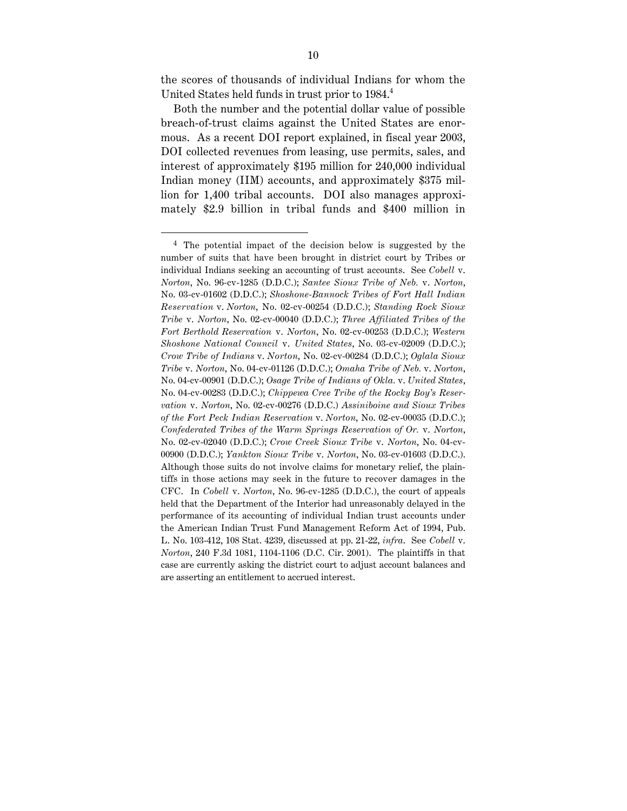the scores of thousands of individual Indians for whom the United States held funds in trust prior to 1984.<sup>4</sup>

Both the number and the potential dollar value of possible breach-of-trust claims against the United States are enormous. As a recent DOI report explained, in fiscal year 2003, DOI collected revenues from leasing, use permits, sales, and interest of approximately \$195 million for 240,000 individual Indian money (IIM) accounts, and approximately \$375 million for 1,400 tribal accounts. DOI also manages approximately \$2.9 billion in tribal funds and \$400 million in

<sup>4</sup> The potential impact of the decision below is suggested by the number of suits that have been brought in district court by Tribes or individual Indians seeking an accounting of trust accounts. See *Cobell* v. *Norton*, No. 96-cv-1285 (D.D.C.); *Santee Sioux Tribe of Neb.* v. *Norton*, No. 03-cv-01602 (D.D.C.); *Shoshone-Bannock Tribes of Fort Hall Indian Reservation* v. *Norton*, No. 02-cv-00254 (D.D.C.); *Standing Rock Sioux Tribe* v. *Norton*, No. 02-cv-00040 (D.D.C.); *Three Affiliated Tribes of the Fort Berthold Reservation* v. *Norton*, No. 02-cv-00253 (D.D.C.); *Western Shoshone National Council* v. *United States*, No. 03-cv-02009 (D.D.C.); *Crow Tribe of Indians* v. *Norton*, No. 02-cv-00284 (D.D.C.); *Oglala Sioux Tribe* v. *Norton*, No. 04-cv-01126 (D.D.C.); *Omaha Tribe of Neb.* v. *Norton*, No. 04-cv-00901 (D.D.C.); *Osage Tribe of Indians of Okla.* v. *United States*, No. 04-cv-00283 (D.D.C.); *Chippewa Cree Tribe of the Rocky Boy's Reservation* v. *Norton*, No. 02-cv-00276 (D.D.C.) *Assiniboine and Sioux Tribes of the Fort Peck Indian Reservation* v. *Norton*, No. 02-cv-00035 (D.D.C.); *Confederated Tribes of the Warm Springs Reservation of Or.* v. *Norton*, No. 02-cv-02040 (D.D.C.); *Crow Creek Sioux Tribe* v. *Norton*, No. 04-cv-00900 (D.D.C.); *Yankton Sioux Tribe* v. *Norton*, No. 03-cv-01603 (D.D.C.). Although those suits do not involve claims for monetary relief, the plaintiffs in those actions may seek in the future to recover damages in the CFC. In *Cobell* v. *Norton*, No. 96-cv-1285 (D.D.C.), the court of appeals held that the Department of the Interior had unreasonably delayed in the performance of its accounting of individual Indian trust accounts under the American Indian Trust Fund Management Reform Act of 1994, Pub. L. No. 103-412, 108 Stat. 4239, discussed at pp. 21-22, *infra*. See *Cobell* v. *Norton*, 240 F.3d 1081, 1104-1106 (D.C. Cir. 2001). The plaintiffs in that case are currently asking the district court to adjust account balances and are asserting an entitlement to accrued interest.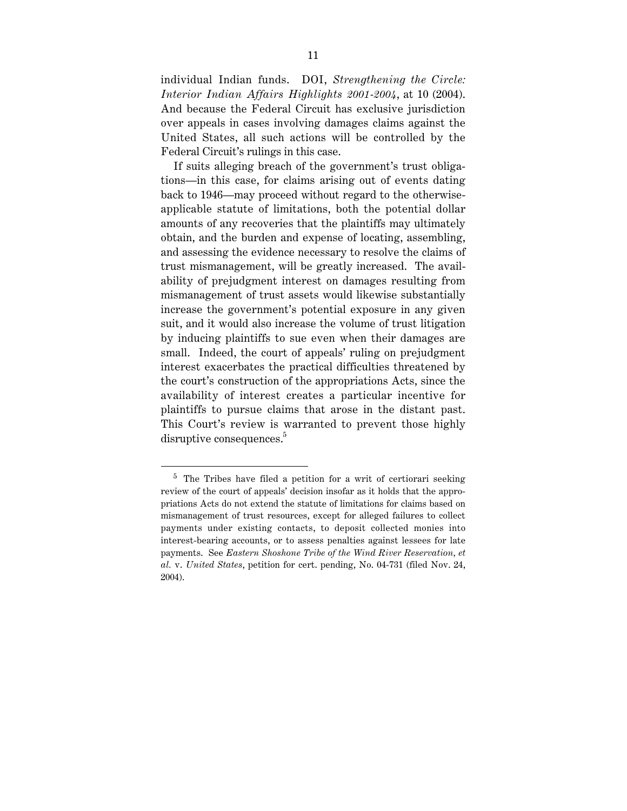individual Indian funds. DOI, *Strengthening the Circle: Interior Indian Affairs Highlights 2001-2004*, at 10 (2004). And because the Federal Circuit has exclusive jurisdiction over appeals in cases involving damages claims against the United States, all such actions will be controlled by the Federal Circuit's rulings in this case.

If suits alleging breach of the government's trust obligations—in this case, for claims arising out of events dating back to 1946—may proceed without regard to the otherwiseapplicable statute of limitations, both the potential dollar amounts of any recoveries that the plaintiffs may ultimately obtain, and the burden and expense of locating, assembling, and assessing the evidence necessary to resolve the claims of trust mismanagement, will be greatly increased. The availability of prejudgment interest on damages resulting from mismanagement of trust assets would likewise substantially increase the government's potential exposure in any given suit, and it would also increase the volume of trust litigation by inducing plaintiffs to sue even when their damages are small. Indeed, the court of appeals' ruling on prejudgment interest exacerbates the practical difficulties threatened by the court's construction of the appropriations Acts, since the availability of interest creates a particular incentive for plaintiffs to pursue claims that arose in the distant past. This Court's review is warranted to prevent those highly disruptive consequences.<sup>5</sup>

<sup>5</sup> The Tribes have filed a petition for a writ of certiorari seeking review of the court of appeals' decision insofar as it holds that the appropriations Acts do not extend the statute of limitations for claims based on mismanagement of trust resources, except for alleged failures to collect payments under existing contacts, to deposit collected monies into interest-bearing accounts, or to assess penalties against lessees for late payments. See *Eastern Shoshone Tribe of the Wind River Reservation, et al.* v. *United States*, petition for cert. pending, No. 04-731 (filed Nov. 24, 2004).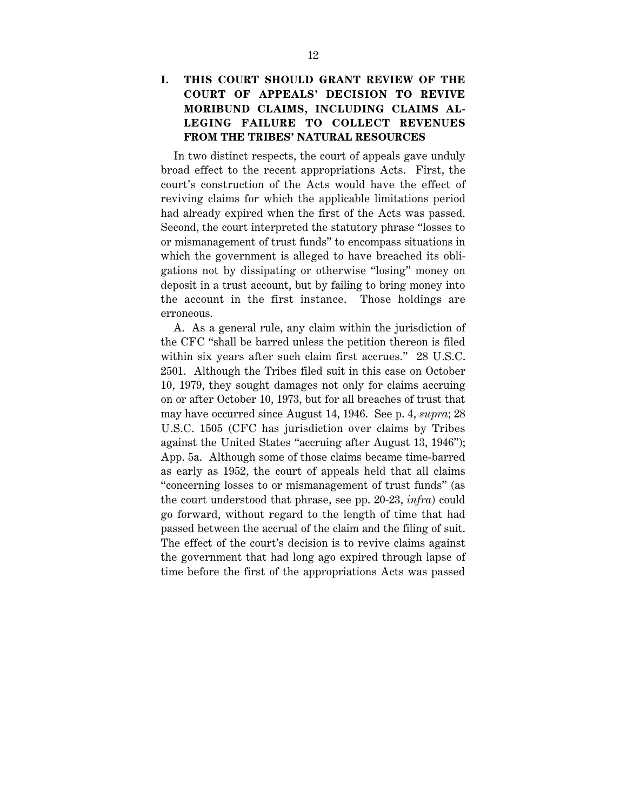In two distinct respects, the court of appeals gave unduly broad effect to the recent appropriations Acts. First, the court's construction of the Acts would have the effect of reviving claims for which the applicable limitations period had already expired when the first of the Acts was passed. Second, the court interpreted the statutory phrase "losses to or mismanagement of trust funds" to encompass situations in which the government is alleged to have breached its obligations not by dissipating or otherwise "losing" money on deposit in a trust account, but by failing to bring money into the account in the first instance. Those holdings are erroneous.

A. As a general rule, any claim within the jurisdiction of the CFC "shall be barred unless the petition thereon is filed within six years after such claim first accrues." 28 U.S.C. 2501. Although the Tribes filed suit in this case on October 10, 1979, they sought damages not only for claims accruing on or after October 10, 1973, but for all breaches of trust that may have occurred since August 14, 1946. See p. 4, *supra*; 28 U.S.C. 1505 (CFC has jurisdiction over claims by Tribes against the United States "accruing after August 13, 1946"); App. 5a. Although some of those claims became time-barred as early as 1952, the court of appeals held that all claims "concerning losses to or mismanagement of trust funds" (as the court understood that phrase, see pp. 20-23, *infra*) could go forward, without regard to the length of time that had passed between the accrual of the claim and the filing of suit. The effect of the court's decision is to revive claims against the government that had long ago expired through lapse of time before the first of the appropriations Acts was passed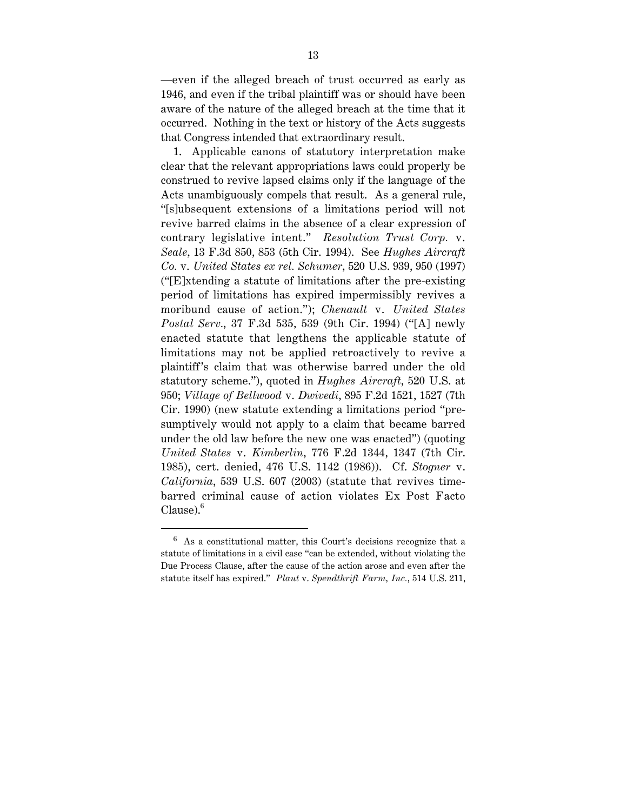—even if the alleged breach of trust occurred as early as 1946, and even if the tribal plaintiff was or should have been aware of the nature of the alleged breach at the time that it occurred. Nothing in the text or history of the Acts suggests that Congress intended that extraordinary result.

1. Applicable canons of statutory interpretation make clear that the relevant appropriations laws could properly be construed to revive lapsed claims only if the language of the Acts unambiguously compels that result. As a general rule, "[s]ubsequent extensions of a limitations period will not revive barred claims in the absence of a clear expression of contrary legislative intent." *Resolution Trust Corp.* v. *Seale*, 13 F.3d 850, 853 (5th Cir. 1994). See *Hughes Aircraft Co.* v. *United States ex rel. Schumer*, 520 U.S. 939, 950 (1997) ("[E]xtending a statute of limitations after the pre-existing period of limitations has expired impermissibly revives a moribund cause of action."); *Chenault* v. *United States Postal Serv.*, 37 F.3d 535, 539 (9th Cir. 1994) ("[A] newly enacted statute that lengthens the applicable statute of limitations may not be applied retroactively to revive a plaintiff 's claim that was otherwise barred under the old statutory scheme."), quoted in *Hughes Aircraft*, 520 U.S. at 950; *Village of Bellwood* v. *Dwivedi*, 895 F.2d 1521, 1527 (7th Cir. 1990) (new statute extending a limitations period "presumptively would not apply to a claim that became barred under the old law before the new one was enacted") (quoting *United States* v. *Kimberlin*, 776 F.2d 1344, 1347 (7th Cir. 1985), cert. denied, 476 U.S. 1142 (1986)). Cf. *Stogner* v. *California*, 539 U.S. 607 (2003) (statute that revives timebarred criminal cause of action violates Ex Post Facto Clause).<sup>6</sup>

 $6$  As a constitutional matter, this Court's decisions recognize that a statute of limitations in a civil case "can be extended, without violating the Due Process Clause, after the cause of the action arose and even after the statute itself has expired." *Plaut* v. *Spendthrift Farm, Inc.*, 514 U.S. 211,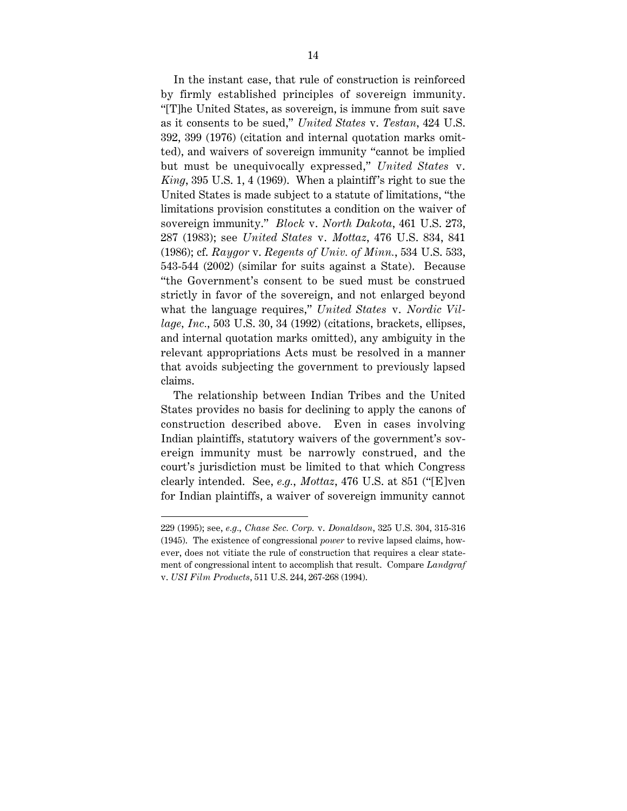In the instant case, that rule of construction is reinforced by firmly established principles of sovereign immunity. "[T]he United States, as sovereign, is immune from suit save as it consents to be sued," *United States* v. *Testan*, 424 U.S. 392, 399 (1976) (citation and internal quotation marks omitted), and waivers of sovereign immunity "cannot be implied but must be unequivocally expressed," *United States* v. *King*, 395 U.S. 1, 4 (1969). When a plaintiff 's right to sue the United States is made subject to a statute of limitations, "the limitations provision constitutes a condition on the waiver of sovereign immunity." *Block* v. *North Dakota*, 461 U.S. 273, 287 (1983); see *United States* v. *Mottaz*, 476 U.S. 834, 841 (1986); cf. *Raygor* v. *Regents of Univ. of Minn.*, 534 U.S. 533, 543-544 (2002) (similar for suits against a State). Because "the Government's consent to be sued must be construed strictly in favor of the sovereign, and not enlarged beyond what the language requires," *United States* v. *Nordic Village, Inc.*, 503 U.S. 30, 34 (1992) (citations, brackets, ellipses, and internal quotation marks omitted), any ambiguity in the relevant appropriations Acts must be resolved in a manner that avoids subjecting the government to previously lapsed claims.

The relationship between Indian Tribes and the United States provides no basis for declining to apply the canons of construction described above. Even in cases involving Indian plaintiffs, statutory waivers of the government's sovereign immunity must be narrowly construed, and the court's jurisdiction must be limited to that which Congress clearly intended. See, *e.g.*, *Mottaz*, 476 U.S. at 851 ("[E]ven for Indian plaintiffs, a waiver of sovereign immunity cannot

<sup>229 (1995);</sup> see, *e.g.*, *Chase Sec. Corp.* v. *Donaldson*, 325 U.S. 304, 315-316 (1945). The existence of congressional *power* to revive lapsed claims, however, does not vitiate the rule of construction that requires a clear statement of congressional intent to accomplish that result. Compare *Landgraf* v. *USI Film Products*, 511 U.S. 244, 267-268 (1994).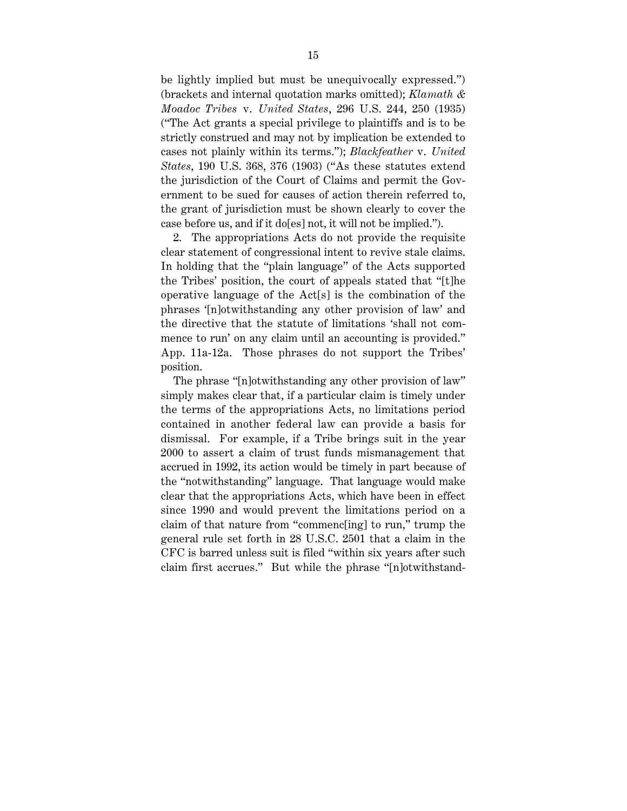be lightly implied but must be unequivocally expressed.") (brackets and internal quotation marks omitted); *Klamath & Moadoc Tribes* v. *United States*, 296 U.S. 244, 250 (1935) ("The Act grants a special privilege to plaintiffs and is to be strictly construed and may not by implication be extended to cases not plainly within its terms."); *Blackfeather* v. *United States*, 190 U.S. 368, 376 (1903) ("As these statutes extend the jurisdiction of the Court of Claims and permit the Government to be sued for causes of action therein referred to, the grant of jurisdiction must be shown clearly to cover the case before us, and if it do[es] not, it will not be implied.").

2. The appropriations Acts do not provide the requisite clear statement of congressional intent to revive stale claims. In holding that the "plain language" of the Acts supported the Tribes' position, the court of appeals stated that "[t]he operative language of the Act[s] is the combination of the phrases '[n]otwithstanding any other provision of law' and the directive that the statute of limitations 'shall not commence to run' on any claim until an accounting is provided." App. 11a-12a. Those phrases do not support the Tribes' position.

The phrase "[n]otwithstanding any other provision of law" simply makes clear that, if a particular claim is timely under the terms of the appropriations Acts, no limitations period contained in another federal law can provide a basis for dismissal. For example, if a Tribe brings suit in the year 2000 to assert a claim of trust funds mismanagement that accrued in 1992, its action would be timely in part because of the "notwithstanding" language. That language would make clear that the appropriations Acts, which have been in effect since 1990 and would prevent the limitations period on a claim of that nature from "commenc[ing] to run," trump the general rule set forth in 28 U.S.C. 2501 that a claim in the CFC is barred unless suit is filed "within six years after such claim first accrues." But while the phrase "[n]otwithstand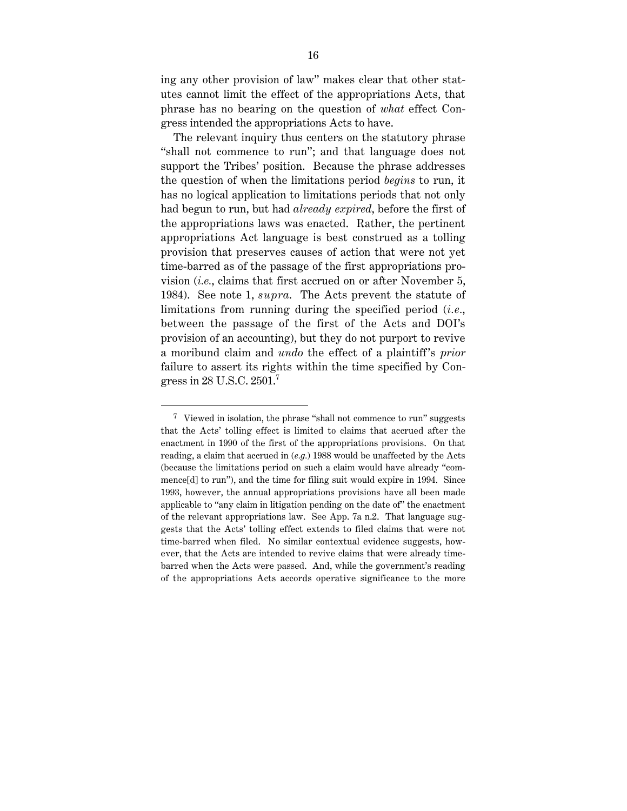ing any other provision of law" makes clear that other statutes cannot limit the effect of the appropriations Acts, that phrase has no bearing on the question of *what* effect Congress intended the appropriations Acts to have.

The relevant inquiry thus centers on the statutory phrase "shall not commence to run"; and that language does not support the Tribes' position. Because the phrase addresses the question of when the limitations period *begins* to run, it has no logical application to limitations periods that not only had begun to run, but had *already expired*, before the first of the appropriations laws was enacted. Rather, the pertinent appropriations Act language is best construed as a tolling provision that preserves causes of action that were not yet time-barred as of the passage of the first appropriations provision (*i.e.*, claims that first accrued on or after November 5, 1984). See note 1, *supra*. The Acts prevent the statute of limitations from running during the specified period (*i.e.*, between the passage of the first of the Acts and DOI's provision of an accounting), but they do not purport to revive a moribund claim and *undo* the effect of a plaintiff 's *prior* failure to assert its rights within the time specified by Congress in 28 U.S.C.  $2501$ .<sup>7</sup>

 $\frac{7}{1}$  Viewed in isolation, the phrase "shall not commence to run" suggests that the Acts' tolling effect is limited to claims that accrued after the enactment in 1990 of the first of the appropriations provisions. On that reading, a claim that accrued in (*e.g.*) 1988 would be unaffected by the Acts (because the limitations period on such a claim would have already "commence[d] to run"), and the time for filing suit would expire in 1994. Since 1993, however, the annual appropriations provisions have all been made applicable to "any claim in litigation pending on the date of" the enactment of the relevant appropriations law. See App. 7a n.2. That language suggests that the Acts' tolling effect extends to filed claims that were not time-barred when filed. No similar contextual evidence suggests, however, that the Acts are intended to revive claims that were already timebarred when the Acts were passed. And, while the government's reading of the appropriations Acts accords operative significance to the more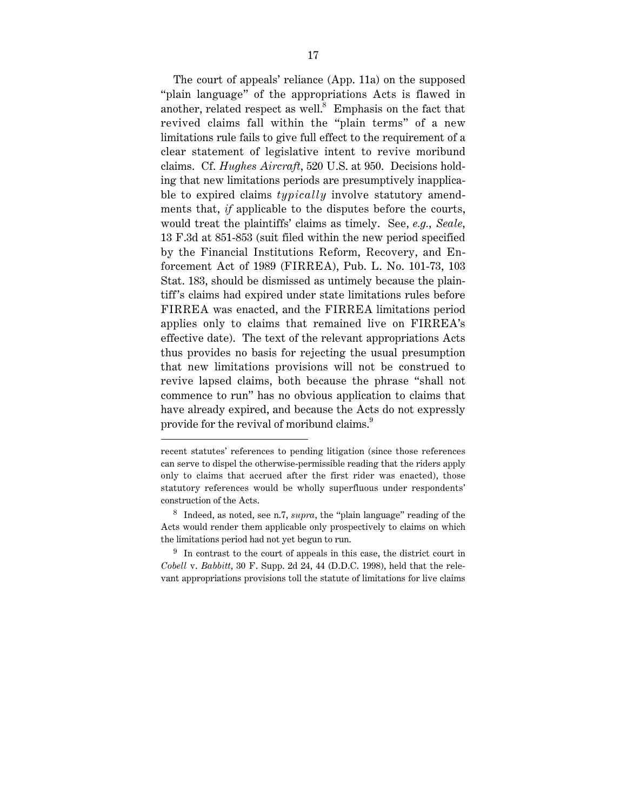The court of appeals' reliance (App. 11a) on the supposed "plain language" of the appropriations Acts is flawed in another, related respect as well. $8$  Emphasis on the fact that revived claims fall within the "plain terms" of a new limitations rule fails to give full effect to the requirement of a clear statement of legislative intent to revive moribund claims. Cf. *Hughes Aircraft*, 520 U.S. at 950. Decisions holding that new limitations periods are presumptively inapplicable to expired claims *typically* involve statutory amendments that, *if* applicable to the disputes before the courts, would treat the plaintiffs' claims as timely. See, *e.g.*, *Seale*, 13 F.3d at 851-853 (suit filed within the new period specified by the Financial Institutions Reform, Recovery, and Enforcement Act of 1989 (FIRREA), Pub. L. No. 101-73, 103 Stat. 183, should be dismissed as untimely because the plaintiff 's claims had expired under state limitations rules before FIRREA was enacted, and the FIRREA limitations period applies only to claims that remained live on FIRREA's effective date). The text of the relevant appropriations Acts thus provides no basis for rejecting the usual presumption that new limitations provisions will not be construed to revive lapsed claims, both because the phrase "shall not commence to run" has no obvious application to claims that have already expired, and because the Acts do not expressly provide for the revival of moribund claims.<sup>9</sup>

1

recent statutes' references to pending litigation (since those references can serve to dispel the otherwise-permissible reading that the riders apply only to claims that accrued after the first rider was enacted), those statutory references would be wholly superfluous under respondents' construction of the Acts.

<sup>8</sup> Indeed, as noted, see n.7, *supra*, the "plain language" reading of the Acts would render them applicable only prospectively to claims on which the limitations period had not yet begun to run.

 $9\text{ In contrast to the court of appears in this case, the district court in }$ *Cobell* v. *Babbitt*, 30 F. Supp. 2d 24, 44 (D.D.C. 1998), held that the relevant appropriations provisions toll the statute of limitations for live claims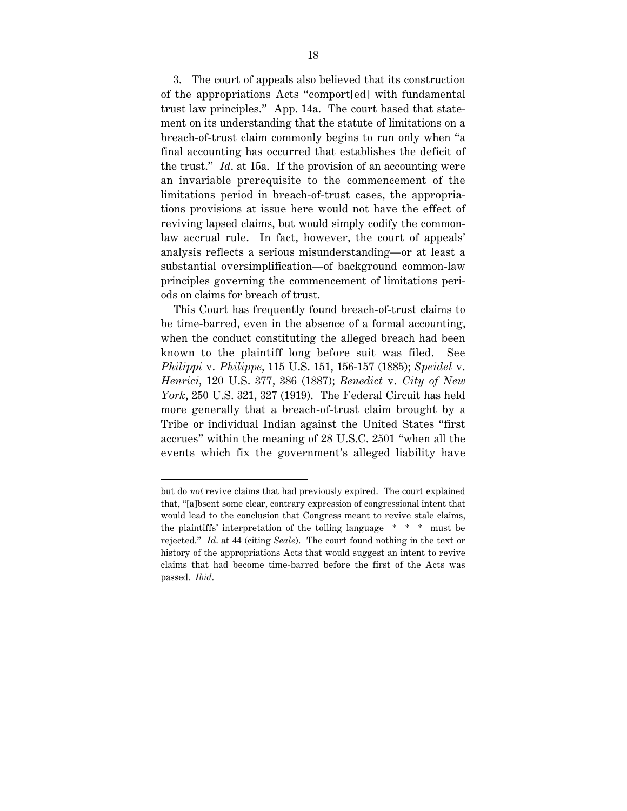3. The court of appeals also believed that its construction of the appropriations Acts "comport[ed] with fundamental trust law principles." App. 14a. The court based that statement on its understanding that the statute of limitations on a breach-of-trust claim commonly begins to run only when "a final accounting has occurred that establishes the deficit of the trust." *Id*. at 15a. If the provision of an accounting were an invariable prerequisite to the commencement of the limitations period in breach-of-trust cases, the appropriations provisions at issue here would not have the effect of reviving lapsed claims, but would simply codify the commonlaw accrual rule. In fact, however, the court of appeals' analysis reflects a serious misunderstanding—or at least a substantial oversimplification—of background common-law principles governing the commencement of limitations periods on claims for breach of trust.

This Court has frequently found breach-of-trust claims to be time-barred, even in the absence of a formal accounting, when the conduct constituting the alleged breach had been known to the plaintiff long before suit was filed. See *Philippi* v. *Philippe*, 115 U.S. 151, 156-157 (1885); *Speidel* v. *Henrici*, 120 U.S. 377, 386 (1887); *Benedict* v. *City of New York*, 250 U.S. 321, 327 (1919). The Federal Circuit has held more generally that a breach-of-trust claim brought by a Tribe or individual Indian against the United States "first accrues" within the meaning of 28 U.S.C. 2501 "when all the events which fix the government's alleged liability have

but do *not* revive claims that had previously expired. The court explained that, "[a]bsent some clear, contrary expression of congressional intent that would lead to the conclusion that Congress meant to revive stale claims, the plaintiffs' interpretation of the tolling language \* \* \* must be rejected." *Id*. at 44 (citing *Seale*). The court found nothing in the text or history of the appropriations Acts that would suggest an intent to revive claims that had become time-barred before the first of the Acts was passed. *Ibid*.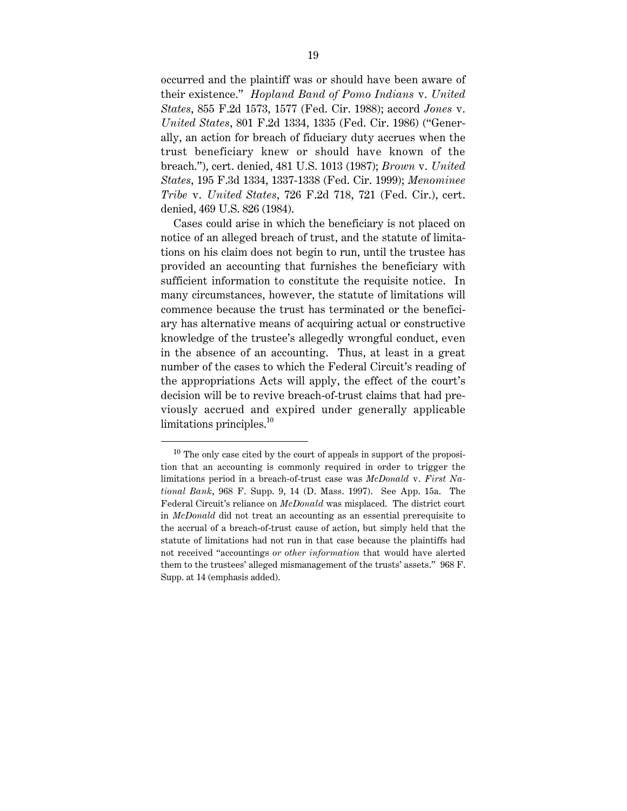occurred and the plaintiff was or should have been aware of their existence." *Hopland Band of Pomo Indians* v. *United States*, 855 F.2d 1573, 1577 (Fed. Cir. 1988); accord *Jones* v. *United States*, 801 F.2d 1334, 1335 (Fed. Cir. 1986) ("Generally, an action for breach of fiduciary duty accrues when the trust beneficiary knew or should have known of the breach."), cert. denied, 481 U.S. 1013 (1987); *Brown* v. *United States*, 195 F.3d 1334, 1337-1338 (Fed. Cir. 1999); *Menominee Tribe* v. *United States*, 726 F.2d 718, 721 (Fed. Cir.), cert. denied, 469 U.S. 826 (1984).

Cases could arise in which the beneficiary is not placed on notice of an alleged breach of trust, and the statute of limitations on his claim does not begin to run, until the trustee has provided an accounting that furnishes the beneficiary with sufficient information to constitute the requisite notice. In many circumstances, however, the statute of limitations will commence because the trust has terminated or the beneficiary has alternative means of acquiring actual or constructive knowledge of the trustee's allegedly wrongful conduct, even in the absence of an accounting. Thus, at least in a great number of the cases to which the Federal Circuit's reading of the appropriations Acts will apply, the effect of the court's decision will be to revive breach-of-trust claims that had previously accrued and expired under generally applicable limitations principles.<sup>10</sup>

 $10$  The only case cited by the court of appeals in support of the proposition that an accounting is commonly required in order to trigger the limitations period in a breach-of-trust case was *McDonald* v. *First National Bank*, 968 F. Supp. 9, 14 (D. Mass. 1997). See App. 15a. The Federal Circuit's reliance on *McDonald* was misplaced. The district court in *McDonald* did not treat an accounting as an essential prerequisite to the accrual of a breach-of-trust cause of action, but simply held that the statute of limitations had not run in that case because the plaintiffs had not received "accountings *or other information* that would have alerted them to the trustees' alleged mismanagement of the trusts' assets." 968 F. Supp. at 14 (emphasis added).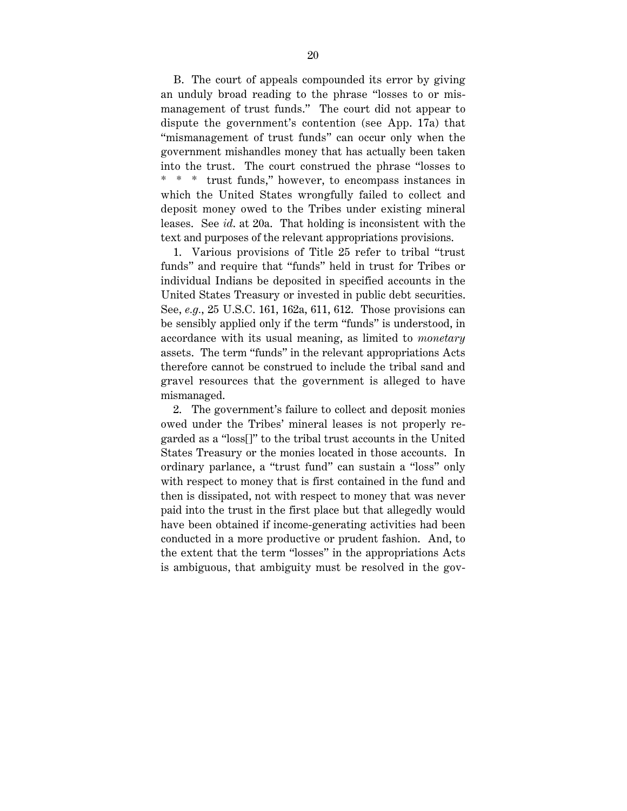B. The court of appeals compounded its error by giving an unduly broad reading to the phrase "losses to or mismanagement of trust funds." The court did not appear to dispute the government's contention (see App. 17a) that "mismanagement of trust funds" can occur only when the government mishandles money that has actually been taken into the trust. The court construed the phrase "losses to \* \* \* trust funds," however, to encompass instances in which the United States wrongfully failed to collect and deposit money owed to the Tribes under existing mineral leases. See *id*. at 20a. That holding is inconsistent with the text and purposes of the relevant appropriations provisions.

1. Various provisions of Title 25 refer to tribal "trust funds" and require that "funds" held in trust for Tribes or individual Indians be deposited in specified accounts in the United States Treasury or invested in public debt securities. See, *e.g.*, 25 U.S.C. 161, 162a, 611, 612. Those provisions can be sensibly applied only if the term "funds" is understood, in accordance with its usual meaning, as limited to *monetary* assets. The term "funds" in the relevant appropriations Acts therefore cannot be construed to include the tribal sand and gravel resources that the government is alleged to have mismanaged.

2. The government's failure to collect and deposit monies owed under the Tribes' mineral leases is not properly regarded as a "loss[]" to the tribal trust accounts in the United States Treasury or the monies located in those accounts. In ordinary parlance, a "trust fund" can sustain a "loss" only with respect to money that is first contained in the fund and then is dissipated, not with respect to money that was never paid into the trust in the first place but that allegedly would have been obtained if income-generating activities had been conducted in a more productive or prudent fashion. And, to the extent that the term "losses" in the appropriations Acts is ambiguous, that ambiguity must be resolved in the gov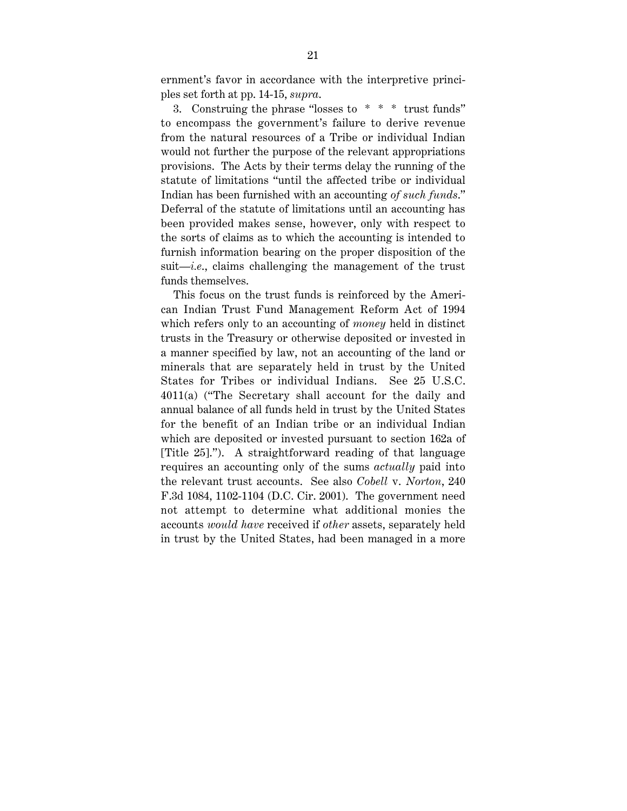ernment's favor in accordance with the interpretive principles set forth at pp. 14-15, *supra*.

3. Construing the phrase "losses to \* \* \* trust funds" to encompass the government's failure to derive revenue from the natural resources of a Tribe or individual Indian would not further the purpose of the relevant appropriations provisions. The Acts by their terms delay the running of the statute of limitations "until the affected tribe or individual Indian has been furnished with an accounting *of such funds*." Deferral of the statute of limitations until an accounting has been provided makes sense, however, only with respect to the sorts of claims as to which the accounting is intended to furnish information bearing on the proper disposition of the suit—*i.e*., claims challenging the management of the trust funds themselves.

This focus on the trust funds is reinforced by the American Indian Trust Fund Management Reform Act of 1994 which refers only to an accounting of *money* held in distinct trusts in the Treasury or otherwise deposited or invested in a manner specified by law, not an accounting of the land or minerals that are separately held in trust by the United States for Tribes or individual Indians. See 25 U.S.C. 4011(a) ("The Secretary shall account for the daily and annual balance of all funds held in trust by the United States for the benefit of an Indian tribe or an individual Indian which are deposited or invested pursuant to section 162a of [Title 25]."). A straightforward reading of that language requires an accounting only of the sums *actually* paid into the relevant trust accounts. See also *Cobell* v. *Norton*, 240 F.3d 1084, 1102-1104 (D.C. Cir. 2001). The government need not attempt to determine what additional monies the accounts *would have* received if *other* assets, separately held in trust by the United States, had been managed in a more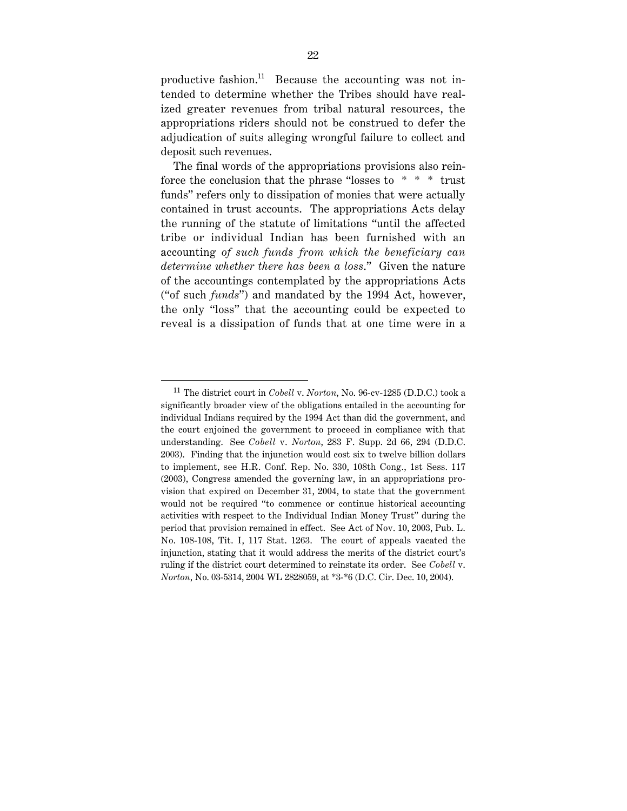productive fashion.<sup>11</sup> Because the accounting was not intended to determine whether the Tribes should have realized greater revenues from tribal natural resources, the appropriations riders should not be construed to defer the adjudication of suits alleging wrongful failure to collect and deposit such revenues.

The final words of the appropriations provisions also reinforce the conclusion that the phrase "losses to  $* * *$  trust funds" refers only to dissipation of monies that were actually contained in trust accounts. The appropriations Acts delay the running of the statute of limitations "until the affected tribe or individual Indian has been furnished with an accounting *of such funds from which the beneficiary can determine whether there has been a loss*." Given the nature of the accountings contemplated by the appropriations Acts ("of such *funds*") and mandated by the 1994 Act, however, the only "loss" that the accounting could be expected to reveal is a dissipation of funds that at one time were in a

 <sup>11</sup> The district court in *Cobell* v. *Norton*, No. 96-cv-1285 (D.D.C.) took a significantly broader view of the obligations entailed in the accounting for individual Indians required by the 1994 Act than did the government, and the court enjoined the government to proceed in compliance with that understanding. See *Cobell* v. *Norton*, 283 F. Supp. 2d 66, 294 (D.D.C. 2003). Finding that the injunction would cost six to twelve billion dollars to implement, see H.R. Conf. Rep. No. 330, 108th Cong., 1st Sess. 117 (2003), Congress amended the governing law, in an appropriations provision that expired on December 31, 2004, to state that the government would not be required "to commence or continue historical accounting activities with respect to the Individual Indian Money Trust" during the period that provision remained in effect. See Act of Nov. 10, 2003, Pub. L. No. 108-108, Tit. I, 117 Stat. 1263. The court of appeals vacated the injunction, stating that it would address the merits of the district court's ruling if the district court determined to reinstate its order. See *Cobell* v. *Norton*, No. 03-5314, 2004 WL 2828059, at \*3-\*6 (D.C. Cir. Dec. 10, 2004).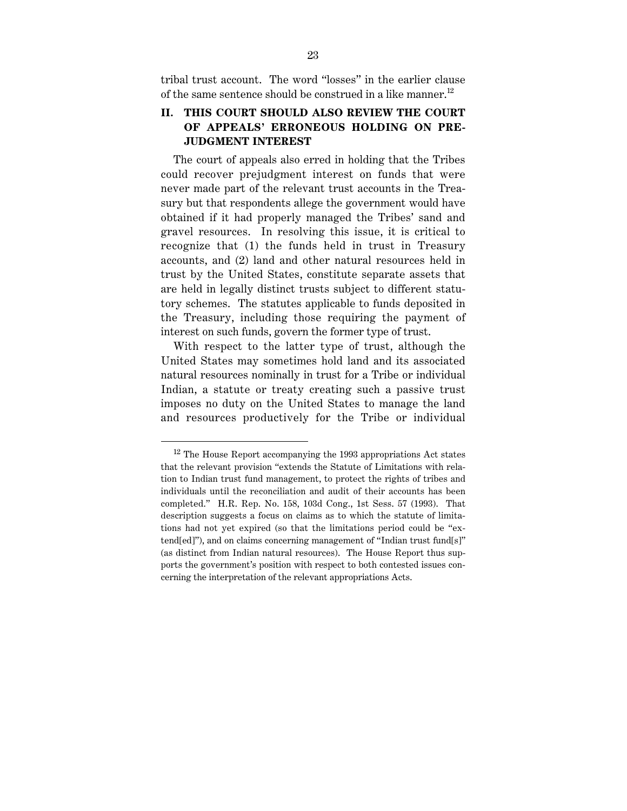tribal trust account. The word "losses" in the earlier clause of the same sentence should be construed in a like manner.<sup>12</sup>

## **II. THIS COURT SHOULD ALSO REVIEW THE COURT OF APPEALS' ERRONEOUS HOLDING ON PRE-JUDGMENT INTEREST**

The court of appeals also erred in holding that the Tribes could recover prejudgment interest on funds that were never made part of the relevant trust accounts in the Treasury but that respondents allege the government would have obtained if it had properly managed the Tribes' sand and gravel resources. In resolving this issue, it is critical to recognize that (1) the funds held in trust in Treasury accounts, and (2) land and other natural resources held in trust by the United States, constitute separate assets that are held in legally distinct trusts subject to different statutory schemes. The statutes applicable to funds deposited in the Treasury, including those requiring the payment of interest on such funds, govern the former type of trust.

With respect to the latter type of trust, although the United States may sometimes hold land and its associated natural resources nominally in trust for a Tribe or individual Indian, a statute or treaty creating such a passive trust imposes no duty on the United States to manage the land and resources productively for the Tribe or individual

<sup>&</sup>lt;sup>12</sup> The House Report accompanying the 1993 appropriations Act states that the relevant provision "extends the Statute of Limitations with relation to Indian trust fund management, to protect the rights of tribes and individuals until the reconciliation and audit of their accounts has been completed." H.R. Rep. No. 158, 103d Cong., 1st Sess. 57 (1993). That description suggests a focus on claims as to which the statute of limitations had not yet expired (so that the limitations period could be "extend[ed]"), and on claims concerning management of "Indian trust fund[s]" (as distinct from Indian natural resources). The House Report thus supports the government's position with respect to both contested issues concerning the interpretation of the relevant appropriations Acts.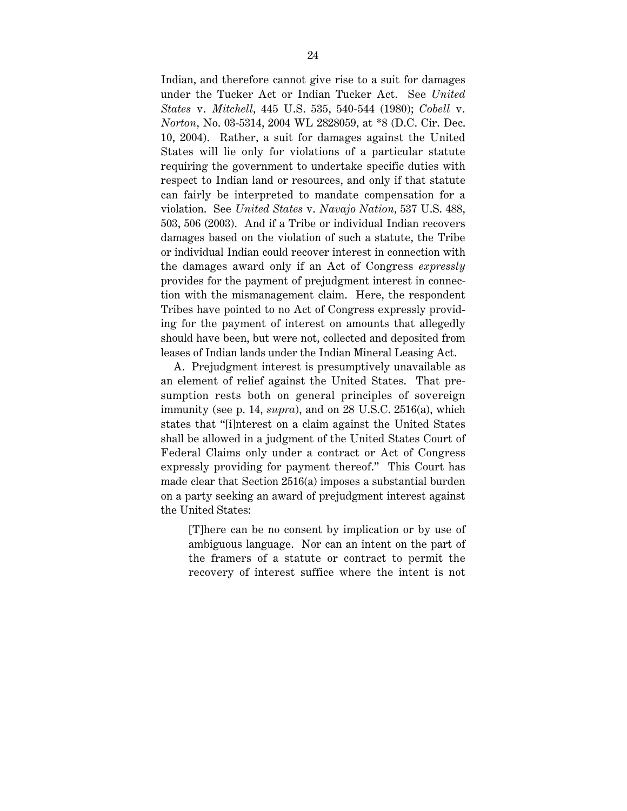Indian, and therefore cannot give rise to a suit for damages under the Tucker Act or Indian Tucker Act. See *United States* v. *Mitchell*, 445 U.S. 535, 540-544 (1980); *Cobell* v. *Norton*, No. 03-5314, 2004 WL 2828059, at \*8 (D.C. Cir. Dec. 10, 2004). Rather, a suit for damages against the United States will lie only for violations of a particular statute requiring the government to undertake specific duties with respect to Indian land or resources, and only if that statute can fairly be interpreted to mandate compensation for a violation. See *United States* v. *Navajo Nation*, 537 U.S. 488, 503, 506 (2003). And if a Tribe or individual Indian recovers damages based on the violation of such a statute, the Tribe or individual Indian could recover interest in connection with the damages award only if an Act of Congress *expressly* provides for the payment of prejudgment interest in connection with the mismanagement claim. Here, the respondent Tribes have pointed to no Act of Congress expressly providing for the payment of interest on amounts that allegedly should have been, but were not, collected and deposited from leases of Indian lands under the Indian Mineral Leasing Act.

A. Prejudgment interest is presumptively unavailable as an element of relief against the United States. That presumption rests both on general principles of sovereign immunity (see p. 14, *supra*), and on 28 U.S.C. 2516(a), which states that "[i]nterest on a claim against the United States shall be allowed in a judgment of the United States Court of Federal Claims only under a contract or Act of Congress expressly providing for payment thereof." This Court has made clear that Section 2516(a) imposes a substantial burden on a party seeking an award of prejudgment interest against the United States:

[T]here can be no consent by implication or by use of ambiguous language. Nor can an intent on the part of the framers of a statute or contract to permit the recovery of interest suffice where the intent is not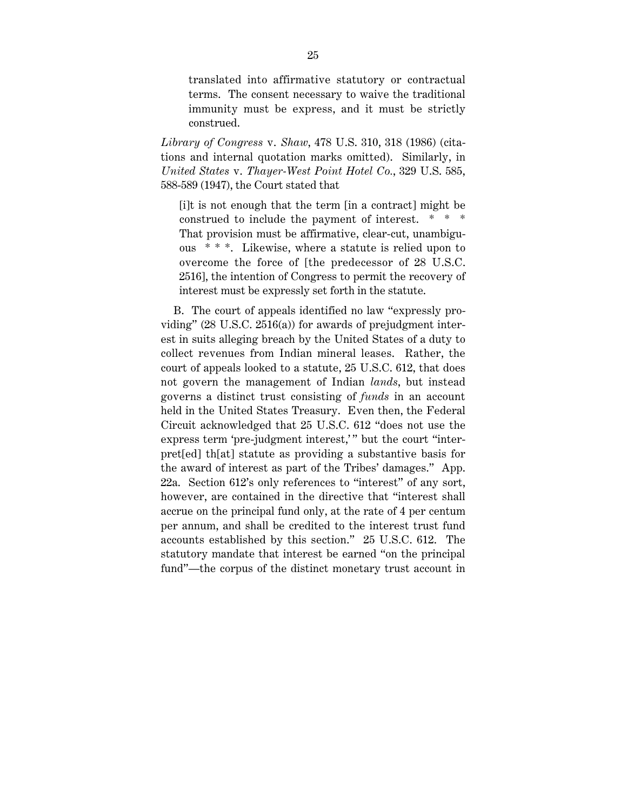translated into affirmative statutory or contractual terms. The consent necessary to waive the traditional immunity must be express, and it must be strictly construed.

*Library of Congress* v. *Shaw*, 478 U.S. 310, 318 (1986) (citations and internal quotation marks omitted). Similarly, in *United States* v. *Thayer-West Point Hotel Co.*, 329 U.S. 585, 588-589 (1947), the Court stated that

[i]t is not enough that the term [in a contract] might be construed to include the payment of interest. That provision must be affirmative, clear-cut, unambiguous \* \* \*. Likewise, where a statute is relied upon to overcome the force of [the predecessor of 28 U.S.C. 2516], the intention of Congress to permit the recovery of interest must be expressly set forth in the statute.

B. The court of appeals identified no law "expressly providing" (28 U.S.C. 2516(a)) for awards of prejudgment interest in suits alleging breach by the United States of a duty to collect revenues from Indian mineral leases. Rather, the court of appeals looked to a statute, 25 U.S.C. 612, that does not govern the management of Indian *lands*, but instead governs a distinct trust consisting of *funds* in an account held in the United States Treasury. Even then, the Federal Circuit acknowledged that 25 U.S.C. 612 "does not use the express term 'pre-judgment interest,'" but the court "interpret[ed] th[at] statute as providing a substantive basis for the award of interest as part of the Tribes' damages." App. 22a. Section 612's only references to "interest" of any sort, however, are contained in the directive that "interest shall accrue on the principal fund only, at the rate of 4 per centum per annum, and shall be credited to the interest trust fund accounts established by this section." 25 U.S.C. 612. The statutory mandate that interest be earned "on the principal fund"—the corpus of the distinct monetary trust account in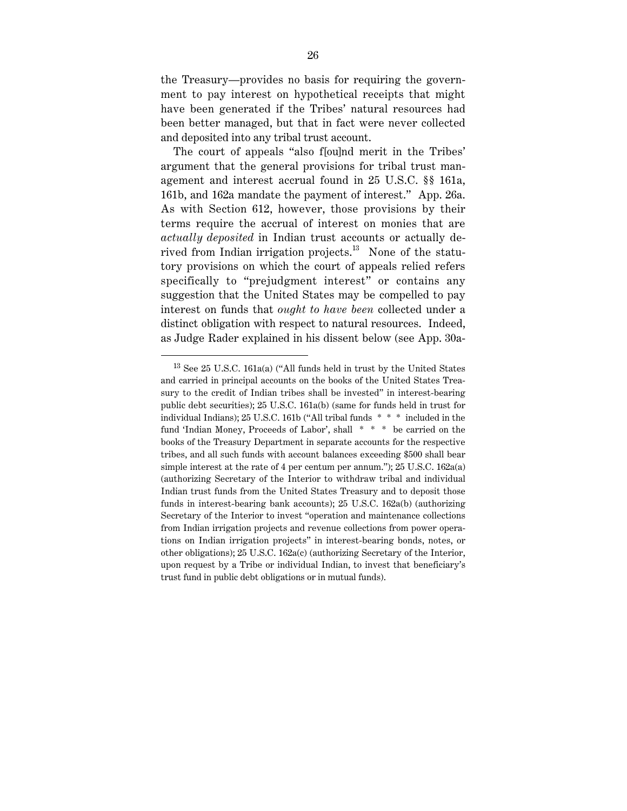the Treasury—provides no basis for requiring the government to pay interest on hypothetical receipts that might have been generated if the Tribes' natural resources had been better managed, but that in fact were never collected and deposited into any tribal trust account.

The court of appeals "also f[ou]nd merit in the Tribes' argument that the general provisions for tribal trust management and interest accrual found in 25 U.S.C. §§ 161a, 161b, and 162a mandate the payment of interest." App. 26a. As with Section 612, however, those provisions by their terms require the accrual of interest on monies that are *actually deposited* in Indian trust accounts or actually derived from Indian irrigation projects.13 None of the statutory provisions on which the court of appeals relied refers specifically to "prejudgment interest" or contains any suggestion that the United States may be compelled to pay interest on funds that *ought to have been* collected under a distinct obligation with respect to natural resources. Indeed, as Judge Rader explained in his dissent below (see App. 30a-

 $13$  See 25 U.S.C. 161a(a) ("All funds held in trust by the United States and carried in principal accounts on the books of the United States Treasury to the credit of Indian tribes shall be invested" in interest-bearing public debt securities); 25 U.S.C. 161a(b) (same for funds held in trust for individual Indians); 25 U.S.C. 161b ("All tribal funds \* \* \* included in the fund 'Indian Money, Proceeds of Labor', shall \* \* \* be carried on the books of the Treasury Department in separate accounts for the respective tribes, and all such funds with account balances exceeding \$500 shall bear simple interest at the rate of 4 per centum per annum."); 25 U.S.C. 162a(a) (authorizing Secretary of the Interior to withdraw tribal and individual Indian trust funds from the United States Treasury and to deposit those funds in interest-bearing bank accounts); 25 U.S.C. 162a(b) (authorizing Secretary of the Interior to invest "operation and maintenance collections from Indian irrigation projects and revenue collections from power operations on Indian irrigation projects" in interest-bearing bonds, notes, or other obligations); 25 U.S.C. 162a(c) (authorizing Secretary of the Interior, upon request by a Tribe or individual Indian, to invest that beneficiary's trust fund in public debt obligations or in mutual funds).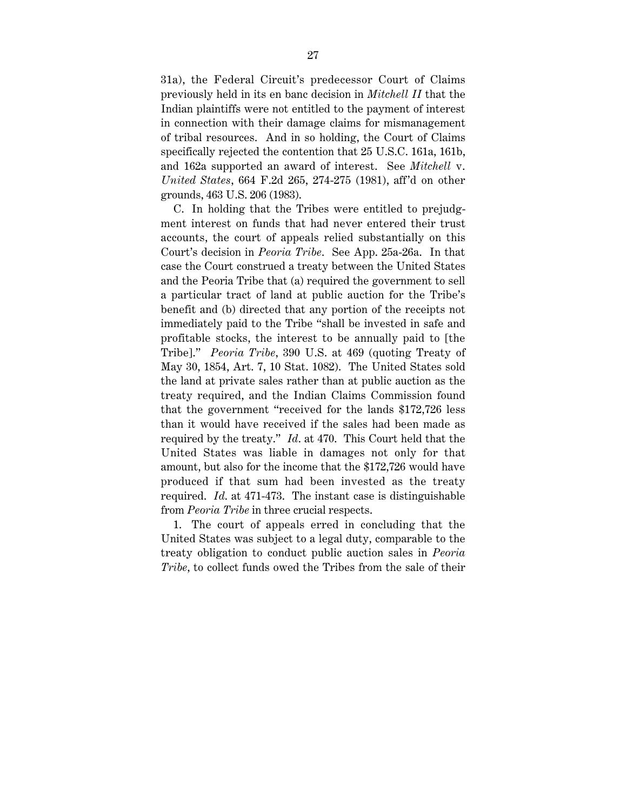31a), the Federal Circuit's predecessor Court of Claims previously held in its en banc decision in *Mitchell II* that the Indian plaintiffs were not entitled to the payment of interest in connection with their damage claims for mismanagement of tribal resources. And in so holding, the Court of Claims specifically rejected the contention that 25 U.S.C. 161a, 161b, and 162a supported an award of interest. See *Mitchell* v. *United States*, 664 F.2d 265, 274-275 (1981), aff'd on other grounds, 463 U.S. 206 (1983).

C. In holding that the Tribes were entitled to prejudgment interest on funds that had never entered their trust accounts, the court of appeals relied substantially on this Court's decision in *Peoria Tribe*. See App. 25a-26a. In that case the Court construed a treaty between the United States and the Peoria Tribe that (a) required the government to sell a particular tract of land at public auction for the Tribe's benefit and (b) directed that any portion of the receipts not immediately paid to the Tribe "shall be invested in safe and profitable stocks, the interest to be annually paid to [the Tribe]." *Peoria Tribe*, 390 U.S. at 469 (quoting Treaty of May 30, 1854, Art. 7, 10 Stat. 1082). The United States sold the land at private sales rather than at public auction as the treaty required, and the Indian Claims Commission found that the government "received for the lands \$172,726 less than it would have received if the sales had been made as required by the treaty." *Id*. at 470. This Court held that the United States was liable in damages not only for that amount, but also for the income that the \$172,726 would have produced if that sum had been invested as the treaty required. *Id*. at 471-473. The instant case is distinguishable from *Peoria Tribe* in three crucial respects.

1. The court of appeals erred in concluding that the United States was subject to a legal duty, comparable to the treaty obligation to conduct public auction sales in *Peoria Tribe*, to collect funds owed the Tribes from the sale of their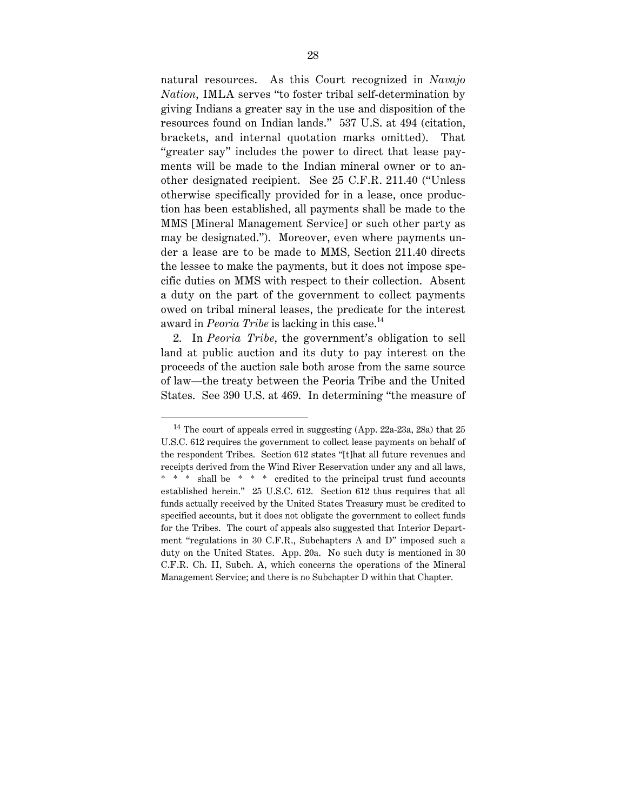natural resources. As this Court recognized in *Navajo Nation*, IMLA serves "to foster tribal self-determination by giving Indians a greater say in the use and disposition of the resources found on Indian lands." 537 U.S. at 494 (citation, brackets, and internal quotation marks omitted). That "greater say" includes the power to direct that lease payments will be made to the Indian mineral owner or to another designated recipient. See 25 C.F.R. 211.40 ("Unless otherwise specifically provided for in a lease, once production has been established, all payments shall be made to the MMS [Mineral Management Service] or such other party as may be designated."). Moreover, even where payments under a lease are to be made to MMS, Section 211.40 directs the lessee to make the payments, but it does not impose specific duties on MMS with respect to their collection. Absent a duty on the part of the government to collect payments owed on tribal mineral leases, the predicate for the interest award in *Peoria Tribe* is lacking in this case.<sup>14</sup>

2. In *Peoria Tribe*, the government's obligation to sell land at public auction and its duty to pay interest on the proceeds of the auction sale both arose from the same source of law—the treaty between the Peoria Tribe and the United States. See 390 U.S. at 469. In determining "the measure of

<sup>&</sup>lt;sup>14</sup> The court of appeals erred in suggesting (App. 22a-23a, 28a) that  $25$ U.S.C. 612 requires the government to collect lease payments on behalf of the respondent Tribes. Section 612 states "[t]hat all future revenues and receipts derived from the Wind River Reservation under any and all laws, \* \* \* shall be \* \* \* credited to the principal trust fund accounts established herein." 25 U.S.C. 612. Section 612 thus requires that all funds actually received by the United States Treasury must be credited to specified accounts, but it does not obligate the government to collect funds for the Tribes. The court of appeals also suggested that Interior Department "regulations in 30 C.F.R., Subchapters A and D" imposed such a duty on the United States. App. 20a. No such duty is mentioned in 30 C.F.R. Ch. II, Subch. A, which concerns the operations of the Mineral Management Service; and there is no Subchapter D within that Chapter.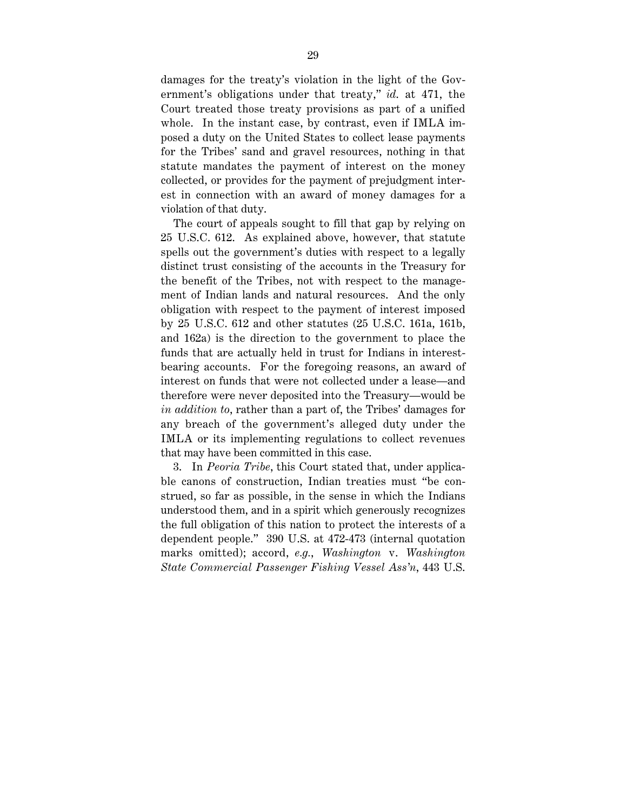damages for the treaty's violation in the light of the Government's obligations under that treaty," *id*. at 471, the Court treated those treaty provisions as part of a unified whole. In the instant case, by contrast, even if IMLA imposed a duty on the United States to collect lease payments for the Tribes' sand and gravel resources, nothing in that statute mandates the payment of interest on the money collected, or provides for the payment of prejudgment interest in connection with an award of money damages for a violation of that duty.

The court of appeals sought to fill that gap by relying on 25 U.S.C. 612. As explained above, however, that statute spells out the government's duties with respect to a legally distinct trust consisting of the accounts in the Treasury for the benefit of the Tribes, not with respect to the management of Indian lands and natural resources. And the only obligation with respect to the payment of interest imposed by 25 U.S.C. 612 and other statutes (25 U.S.C. 161a, 161b, and 162a) is the direction to the government to place the funds that are actually held in trust for Indians in interestbearing accounts. For the foregoing reasons, an award of interest on funds that were not collected under a lease—and therefore were never deposited into the Treasury—would be *in addition to*, rather than a part of, the Tribes' damages for any breach of the government's alleged duty under the IMLA or its implementing regulations to collect revenues that may have been committed in this case.

3. In *Peoria Tribe*, this Court stated that, under applicable canons of construction, Indian treaties must "be construed, so far as possible, in the sense in which the Indians understood them, and in a spirit which generously recognizes the full obligation of this nation to protect the interests of a dependent people." 390 U.S. at 472-473 (internal quotation marks omitted); accord, *e.g.*, *Washington* v. *Washington State Commercial Passenger Fishing Vessel Ass'n*, 443 U.S.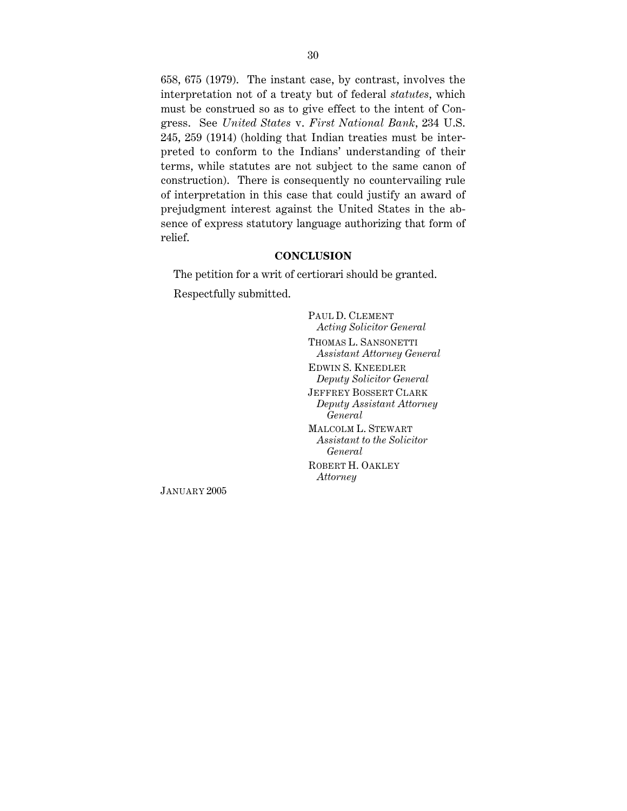658, 675 (1979). The instant case, by contrast, involves the interpretation not of a treaty but of federal *statutes*, which must be construed so as to give effect to the intent of Congress. See *United States* v. *First National Bank*, 234 U.S. 245, 259 (1914) (holding that Indian treaties must be interpreted to conform to the Indians' understanding of their terms, while statutes are not subject to the same canon of construction). There is consequently no countervailing rule of interpretation in this case that could justify an award of prejudgment interest against the United States in the absence of express statutory language authorizing that form of relief.

### **CONCLUSION**

The petition for a writ of certiorari should be granted. Respectfully submitted.

> PAUL D. CLEMENT *Acting Solicitor General* THOMAS L. SANSONETTI *Assistant Attorney General* EDWIN S. KNEEDLER *Deputy Solicitor General* JEFFREY BOSSERT CLARK *Deputy Assistant Attorney General* MALCOLM L. STEWART *Assistant to the Solicitor General* ROBERT H. OAKLEY

*Attorney*

JANUARY 2005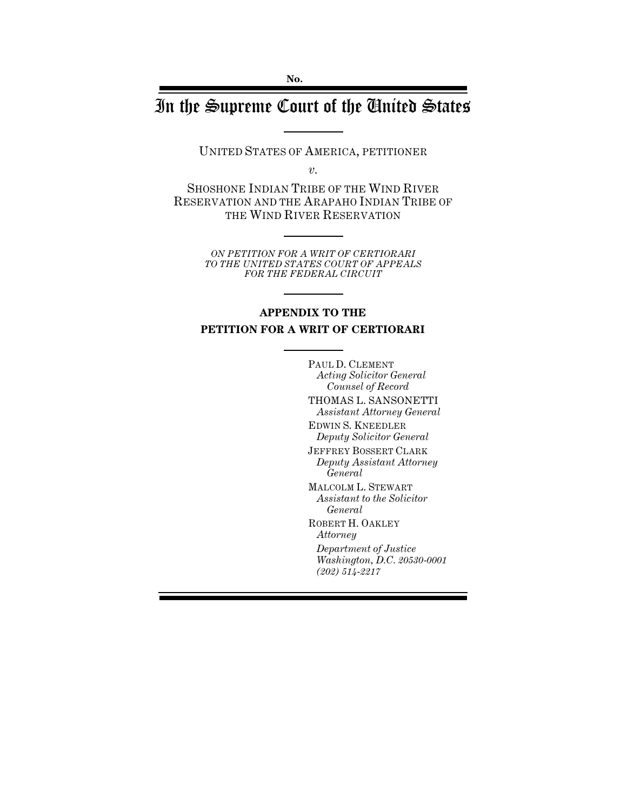# In the Supreme Court of the United States

UNITED STATES OF AMERICA, PETITIONER

*v.*

SHOSHONE INDIAN TRIBE OF THE WIND RIVER RESERVATION AND THE ARAPAHO INDIAN TRIBE OF THE WIND RIVER RESERVATION

> *ON PETITION FOR A WRIT OF CERTIORARI TO THE UNITED STATES COURT OF APPEALS FOR THE FEDERAL CIRCUIT*

# **APPENDIX TO THE PETITION FOR A WRIT OF CERTIORARI**

PAUL D. CLEMENT *Acting Solicitor General Counsel of Record* THOMAS L. SANSONETTI *Assistant Attorney General* EDWIN S. KNEEDLER *Deputy Solicitor General* JEFFREY BOSSERT CLARK *Deputy Assistant Attorney General* MALCOLM L. STEWART *Assistant to the Solicitor General* ROBERT H. OAKLEY *Attorney Department of Justice Washington, D.C. 20530-0001 (202) 514-2217*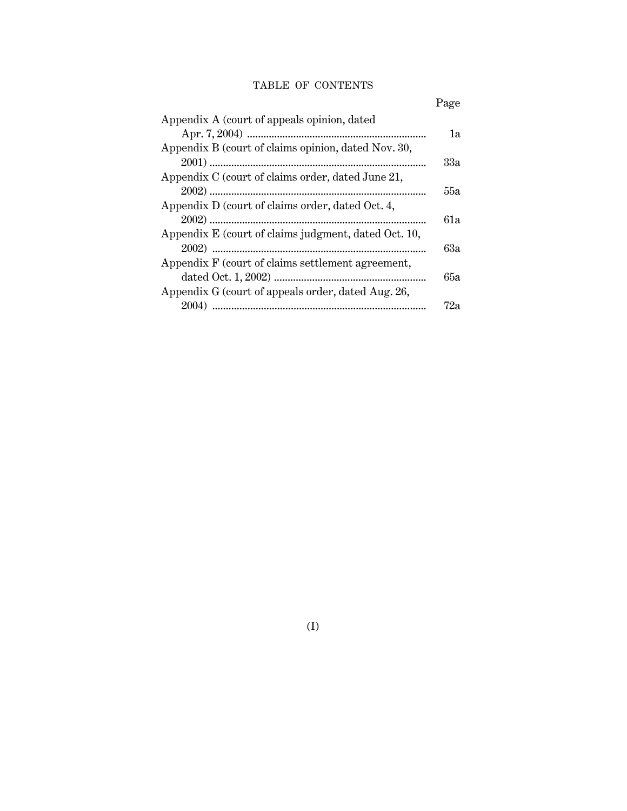# TABLE OF CONTENTS

|                                                      | Page |
|------------------------------------------------------|------|
| Appendix A (court of appeals opinion, dated          |      |
|                                                      | 1a   |
| Appendix B (court of claims opinion, dated Nov. 30,  |      |
|                                                      | 33a  |
| Appendix C (court of claims order, dated June 21,    |      |
|                                                      | 55а  |
| Appendix D (court of claims order, dated Oct. 4,     |      |
|                                                      | 61a  |
| Appendix E (court of claims judgment, dated Oct. 10, |      |
|                                                      | 63а  |
| Appendix F (court of claims settlement agreement,    |      |
|                                                      | 65а  |
| Appendix G (court of appeals order, dated Aug. 26,   |      |
|                                                      | 72a  |

(I)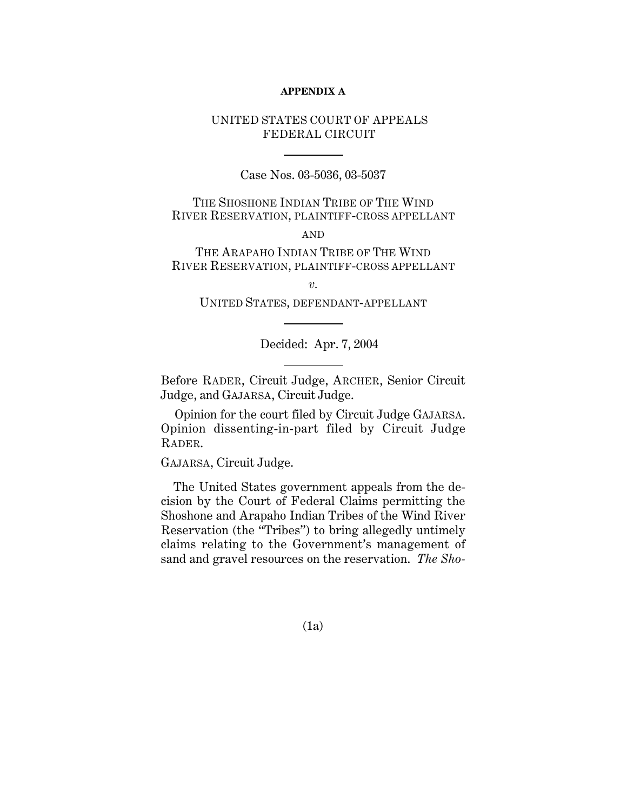### **APPENDIX A**

# UNITED STATES COURT OF APPEALS FEDERAL CIRCUIT

Case Nos. 03-5036, 03-5037

THE SHOSHONE INDIAN TRIBE OF THE WIND RIVER RESERVATION, PLAINTIFF-CROSS APPELLANT

AND

THE ARAPAHO INDIAN TRIBE OF THE WIND RIVER RESERVATION, PLAINTIFF-CROSS APPELLANT

*v.*

UNITED STATES, DEFENDANT-APPELLANT

Decided: Apr. 7, 2004

Before RADER, Circuit Judge, ARCHER, Senior Circuit Judge, and GAJARSA, Circuit Judge.

Opinion for the court filed by Circuit Judge GAJARSA. Opinion dissenting-in-part filed by Circuit Judge RADER.

GAJARSA, Circuit Judge.

The United States government appeals from the decision by the Court of Federal Claims permitting the Shoshone and Arapaho Indian Tribes of the Wind River Reservation (the "Tribes") to bring allegedly untimely claims relating to the Government's management of sand and gravel resources on the reservation. *The Sho-*

(1a)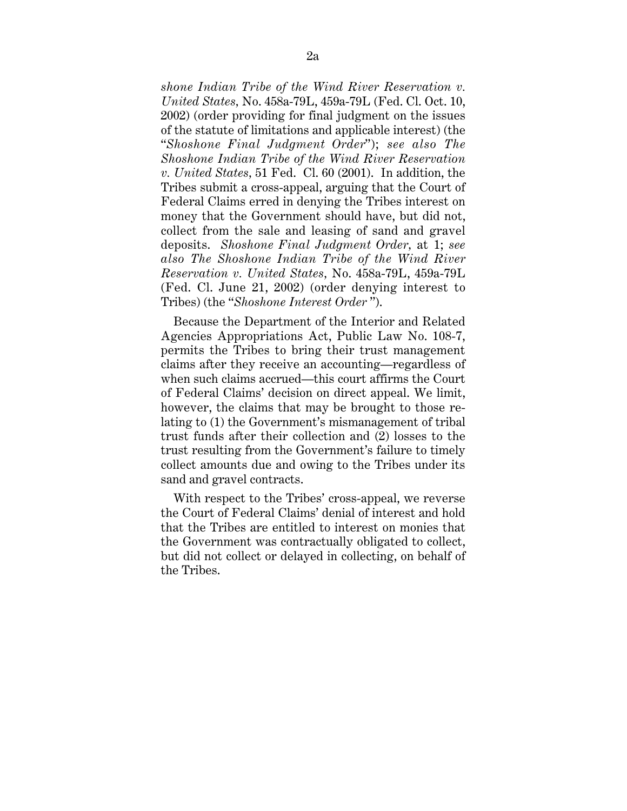*shone Indian Tribe of the Wind River Reservation v. United States,* No. 458a-79L, 459a-79L (Fed. Cl. Oct. 10, 2002) (order providing for final judgment on the issues of the statute of limitations and applicable interest) (the "*Shoshone Final Judgment Order*"); *see also The Shoshone Indian Tribe of the Wind River Reservation v. United States,* 51 Fed. Cl. 60 (2001). In addition, the Tribes submit a cross-appeal, arguing that the Court of Federal Claims erred in denying the Tribes interest on money that the Government should have, but did not, collect from the sale and leasing of sand and gravel deposits. *Shoshone Final Judgment Order,* at 1; *see also The Shoshone Indian Tribe of the Wind River Reservation v. United States,* No. 458a-79L, 459a-79L (Fed. Cl. June 21, 2002) (order denying interest to Tribes) (the "*Shoshone Interest Order* ").

Because the Department of the Interior and Related Agencies Appropriations Act, Public Law No. 108-7, permits the Tribes to bring their trust management claims after they receive an accounting—regardless of when such claims accrued—this court affirms the Court of Federal Claims' decision on direct appeal. We limit, however, the claims that may be brought to those relating to (1) the Government's mismanagement of tribal trust funds after their collection and (2) losses to the trust resulting from the Government's failure to timely collect amounts due and owing to the Tribes under its sand and gravel contracts.

With respect to the Tribes' cross-appeal, we reverse the Court of Federal Claims' denial of interest and hold that the Tribes are entitled to interest on monies that the Government was contractually obligated to collect, but did not collect or delayed in collecting, on behalf of the Tribes.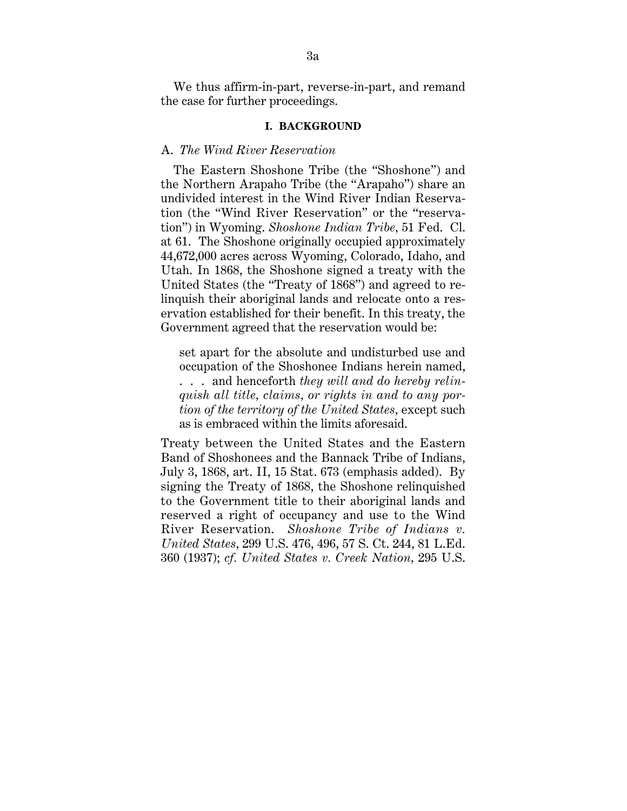We thus affirm-in-part, reverse-in-part, and remand the case for further proceedings.

# **I. BACKGROUND**

## A. *The Wind River Reservation*

The Eastern Shoshone Tribe (the "Shoshone") and the Northern Arapaho Tribe (the "Arapaho") share an undivided interest in the Wind River Indian Reservation (the "Wind River Reservation" or the "reservation") in Wyoming. *Shoshone Indian Tribe,* 51 Fed. Cl. at 61. The Shoshone originally occupied approximately 44,672,000 acres across Wyoming, Colorado, Idaho, and Utah. In 1868, the Shoshone signed a treaty with the United States (the "Treaty of 1868") and agreed to relinquish their aboriginal lands and relocate onto a reservation established for their benefit. In this treaty, the Government agreed that the reservation would be:

set apart for the absolute and undisturbed use and occupation of the Shoshonee Indians herein named, . . . and henceforth *they will and do hereby relinquish all title, claims, or rights in and to any portion of the territory of the United States,* except such as is embraced within the limits aforesaid.

Treaty between the United States and the Eastern Band of Shoshonees and the Bannack Tribe of Indians, July 3, 1868, art. II, 15 Stat. 673 (emphasis added). By signing the Treaty of 1868, the Shoshone relinquished to the Government title to their aboriginal lands and reserved a right of occupancy and use to the Wind River Reservation. *Shoshone Tribe of Indians v. United States,* 299 U.S. 476, 496, 57 S. Ct. 244, 81 L.Ed. 360 (1937); *cf. United States v. Creek Nation,* 295 U.S.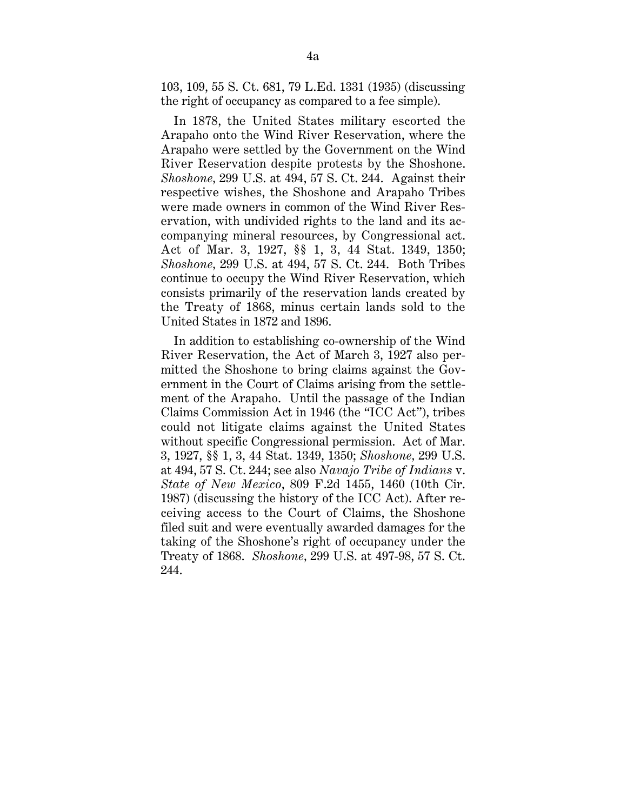103, 109, 55 S. Ct. 681, 79 L.Ed. 1331 (1935) (discussing the right of occupancy as compared to a fee simple).

In 1878, the United States military escorted the Arapaho onto the Wind River Reservation, where the Arapaho were settled by the Government on the Wind River Reservation despite protests by the Shoshone. *Shoshone,* 299 U.S. at 494, 57 S. Ct. 244. Against their respective wishes, the Shoshone and Arapaho Tribes were made owners in common of the Wind River Reservation, with undivided rights to the land and its accompanying mineral resources, by Congressional act. Act of Mar. 3, 1927, §§ 1, 3, 44 Stat. 1349, 1350; *Shoshone,* 299 U.S. at 494, 57 S. Ct. 244. Both Tribes continue to occupy the Wind River Reservation, which consists primarily of the reservation lands created by the Treaty of 1868, minus certain lands sold to the United States in 1872 and 1896.

In addition to establishing co-ownership of the Wind River Reservation, the Act of March 3, 1927 also permitted the Shoshone to bring claims against the Government in the Court of Claims arising from the settlement of the Arapaho. Until the passage of the Indian Claims Commission Act in 1946 (the "ICC Act"), tribes could not litigate claims against the United States without specific Congressional permission. Act of Mar. 3, 1927, §§ 1, 3, 44 Stat. 1349, 1350; *Shoshone,* 299 U.S. at 494, 57 S. Ct. 244; see also *Navajo Tribe of Indians* v. *State of New Mexico*, 809 F.2d 1455, 1460 (10th Cir. 1987) (discussing the history of the ICC Act). After receiving access to the Court of Claims, the Shoshone filed suit and were eventually awarded damages for the taking of the Shoshone's right of occupancy under the Treaty of 1868. *Shoshone,* 299 U.S. at 497-98, 57 S. Ct. 244.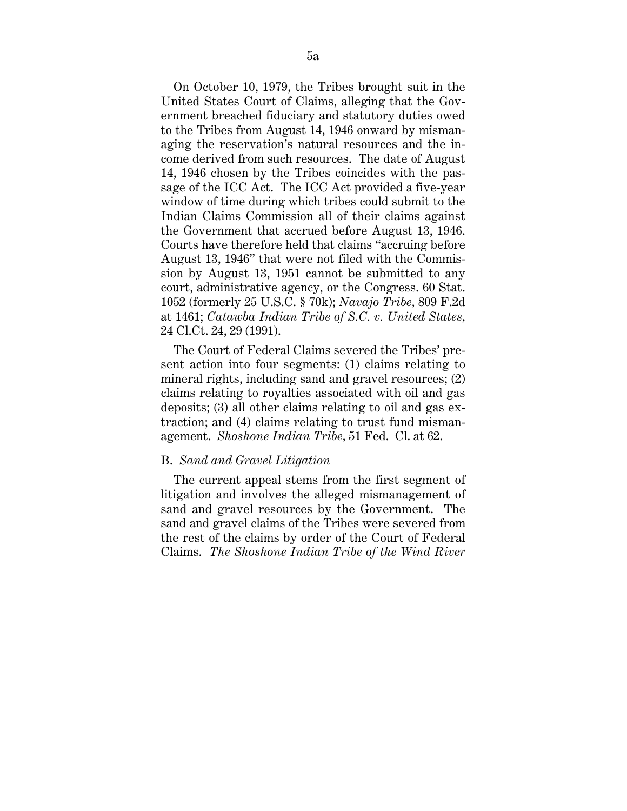On October 10, 1979, the Tribes brought suit in the United States Court of Claims, alleging that the Government breached fiduciary and statutory duties owed to the Tribes from August 14, 1946 onward by mismanaging the reservation's natural resources and the income derived from such resources. The date of August 14, 1946 chosen by the Tribes coincides with the passage of the ICC Act. The ICC Act provided a five-year window of time during which tribes could submit to the Indian Claims Commission all of their claims against the Government that accrued before August 13, 1946. Courts have therefore held that claims "accruing before August 13, 1946" that were not filed with the Commission by August 13, 1951 cannot be submitted to any court, administrative agency, or the Congress. 60 Stat. 1052 (formerly 25 U.S.C. § 70k); *Navajo Tribe,* 809 F.2d at 1461; *Catawba Indian Tribe of S.C. v. United States,* 24 Cl.Ct. 24, 29 (1991).

The Court of Federal Claims severed the Tribes' present action into four segments: (1) claims relating to mineral rights, including sand and gravel resources; (2) claims relating to royalties associated with oil and gas deposits; (3) all other claims relating to oil and gas extraction; and (4) claims relating to trust fund mismanagement. *Shoshone Indian Tribe,* 51 Fed. Cl. at 62.

# B. *Sand and Gravel Litigation*

The current appeal stems from the first segment of litigation and involves the alleged mismanagement of sand and gravel resources by the Government. The sand and gravel claims of the Tribes were severed from the rest of the claims by order of the Court of Federal Claims. *The Shoshone Indian Tribe of the Wind River*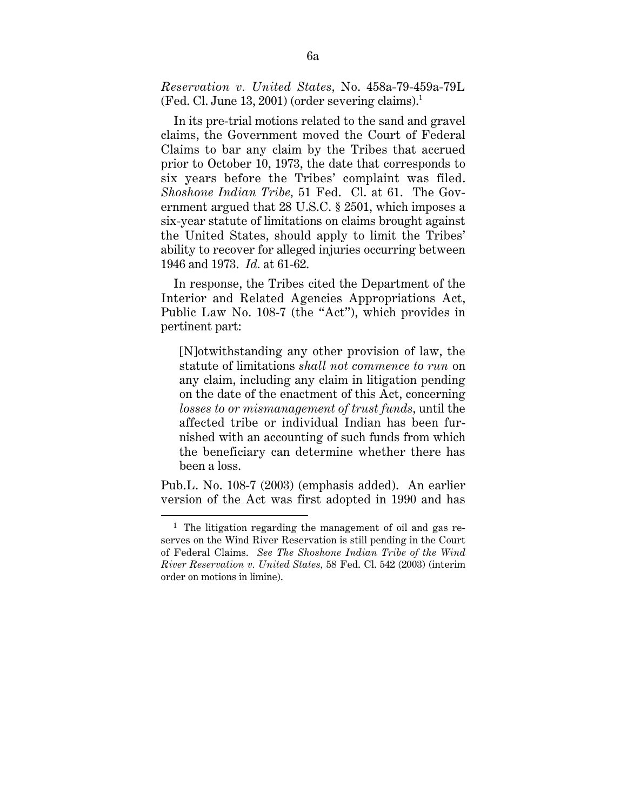*Reservation v. United States,* No. 458a-79-459a-79L  $(Fed. \text{ Cl. June 13, } 2001)$  (order severing claims).<sup>1</sup>

In its pre-trial motions related to the sand and gravel claims, the Government moved the Court of Federal Claims to bar any claim by the Tribes that accrued prior to October 10, 1973, the date that corresponds to six years before the Tribes' complaint was filed. *Shoshone Indian Tribe,* 51 Fed. Cl. at 61. The Government argued that 28 U.S.C. § 2501, which imposes a six-year statute of limitations on claims brought against the United States, should apply to limit the Tribes' ability to recover for alleged injuries occurring between 1946 and 1973. *Id.* at 61-62.

In response, the Tribes cited the Department of the Interior and Related Agencies Appropriations Act, Public Law No. 108-7 (the "Act"), which provides in pertinent part:

[N]otwithstanding any other provision of law, the statute of limitations *shall not commence to run* on any claim, including any claim in litigation pending on the date of the enactment of this Act, concerning *losses to or mismanagement of trust funds,* until the affected tribe or individual Indian has been furnished with an accounting of such funds from which the beneficiary can determine whether there has been a loss.

Pub.L. No. 108-7 (2003) (emphasis added). An earlier version of the Act was first adopted in 1990 and has

<sup>&</sup>lt;sup>1</sup> The litigation regarding the management of oil and gas reserves on the Wind River Reservation is still pending in the Court of Federal Claims. *See The Shoshone Indian Tribe of the Wind River Reservation v. United States,* 58 Fed. Cl. 542 (2003) (interim order on motions in limine).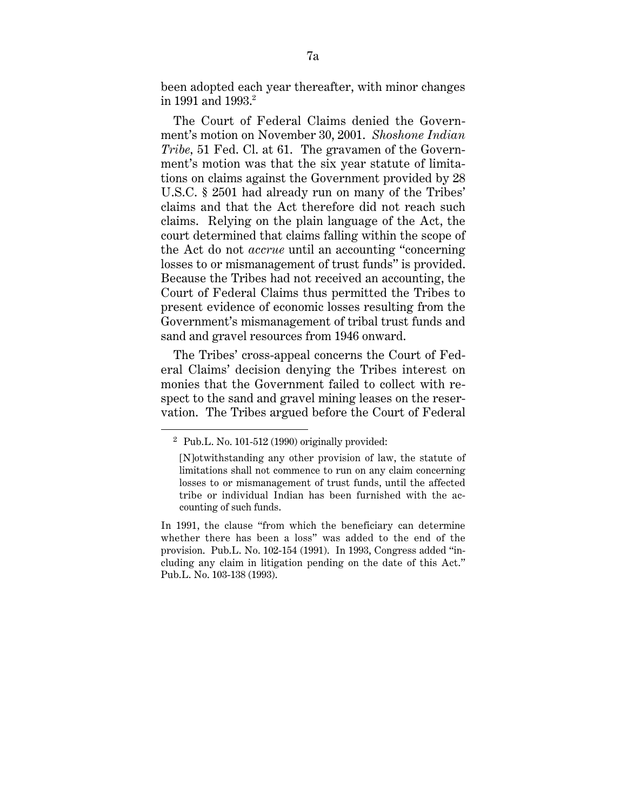been adopted each year thereafter, with minor changes in 1991 and 1993.<sup>2</sup>

The Court of Federal Claims denied the Government's motion on November 30, 2001. *Shoshone Indian Tribe,* 51 Fed. Cl. at 61. The gravamen of the Government's motion was that the six year statute of limitations on claims against the Government provided by 28 U.S.C. § 2501 had already run on many of the Tribes' claims and that the Act therefore did not reach such claims. Relying on the plain language of the Act, the court determined that claims falling within the scope of the Act do not *accrue* until an accounting "concerning losses to or mismanagement of trust funds" is provided. Because the Tribes had not received an accounting, the Court of Federal Claims thus permitted the Tribes to present evidence of economic losses resulting from the Government's mismanagement of tribal trust funds and sand and gravel resources from 1946 onward.

The Tribes' cross-appeal concerns the Court of Federal Claims' decision denying the Tribes interest on monies that the Government failed to collect with respect to the sand and gravel mining leases on the reservation. The Tribes argued before the Court of Federal

 $2$  Pub.L. No. 101-512 (1990) originally provided:

<sup>[</sup>N]otwithstanding any other provision of law, the statute of limitations shall not commence to run on any claim concerning losses to or mismanagement of trust funds, until the affected tribe or individual Indian has been furnished with the accounting of such funds.

In 1991, the clause "from which the beneficiary can determine whether there has been a loss" was added to the end of the provision. Pub.L. No. 102-154 (1991). In 1993, Congress added "including any claim in litigation pending on the date of this Act." Pub.L. No. 103-138 (1993).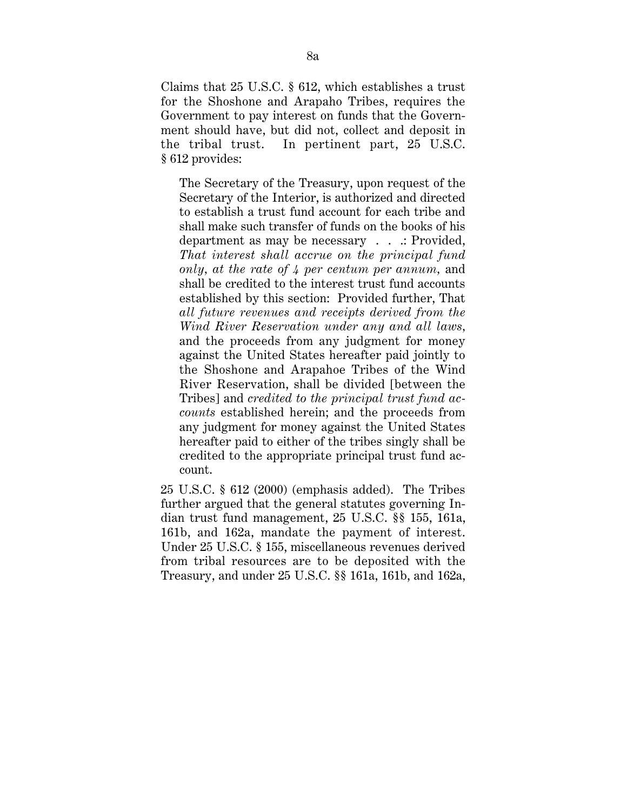Claims that 25 U.S.C. § 612, which establishes a trust for the Shoshone and Arapaho Tribes, requires the Government to pay interest on funds that the Government should have, but did not, collect and deposit in the tribal trust. In pertinent part, 25 U.S.C. § 612 provides:

The Secretary of the Treasury, upon request of the Secretary of the Interior, is authorized and directed to establish a trust fund account for each tribe and shall make such transfer of funds on the books of his department as may be necessary . . .: Provided, *That interest shall accrue on the principal fund only, at the rate of 4 per centum per annum,* and shall be credited to the interest trust fund accounts established by this section: Provided further, That *all future revenues and receipts derived from the Wind River Reservation under any and all laws,* and the proceeds from any judgment for money against the United States hereafter paid jointly to the Shoshone and Arapahoe Tribes of the Wind River Reservation, shall be divided [between the Tribes] and *credited to the principal trust fund accounts* established herein; and the proceeds from any judgment for money against the United States hereafter paid to either of the tribes singly shall be credited to the appropriate principal trust fund account.

25 U.S.C. § 612 (2000) (emphasis added). The Tribes further argued that the general statutes governing Indian trust fund management, 25 U.S.C. §§ 155, 161a, 161b, and 162a, mandate the payment of interest. Under 25 U.S.C. § 155, miscellaneous revenues derived from tribal resources are to be deposited with the Treasury, and under 25 U.S.C. §§ 161a, 161b, and 162a,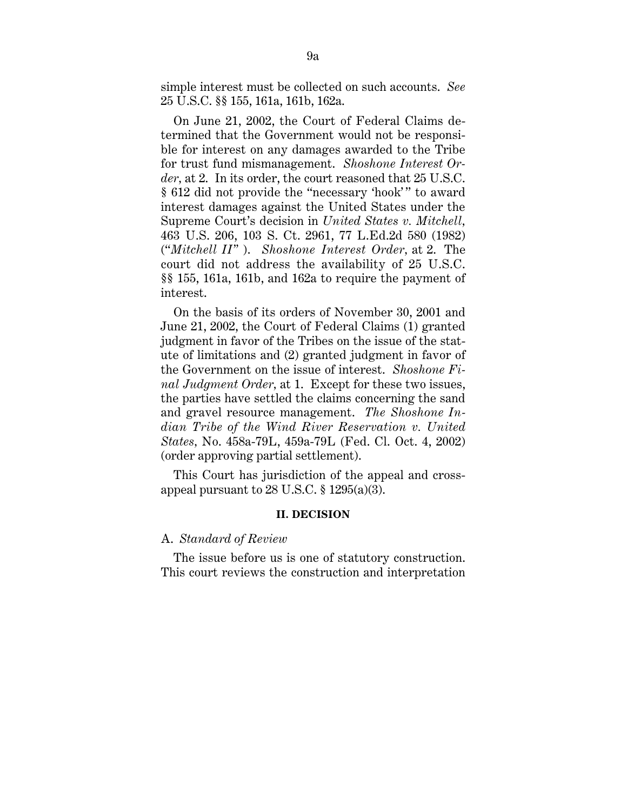simple interest must be collected on such accounts. *See* 25 U.S.C. §§ 155, 161a, 161b, 162a.

On June 21, 2002, the Court of Federal Claims determined that the Government would not be responsible for interest on any damages awarded to the Tribe for trust fund mismanagement. *Shoshone Interest Order,* at 2. In its order, the court reasoned that 25 U.S.C. § 612 did not provide the "necessary 'hook' " to award interest damages against the United States under the Supreme Court's decision in *United States v. Mitchell,* 463 U.S. 206, 103 S. Ct. 2961, 77 L.Ed.2d 580 (1982) ("*Mitchell II"* ). *Shoshone Interest Order,* at 2. The court did not address the availability of 25 U.S.C. §§ 155, 161a, 161b, and 162a to require the payment of interest.

On the basis of its orders of November 30, 2001 and June 21, 2002, the Court of Federal Claims (1) granted judgment in favor of the Tribes on the issue of the statute of limitations and (2) granted judgment in favor of the Government on the issue of interest. *Shoshone Final Judgment Order,* at 1. Except for these two issues, the parties have settled the claims concerning the sand and gravel resource management. *The Shoshone Indian Tribe of the Wind River Reservation v. United States,* No. 458a-79L, 459a-79L (Fed. Cl. Oct. 4, 2002) (order approving partial settlement).

This Court has jurisdiction of the appeal and crossappeal pursuant to 28 U.S.C.  $\S$  1295(a)(3).

#### **II. DECISION**

# A. *Standard of Review*

The issue before us is one of statutory construction. This court reviews the construction and interpretation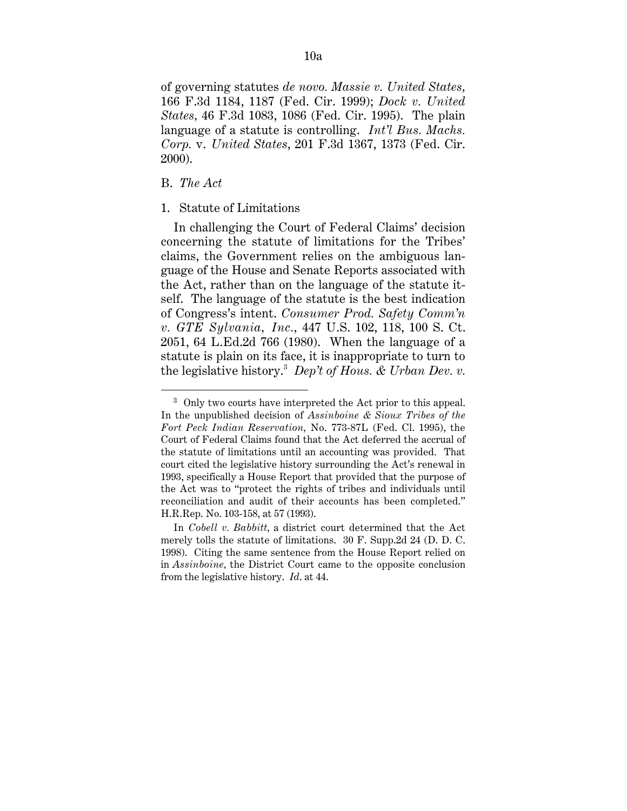of governing statutes *de novo. Massie v. United States,* 166 F.3d 1184, 1187 (Fed. Cir. 1999); *Dock v. United States,* 46 F.3d 1083, 1086 (Fed. Cir. 1995). The plain language of a statute is controlling. *Int'l Bus. Machs. Corp.* v. *United States*, 201 F.3d 1367, 1373 (Fed. Cir. 2000).

# B. *The Act*

1

# 1. Statute of Limitations

In challenging the Court of Federal Claims' decision concerning the statute of limitations for the Tribes' claims, the Government relies on the ambiguous language of the House and Senate Reports associated with the Act, rather than on the language of the statute itself. The language of the statute is the best indication of Congress's intent. *Consumer Prod. Safety Comm'n v. GTE Sylvania, Inc.,* 447 U.S. 102, 118, 100 S. Ct. 2051, 64 L.Ed.2d 766 (1980). When the language of a statute is plain on its face, it is inappropriate to turn to the legislative history.3 *Dep't of Hous. & Urban Dev. v.*

<sup>3</sup> Only two courts have interpreted the Act prior to this appeal. In the unpublished decision of *Assinboine & Sioux Tribes of the Fort Peck Indian Reservation,* No. 773-87L (Fed. Cl. 1995), the Court of Federal Claims found that the Act deferred the accrual of the statute of limitations until an accounting was provided. That court cited the legislative history surrounding the Act's renewal in 1993, specifically a House Report that provided that the purpose of the Act was to "protect the rights of tribes and individuals until reconciliation and audit of their accounts has been completed." H.R.Rep. No. 103-158, at 57 (1993).

In *Cobell v. Babbitt,* a district court determined that the Act merely tolls the statute of limitations. 30 F. Supp.2d 24 (D. D. C. 1998). Citing the same sentence from the House Report relied on in *Assinboine,* the District Court came to the opposite conclusion from the legislative history. *Id*. at 44.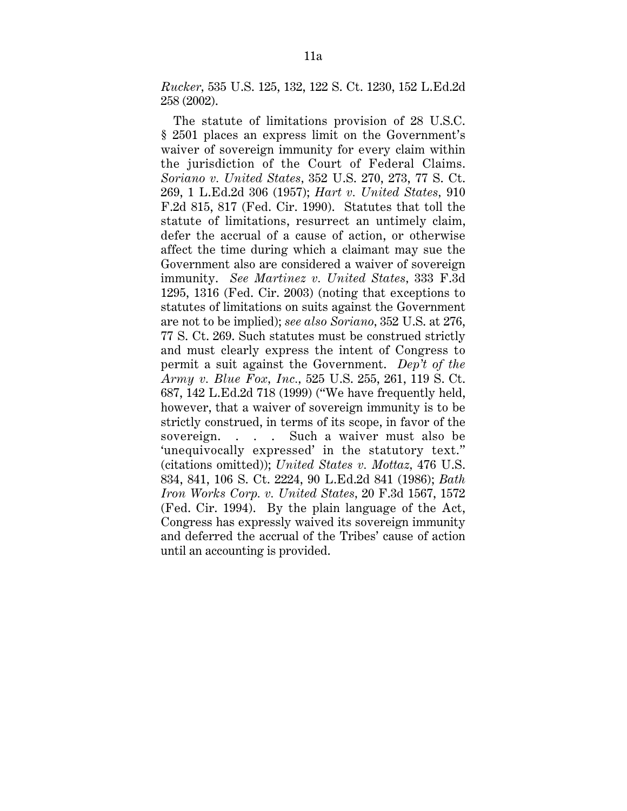*Rucker,* 535 U.S. 125, 132, 122 S. Ct. 1230, 152 L.Ed.2d 258 (2002).

The statute of limitations provision of 28 U.S.C. § 2501 places an express limit on the Government's waiver of sovereign immunity for every claim within the jurisdiction of the Court of Federal Claims. *Soriano v. United States,* 352 U.S. 270, 273, 77 S. Ct. 269, 1 L.Ed.2d 306 (1957); *Hart v. United States,* 910 F.2d 815, 817 (Fed. Cir. 1990). Statutes that toll the statute of limitations, resurrect an untimely claim, defer the accrual of a cause of action, or otherwise affect the time during which a claimant may sue the Government also are considered a waiver of sovereign immunity. *See Martinez v. United States,* 333 F.3d 1295, 1316 (Fed. Cir. 2003) (noting that exceptions to statutes of limitations on suits against the Government are not to be implied); *see also Soriano,* 352 U.S. at 276, 77 S. Ct. 269. Such statutes must be construed strictly and must clearly express the intent of Congress to permit a suit against the Government. *Dep't of the Army v. Blue Fox, Inc.,* 525 U.S. 255, 261, 119 S. Ct. 687, 142 L.Ed.2d 718 (1999) ("We have frequently held, however, that a waiver of sovereign immunity is to be strictly construed, in terms of its scope, in favor of the sovereign. . . . Such a waiver must also be 'unequivocally expressed' in the statutory text." (citations omitted)); *United States v. Mottaz,* 476 U.S. 834, 841, 106 S. Ct. 2224, 90 L.Ed.2d 841 (1986); *Bath Iron Works Corp. v. United States,* 20 F.3d 1567, 1572 (Fed. Cir. 1994). By the plain language of the Act, Congress has expressly waived its sovereign immunity and deferred the accrual of the Tribes' cause of action until an accounting is provided.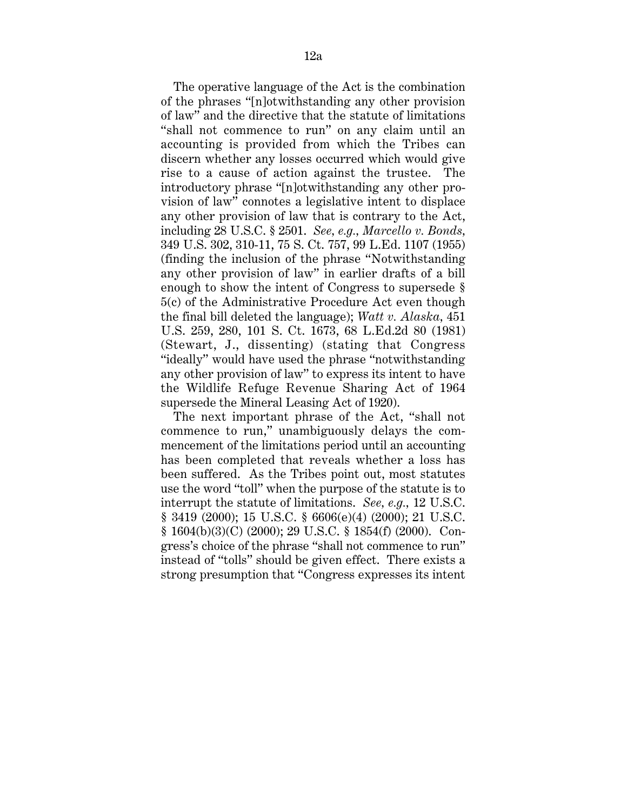The operative language of the Act is the combination of the phrases "[n]otwithstanding any other provision of law" and the directive that the statute of limitations "shall not commence to run" on any claim until an accounting is provided from which the Tribes can discern whether any losses occurred which would give rise to a cause of action against the trustee. The introductory phrase "[n]otwithstanding any other provision of law" connotes a legislative intent to displace any other provision of law that is contrary to the Act, including 28 U.S.C. § 2501. *See, e.g., Marcello v. Bonds,* 349 U.S. 302, 310-11, 75 S. Ct. 757, 99 L.Ed. 1107 (1955) (finding the inclusion of the phrase "Notwithstanding any other provision of law" in earlier drafts of a bill enough to show the intent of Congress to supersede § 5(c) of the Administrative Procedure Act even though the final bill deleted the language); *Watt v. Alaska,* 451 U.S. 259, 280, 101 S. Ct. 1673, 68 L.Ed.2d 80 (1981) (Stewart, J., dissenting) (stating that Congress "ideally" would have used the phrase "notwithstanding any other provision of law" to express its intent to have the Wildlife Refuge Revenue Sharing Act of 1964 supersede the Mineral Leasing Act of 1920).

The next important phrase of the Act, "shall not commence to run," unambiguously delays the commencement of the limitations period until an accounting has been completed that reveals whether a loss has been suffered. As the Tribes point out, most statutes use the word "toll" when the purpose of the statute is to interrupt the statute of limitations. *See, e.g.,* 12 U.S.C. § 3419 (2000); 15 U.S.C. § 6606(e)(4) (2000); 21 U.S.C. § 1604(b)(3)(C) (2000); 29 U.S.C. § 1854(f) (2000). Congress's choice of the phrase "shall not commence to run" instead of "tolls" should be given effect. There exists a strong presumption that "Congress expresses its intent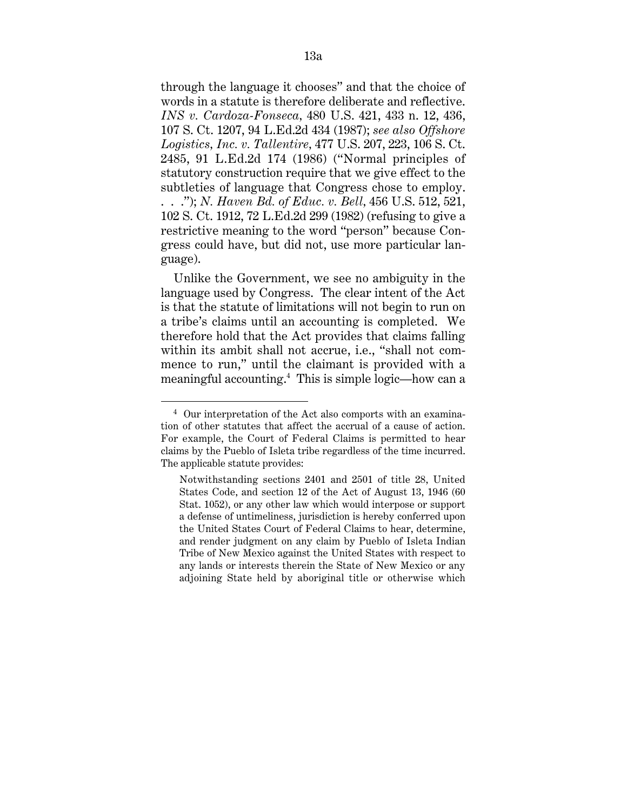through the language it chooses" and that the choice of words in a statute is therefore deliberate and reflective. *INS v. Cardoza-Fonseca,* 480 U.S. 421, 433 n. 12, 436, 107 S. Ct. 1207, 94 L.Ed.2d 434 (1987); *see also Offshore Logistics, Inc. v. Tallentire,* 477 U.S. 207, 223, 106 S. Ct. 2485, 91 L.Ed.2d 174 (1986) ("Normal principles of statutory construction require that we give effect to the subtleties of language that Congress chose to employ. . . ."); *N. Haven Bd. of Educ. v. Bell,* 456 U.S. 512, 521, 102 S. Ct. 1912, 72 L.Ed.2d 299 (1982) (refusing to give a restrictive meaning to the word "person" because Congress could have, but did not, use more particular language).

Unlike the Government, we see no ambiguity in the language used by Congress. The clear intent of the Act is that the statute of limitations will not begin to run on a tribe's claims until an accounting is completed. We therefore hold that the Act provides that claims falling within its ambit shall not accrue, i.e., "shall not commence to run," until the claimant is provided with a meaningful accounting.4 This is simple logic—how can a

<sup>4</sup> Our interpretation of the Act also comports with an examination of other statutes that affect the accrual of a cause of action. For example, the Court of Federal Claims is permitted to hear claims by the Pueblo of Isleta tribe regardless of the time incurred. The applicable statute provides:

Notwithstanding sections 2401 and 2501 of title 28, United States Code, and section 12 of the Act of August 13, 1946 (60 Stat. 1052), or any other law which would interpose or support a defense of untimeliness, jurisdiction is hereby conferred upon the United States Court of Federal Claims to hear, determine, and render judgment on any claim by Pueblo of Isleta Indian Tribe of New Mexico against the United States with respect to any lands or interests therein the State of New Mexico or any adjoining State held by aboriginal title or otherwise which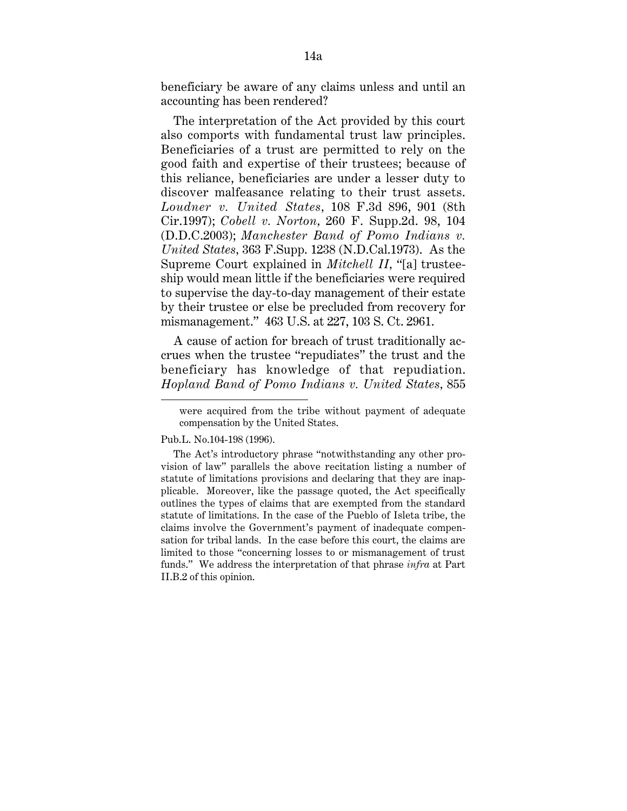beneficiary be aware of any claims unless and until an accounting has been rendered?

The interpretation of the Act provided by this court also comports with fundamental trust law principles. Beneficiaries of a trust are permitted to rely on the good faith and expertise of their trustees; because of this reliance, beneficiaries are under a lesser duty to discover malfeasance relating to their trust assets. *Loudner v. United States,* 108 F.3d 896, 901 (8th Cir.1997); *Cobell v. Norton,* 260 F. Supp.2d. 98, 104 (D.D.C.2003); *Manchester Band of Pomo Indians v. United States,* 363 F.Supp. 1238 (N.D.Cal.1973). As the Supreme Court explained in *Mitchell II,* "[a] trusteeship would mean little if the beneficiaries were required to supervise the day-to-day management of their estate by their trustee or else be precluded from recovery for mismanagement." 463 U.S. at 227, 103 S. Ct. 2961.

A cause of action for breach of trust traditionally accrues when the trustee "repudiates" the trust and the beneficiary has knowledge of that repudiation. *Hopland Band of Pomo Indians v. United States,* 855

Pub.L. No.104-198 (1996).

were acquired from the tribe without payment of adequate compensation by the United States.

The Act's introductory phrase "notwithstanding any other provision of law" parallels the above recitation listing a number of statute of limitations provisions and declaring that they are inapplicable. Moreover, like the passage quoted, the Act specifically outlines the types of claims that are exempted from the standard statute of limitations. In the case of the Pueblo of Isleta tribe, the claims involve the Government's payment of inadequate compensation for tribal lands. In the case before this court, the claims are limited to those "concerning losses to or mismanagement of trust funds." We address the interpretation of that phrase *infra* at Part II.B.2 of this opinion.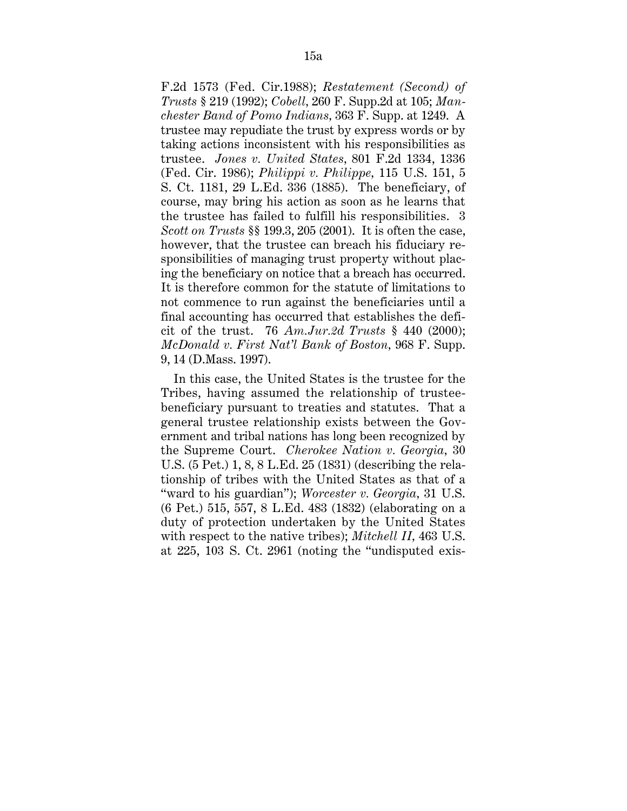F.2d 1573 (Fed. Cir.1988); *Restatement (Second) of Trusts* § 219 (1992); *Cobell,* 260 F. Supp.2d at 105; *Manchester Band of Pomo Indians,* 363 F. Supp. at 1249. A trustee may repudiate the trust by express words or by taking actions inconsistent with his responsibilities as trustee. *Jones v. United States,* 801 F.2d 1334, 1336 (Fed. Cir. 1986); *Philippi v. Philippe,* 115 U.S. 151, 5 S. Ct. 1181, 29 L.Ed. 336 (1885). The beneficiary, of course, may bring his action as soon as he learns that the trustee has failed to fulfill his responsibilities. 3 *Scott on Trusts* §§ 199.3, 205 (2001). It is often the case, however, that the trustee can breach his fiduciary responsibilities of managing trust property without placing the beneficiary on notice that a breach has occurred. It is therefore common for the statute of limitations to not commence to run against the beneficiaries until a final accounting has occurred that establishes the deficit of the trust. 76 *Am.Jur.2d Trusts* § 440 (2000); *McDonald v. First Nat'l Bank of Boston,* 968 F. Supp. 9, 14 (D.Mass. 1997).

In this case, the United States is the trustee for the Tribes, having assumed the relationship of trusteebeneficiary pursuant to treaties and statutes. That a general trustee relationship exists between the Government and tribal nations has long been recognized by the Supreme Court. *Cherokee Nation v. Georgia,* 30 U.S. (5 Pet.) 1, 8, 8 L.Ed. 25 (1831) (describing the relationship of tribes with the United States as that of a "ward to his guardian"); *Worcester v. Georgia,* 31 U.S. (6 Pet.) 515, 557, 8 L.Ed. 483 (1832) (elaborating on a duty of protection undertaken by the United States with respect to the native tribes); *Mitchell II,* 463 U.S. at 225, 103 S. Ct. 2961 (noting the "undisputed exis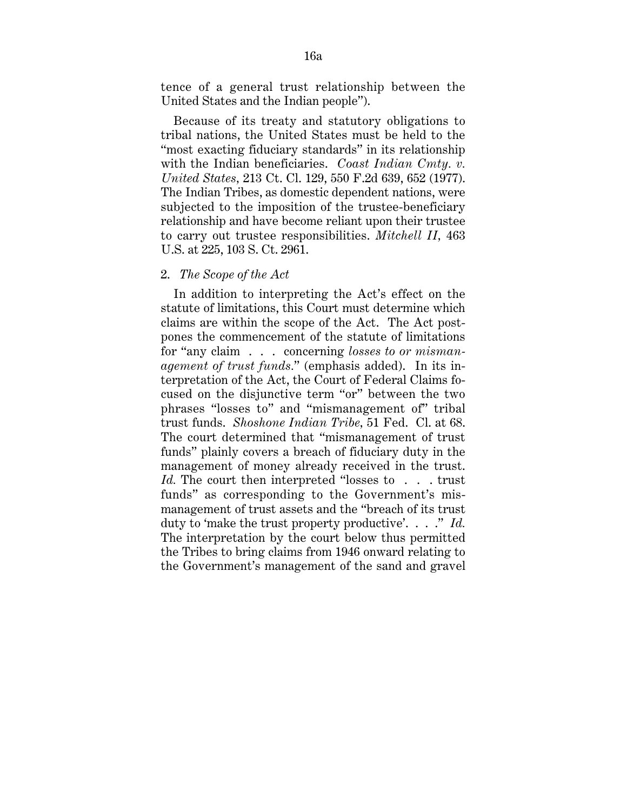tence of a general trust relationship between the United States and the Indian people").

Because of its treaty and statutory obligations to tribal nations, the United States must be held to the "most exacting fiduciary standards" in its relationship with the Indian beneficiaries. *Coast Indian Cmty. v. United States,* 213 Ct. Cl. 129, 550 F.2d 639, 652 (1977). The Indian Tribes, as domestic dependent nations, were subjected to the imposition of the trustee-beneficiary relationship and have become reliant upon their trustee to carry out trustee responsibilities. *Mitchell II,* 463 U.S. at 225, 103 S. Ct. 2961.

# 2. *The Scope of the Act*

In addition to interpreting the Act's effect on the statute of limitations, this Court must determine which claims are within the scope of the Act. The Act postpones the commencement of the statute of limitations for "any claim . . . concerning *losses to or mismanagement of trust funds.*" (emphasis added). In its interpretation of the Act, the Court of Federal Claims focused on the disjunctive term "or" between the two phrases "losses to" and "mismanagement of" tribal trust funds. *Shoshone Indian Tribe,* 51 Fed. Cl. at 68. The court determined that "mismanagement of trust funds" plainly covers a breach of fiduciary duty in the management of money already received in the trust. *Id.* The court then interpreted "losses to . . . trust funds" as corresponding to the Government's mismanagement of trust assets and the "breach of its trust duty to 'make the trust property productive'. . . ." *Id.* The interpretation by the court below thus permitted the Tribes to bring claims from 1946 onward relating to the Government's management of the sand and gravel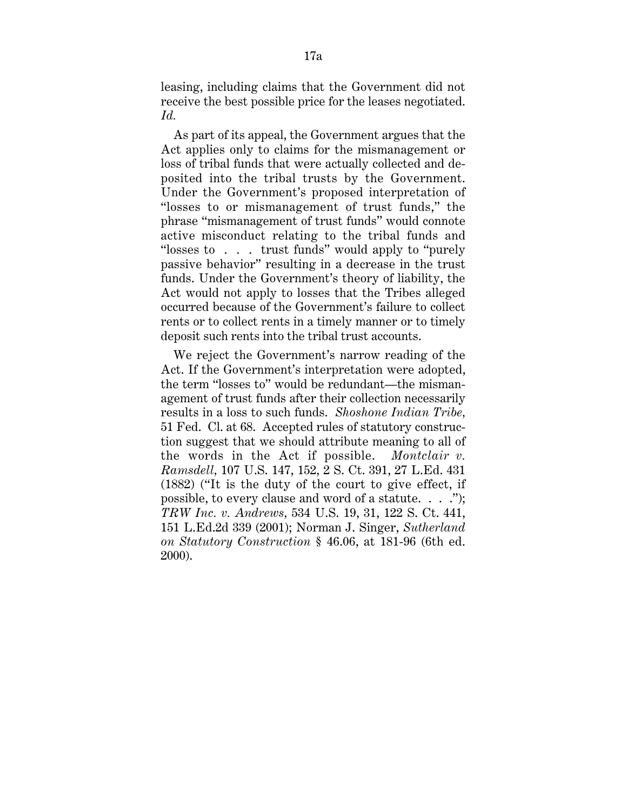leasing, including claims that the Government did not receive the best possible price for the leases negotiated. *Id.*

As part of its appeal, the Government argues that the Act applies only to claims for the mismanagement or loss of tribal funds that were actually collected and deposited into the tribal trusts by the Government. Under the Government's proposed interpretation of "losses to or mismanagement of trust funds," the phrase "mismanagement of trust funds" would connote active misconduct relating to the tribal funds and "losses to . . . trust funds" would apply to "purely passive behavior" resulting in a decrease in the trust funds. Under the Government's theory of liability, the Act would not apply to losses that the Tribes alleged occurred because of the Government's failure to collect rents or to collect rents in a timely manner or to timely deposit such rents into the tribal trust accounts.

We reject the Government's narrow reading of the Act. If the Government's interpretation were adopted, the term "losses to" would be redundant—the mismanagement of trust funds after their collection necessarily results in a loss to such funds. *Shoshone Indian Tribe,* 51 Fed. Cl. at 68. Accepted rules of statutory construction suggest that we should attribute meaning to all of the words in the Act if possible. *Montclair v. Ramsdell,* 107 U.S. 147, 152, 2 S. Ct. 391, 27 L.Ed. 431 (1882) ("It is the duty of the court to give effect, if possible, to every clause and word of a statute. . . ."); *TRW Inc. v. Andrews,* 534 U.S. 19, 31, 122 S. Ct. 441, 151 L.Ed.2d 339 (2001); Norman J. Singer, *Sutherland on Statutory Construction* § 46.06, at 181-96 (6th ed. 2000).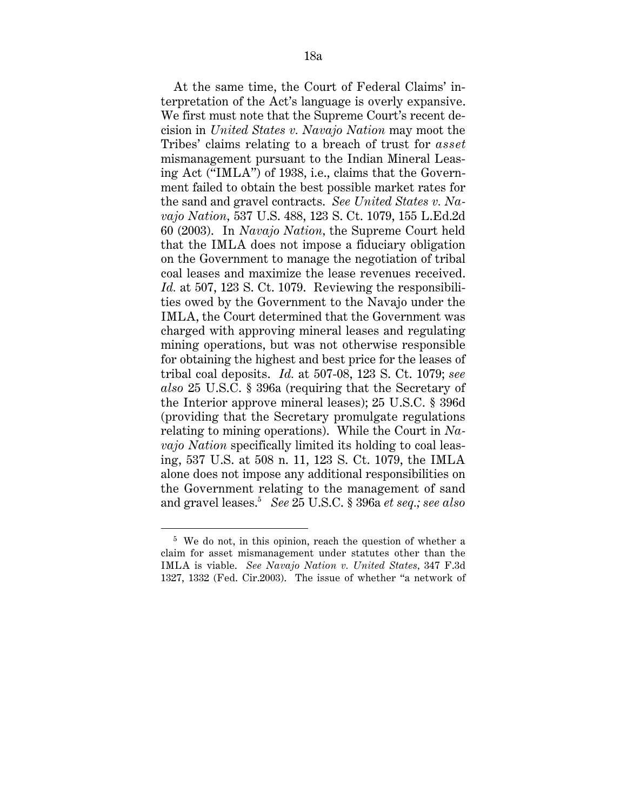At the same time, the Court of Federal Claims' interpretation of the Act's language is overly expansive. We first must note that the Supreme Court's recent decision in *United States v. Navajo Nation* may moot the Tribes' claims relating to a breach of trust for *asset* mismanagement pursuant to the Indian Mineral Leasing Act ("IMLA") of 1938, i.e., claims that the Government failed to obtain the best possible market rates for the sand and gravel contracts. *See United States v. Navajo Nation,* 537 U.S. 488, 123 S. Ct. 1079, 155 L.Ed.2d 60 (2003). In *Navajo Nation,* the Supreme Court held that the IMLA does not impose a fiduciary obligation on the Government to manage the negotiation of tribal coal leases and maximize the lease revenues received. *Id.* at 507, 123 S. Ct. 1079. Reviewing the responsibilities owed by the Government to the Navajo under the IMLA, the Court determined that the Government was charged with approving mineral leases and regulating mining operations, but was not otherwise responsible for obtaining the highest and best price for the leases of tribal coal deposits. *Id.* at 507-08, 123 S. Ct. 1079; *see also* 25 U.S.C. § 396a (requiring that the Secretary of the Interior approve mineral leases); 25 U.S.C. § 396d (providing that the Secretary promulgate regulations relating to mining operations). While the Court in *Navajo Nation* specifically limited its holding to coal leasing, 537 U.S. at 508 n. 11, 123 S. Ct. 1079, the IMLA alone does not impose any additional responsibilities on the Government relating to the management of sand and gravel leases.5 *See* 25 U.S.C. § 396a *et seq.; see also*

<sup>5</sup> We do not, in this opinion, reach the question of whether a claim for asset mismanagement under statutes other than the IMLA is viable. *See Navajo Nation v. United States,* 347 F.3d 1327, 1332 (Fed. Cir.2003). The issue of whether "a network of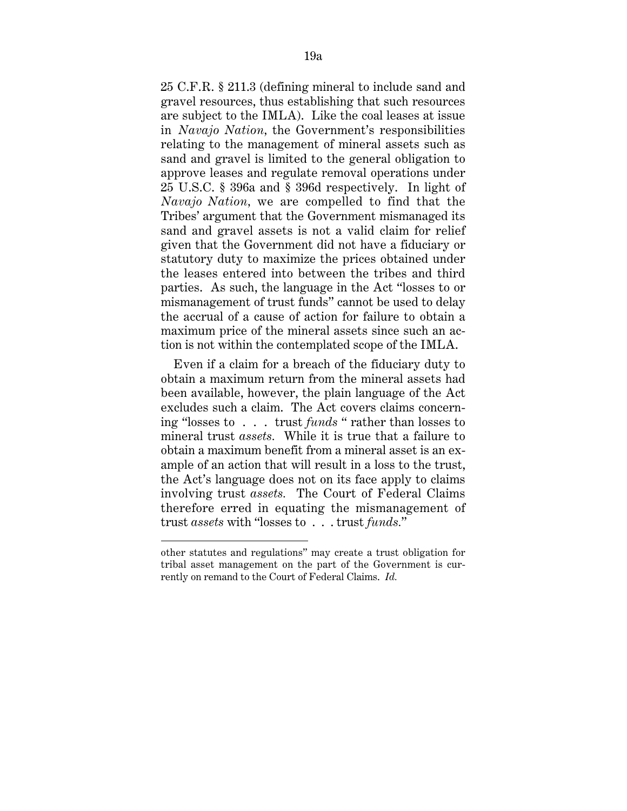25 C.F.R. § 211.3 (defining mineral to include sand and gravel resources, thus establishing that such resources are subject to the IMLA). Like the coal leases at issue in *Navajo Nation,* the Government's responsibilities relating to the management of mineral assets such as sand and gravel is limited to the general obligation to approve leases and regulate removal operations under 25 U.S.C. § 396a and § 396d respectively. In light of *Navajo Nation,* we are compelled to find that the Tribes' argument that the Government mismanaged its sand and gravel assets is not a valid claim for relief given that the Government did not have a fiduciary or statutory duty to maximize the prices obtained under the leases entered into between the tribes and third parties. As such, the language in the Act "losses to or mismanagement of trust funds" cannot be used to delay the accrual of a cause of action for failure to obtain a maximum price of the mineral assets since such an action is not within the contemplated scope of the IMLA.

Even if a claim for a breach of the fiduciary duty to obtain a maximum return from the mineral assets had been available, however, the plain language of the Act excludes such a claim. The Act covers claims concerning "losses to . . . trust *funds* " rather than losses to mineral trust *assets.* While it is true that a failure to obtain a maximum benefit from a mineral asset is an example of an action that will result in a loss to the trust, the Act's language does not on its face apply to claims involving trust *assets.* The Court of Federal Claims therefore erred in equating the mismanagement of trust *assets* with "losses to . . . trust *funds.*"

other statutes and regulations" may create a trust obligation for tribal asset management on the part of the Government is currently on remand to the Court of Federal Claims. *Id.*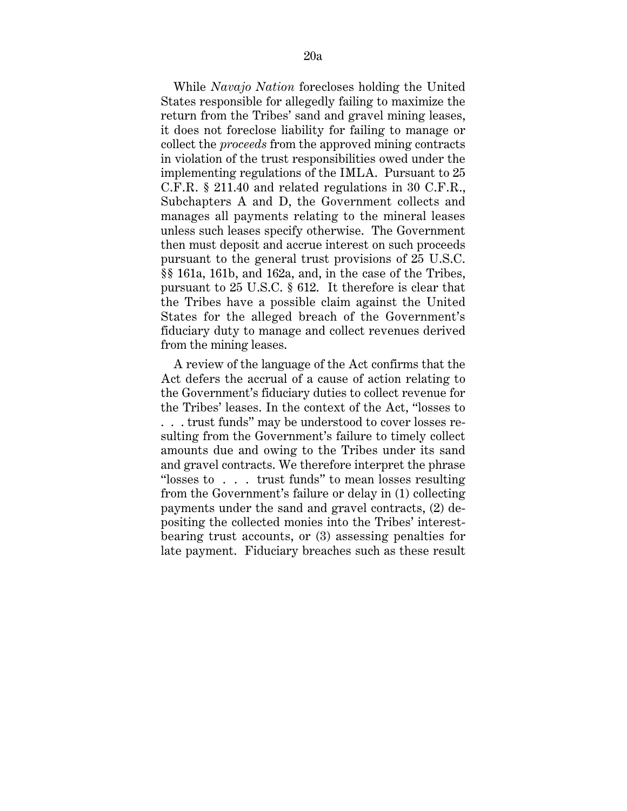While *Navajo Nation* forecloses holding the United States responsible for allegedly failing to maximize the return from the Tribes' sand and gravel mining leases, it does not foreclose liability for failing to manage or collect the *proceeds* from the approved mining contracts in violation of the trust responsibilities owed under the implementing regulations of the IMLA. Pursuant to 25 C.F.R. § 211.40 and related regulations in 30 C.F.R., Subchapters A and D, the Government collects and manages all payments relating to the mineral leases unless such leases specify otherwise. The Government then must deposit and accrue interest on such proceeds pursuant to the general trust provisions of 25 U.S.C. §§ 161a, 161b, and 162a, and, in the case of the Tribes, pursuant to 25 U.S.C. § 612. It therefore is clear that the Tribes have a possible claim against the United States for the alleged breach of the Government's fiduciary duty to manage and collect revenues derived from the mining leases.

A review of the language of the Act confirms that the Act defers the accrual of a cause of action relating to the Government's fiduciary duties to collect revenue for the Tribes' leases. In the context of the Act, "losses to . . . trust funds" may be understood to cover losses resulting from the Government's failure to timely collect amounts due and owing to the Tribes under its sand and gravel contracts. We therefore interpret the phrase "losses to . . . trust funds" to mean losses resulting from the Government's failure or delay in (1) collecting payments under the sand and gravel contracts, (2) depositing the collected monies into the Tribes' interestbearing trust accounts, or (3) assessing penalties for late payment. Fiduciary breaches such as these result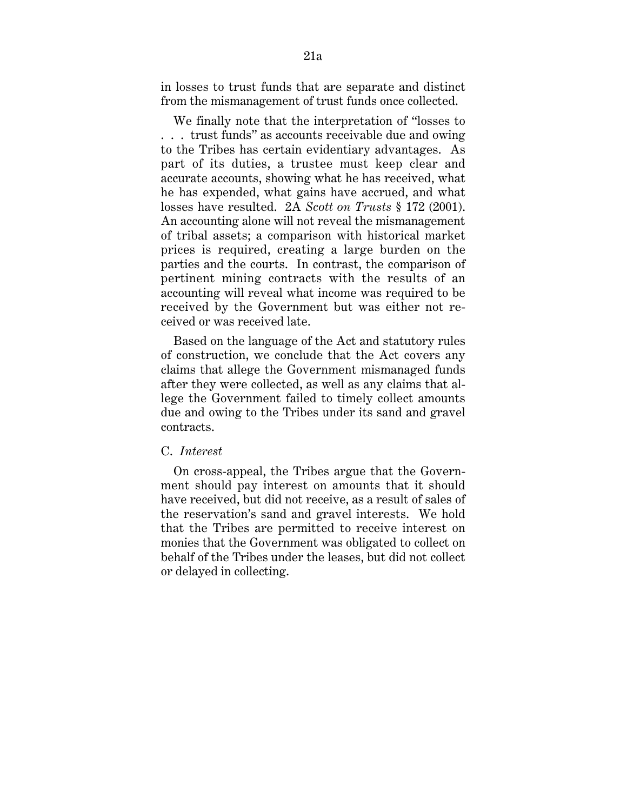in losses to trust funds that are separate and distinct from the mismanagement of trust funds once collected.

We finally note that the interpretation of "losses to . . . trust funds" as accounts receivable due and owing to the Tribes has certain evidentiary advantages. As part of its duties, a trustee must keep clear and accurate accounts, showing what he has received, what he has expended, what gains have accrued, and what losses have resulted. 2A *Scott on Trusts* § 172 (2001). An accounting alone will not reveal the mismanagement of tribal assets; a comparison with historical market prices is required, creating a large burden on the parties and the courts. In contrast, the comparison of pertinent mining contracts with the results of an accounting will reveal what income was required to be received by the Government but was either not received or was received late.

Based on the language of the Act and statutory rules of construction, we conclude that the Act covers any claims that allege the Government mismanaged funds after they were collected, as well as any claims that allege the Government failed to timely collect amounts due and owing to the Tribes under its sand and gravel contracts.

## C. *Interest*

On cross-appeal, the Tribes argue that the Government should pay interest on amounts that it should have received, but did not receive, as a result of sales of the reservation's sand and gravel interests. We hold that the Tribes are permitted to receive interest on monies that the Government was obligated to collect on behalf of the Tribes under the leases, but did not collect or delayed in collecting.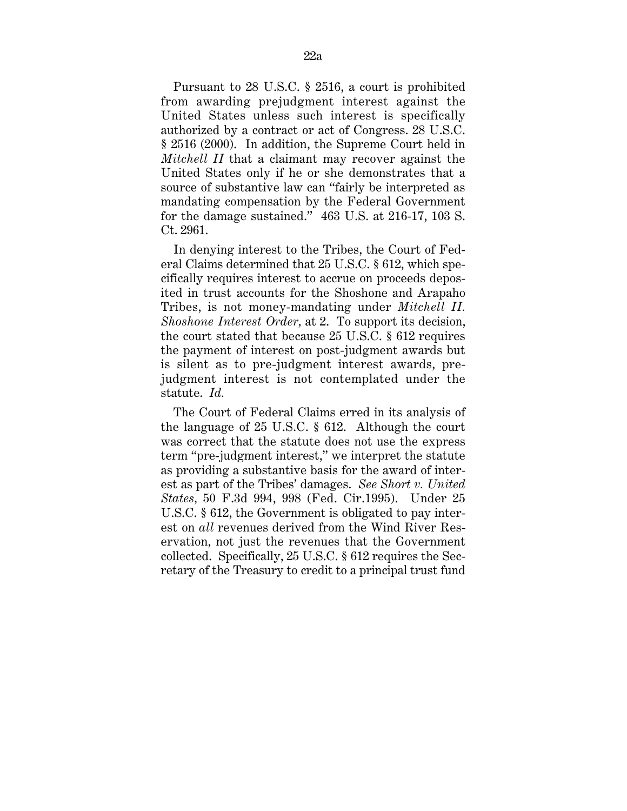Pursuant to 28 U.S.C. § 2516, a court is prohibited from awarding prejudgment interest against the United States unless such interest is specifically authorized by a contract or act of Congress. 28 U.S.C. § 2516 (2000). In addition, the Supreme Court held in *Mitchell II* that a claimant may recover against the United States only if he or she demonstrates that a source of substantive law can "fairly be interpreted as mandating compensation by the Federal Government for the damage sustained." 463 U.S. at 216-17, 103 S. Ct. 2961.

In denying interest to the Tribes, the Court of Federal Claims determined that 25 U.S.C. § 612, which specifically requires interest to accrue on proceeds deposited in trust accounts for the Shoshone and Arapaho Tribes, is not money-mandating under *Mitchell II. Shoshone Interest Order,* at 2. To support its decision, the court stated that because 25 U.S.C. § 612 requires the payment of interest on post-judgment awards but is silent as to pre-judgment interest awards, prejudgment interest is not contemplated under the statute. *Id.*

The Court of Federal Claims erred in its analysis of the language of 25 U.S.C. § 612. Although the court was correct that the statute does not use the express term "pre-judgment interest," we interpret the statute as providing a substantive basis for the award of interest as part of the Tribes' damages. *See Short v. United States,* 50 F.3d 994, 998 (Fed. Cir.1995). Under 25 U.S.C. § 612, the Government is obligated to pay interest on *all* revenues derived from the Wind River Reservation, not just the revenues that the Government collected. Specifically, 25 U.S.C. § 612 requires the Secretary of the Treasury to credit to a principal trust fund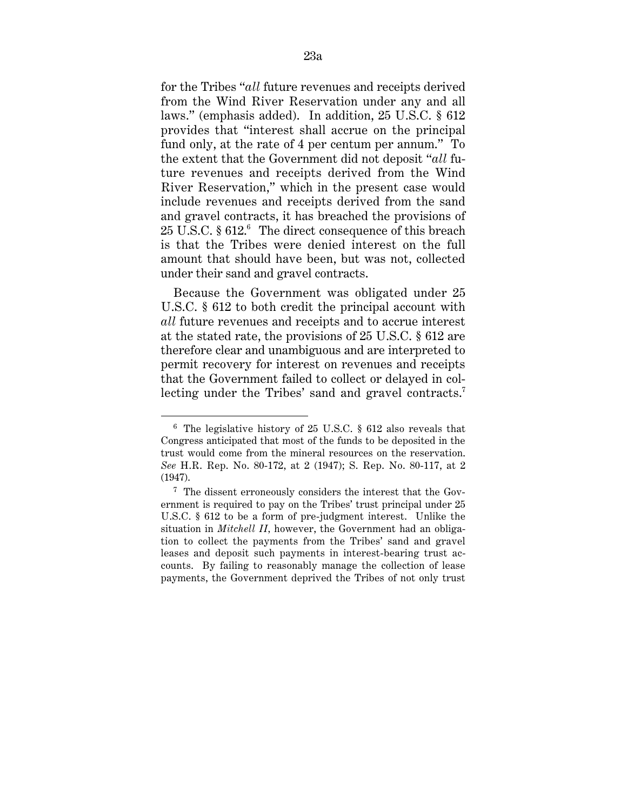for the Tribes "*all* future revenues and receipts derived from the Wind River Reservation under any and all laws." (emphasis added). In addition, 25 U.S.C. § 612 provides that "interest shall accrue on the principal fund only, at the rate of 4 per centum per annum." To the extent that the Government did not deposit "*all* future revenues and receipts derived from the Wind River Reservation," which in the present case would include revenues and receipts derived from the sand and gravel contracts, it has breached the provisions of 25 U.S.C. § 612.6 The direct consequence of this breach is that the Tribes were denied interest on the full amount that should have been, but was not, collected under their sand and gravel contracts.

Because the Government was obligated under 25 U.S.C. § 612 to both credit the principal account with *all* future revenues and receipts and to accrue interest at the stated rate, the provisions of 25 U.S.C. § 612 are therefore clear and unambiguous and are interpreted to permit recovery for interest on revenues and receipts that the Government failed to collect or delayed in collecting under the Tribes' sand and gravel contracts.<sup>7</sup>

 <sup>6</sup> The legislative history of 25 U.S.C. § 612 also reveals that Congress anticipated that most of the funds to be deposited in the trust would come from the mineral resources on the reservation. *See* H.R. Rep. No. 80-172, at 2 (1947); S. Rep. No. 80-117, at 2 (1947).

<sup>7</sup> The dissent erroneously considers the interest that the Government is required to pay on the Tribes' trust principal under 25 U.S.C. § 612 to be a form of pre-judgment interest. Unlike the situation in *Mitchell II,* however, the Government had an obligation to collect the payments from the Tribes' sand and gravel leases and deposit such payments in interest-bearing trust accounts. By failing to reasonably manage the collection of lease payments, the Government deprived the Tribes of not only trust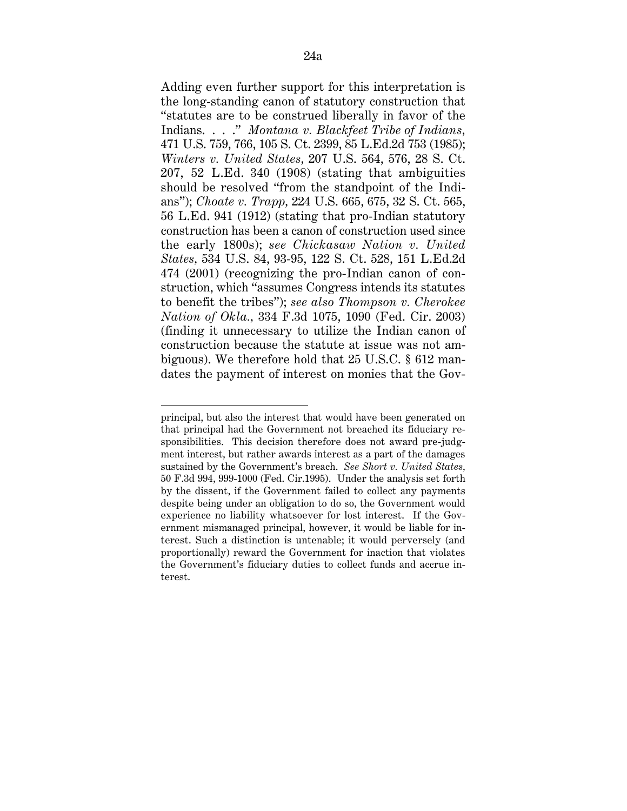Adding even further support for this interpretation is the long-standing canon of statutory construction that "statutes are to be construed liberally in favor of the Indians. . . ." *Montana v. Blackfeet Tribe of Indians,* 471 U.S. 759, 766, 105 S. Ct. 2399, 85 L.Ed.2d 753 (1985); *Winters v. United States,* 207 U.S. 564, 576, 28 S. Ct. 207, 52 L.Ed. 340 (1908) (stating that ambiguities should be resolved "from the standpoint of the Indians"); *Choate v. Trapp,* 224 U.S. 665, 675, 32 S. Ct. 565, 56 L.Ed. 941 (1912) (stating that pro-Indian statutory construction has been a canon of construction used since the early 1800s); *see Chickasaw Nation v. United States,* 534 U.S. 84, 93-95, 122 S. Ct. 528, 151 L.Ed.2d 474 (2001) (recognizing the pro-Indian canon of construction, which "assumes Congress intends its statutes to benefit the tribes"); *see also Thompson v. Cherokee Nation of Okla.,* 334 F.3d 1075, 1090 (Fed. Cir. 2003) (finding it unnecessary to utilize the Indian canon of construction because the statute at issue was not ambiguous). We therefore hold that 25 U.S.C. § 612 mandates the payment of interest on monies that the Gov-

principal, but also the interest that would have been generated on that principal had the Government not breached its fiduciary responsibilities. This decision therefore does not award pre-judgment interest, but rather awards interest as a part of the damages sustained by the Government's breach. *See Short v. United States,* 50 F.3d 994, 999-1000 (Fed. Cir.1995). Under the analysis set forth by the dissent, if the Government failed to collect any payments despite being under an obligation to do so, the Government would experience no liability whatsoever for lost interest. If the Government mismanaged principal, however, it would be liable for interest. Such a distinction is untenable; it would perversely (and proportionally) reward the Government for inaction that violates the Government's fiduciary duties to collect funds and accrue interest.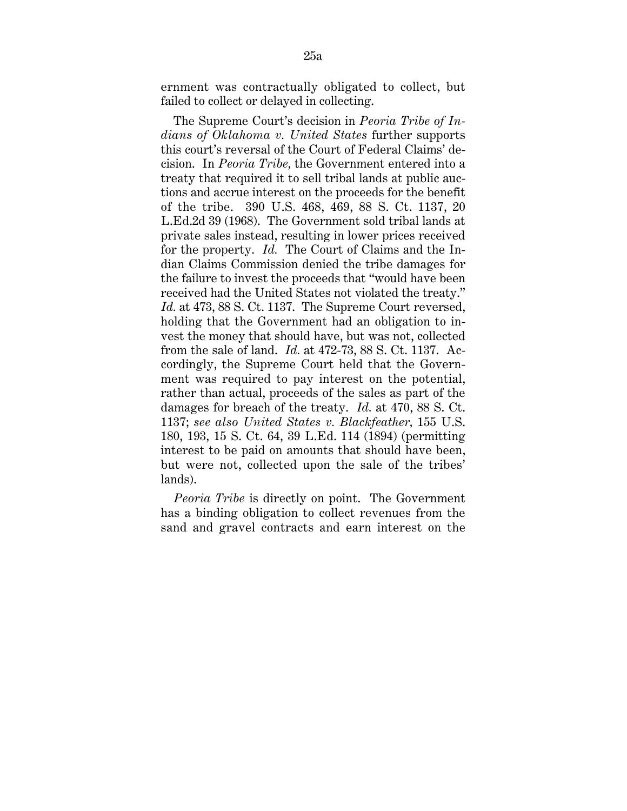ernment was contractually obligated to collect, but failed to collect or delayed in collecting.

The Supreme Court's decision in *Peoria Tribe of Indians of Oklahoma v. United States* further supports this court's reversal of the Court of Federal Claims' decision. In *Peoria Tribe,* the Government entered into a treaty that required it to sell tribal lands at public auctions and accrue interest on the proceeds for the benefit of the tribe. 390 U.S. 468, 469, 88 S. Ct. 1137, 20 L.Ed.2d 39 (1968). The Government sold tribal lands at private sales instead, resulting in lower prices received for the property. *Id.* The Court of Claims and the Indian Claims Commission denied the tribe damages for the failure to invest the proceeds that "would have been received had the United States not violated the treaty." *Id.* at 473, 88 S. Ct. 1137. The Supreme Court reversed, holding that the Government had an obligation to invest the money that should have, but was not, collected from the sale of land. *Id.* at 472-73, 88 S. Ct. 1137. Accordingly, the Supreme Court held that the Government was required to pay interest on the potential, rather than actual, proceeds of the sales as part of the damages for breach of the treaty. *Id.* at 470, 88 S. Ct. 1137; *see also United States v. Blackfeather,* 155 U.S. 180, 193, 15 S. Ct. 64, 39 L.Ed. 114 (1894) (permitting interest to be paid on amounts that should have been, but were not, collected upon the sale of the tribes' lands).

*Peoria Tribe* is directly on point. The Government has a binding obligation to collect revenues from the sand and gravel contracts and earn interest on the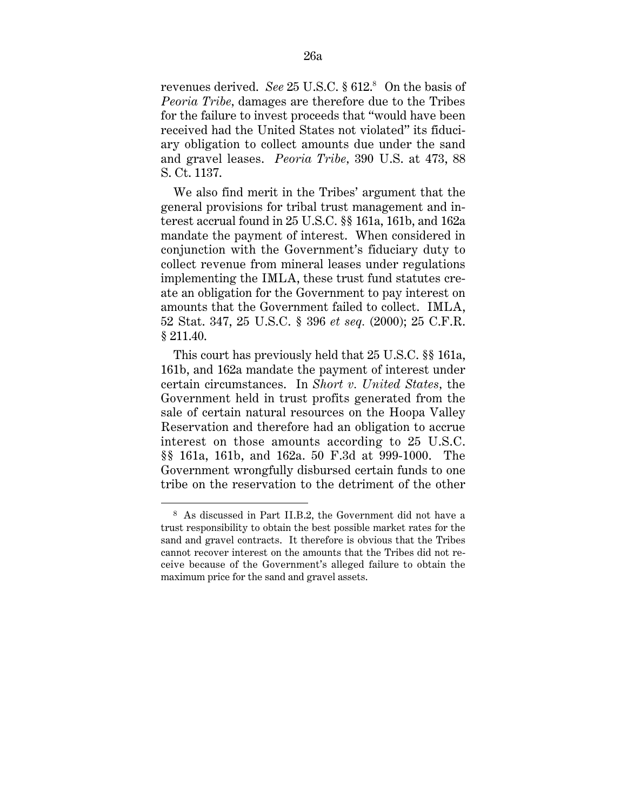revenues derived. *See* 25 U.S.C. § 612.<sup>8</sup> On the basis of *Peoria Tribe,* damages are therefore due to the Tribes for the failure to invest proceeds that "would have been received had the United States not violated" its fiduciary obligation to collect amounts due under the sand and gravel leases. *Peoria Tribe,* 390 U.S. at 473, 88 S. Ct. 1137.

We also find merit in the Tribes' argument that the general provisions for tribal trust management and interest accrual found in 25 U.S.C. §§ 161a, 161b, and 162a mandate the payment of interest. When considered in conjunction with the Government's fiduciary duty to collect revenue from mineral leases under regulations implementing the IMLA, these trust fund statutes create an obligation for the Government to pay interest on amounts that the Government failed to collect. IMLA, 52 Stat. 347, 25 U.S.C. § 396 *et seq.* (2000); 25 C.F.R. § 211.40.

This court has previously held that 25 U.S.C. §§ 161a, 161b, and 162a mandate the payment of interest under certain circumstances. In *Short v. United States,* the Government held in trust profits generated from the sale of certain natural resources on the Hoopa Valley Reservation and therefore had an obligation to accrue interest on those amounts according to 25 U.S.C. §§ 161a, 161b, and 162a. 50 F.3d at 999-1000. The Government wrongfully disbursed certain funds to one tribe on the reservation to the detriment of the other

<sup>8</sup> As discussed in Part II.B.2, the Government did not have a trust responsibility to obtain the best possible market rates for the sand and gravel contracts. It therefore is obvious that the Tribes cannot recover interest on the amounts that the Tribes did not receive because of the Government's alleged failure to obtain the maximum price for the sand and gravel assets.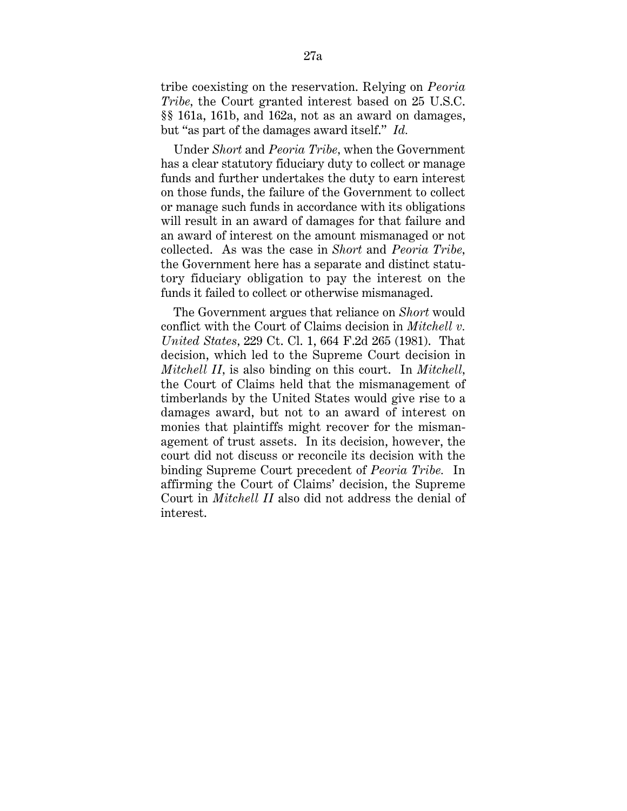tribe coexisting on the reservation. Relying on *Peoria Tribe,* the Court granted interest based on 25 U.S.C. §§ 161a, 161b, and 162a, not as an award on damages, but "as part of the damages award itself." *Id.*

Under *Short* and *Peoria Tribe,* when the Government has a clear statutory fiduciary duty to collect or manage funds and further undertakes the duty to earn interest on those funds, the failure of the Government to collect or manage such funds in accordance with its obligations will result in an award of damages for that failure and an award of interest on the amount mismanaged or not collected. As was the case in *Short* and *Peoria Tribe,* the Government here has a separate and distinct statutory fiduciary obligation to pay the interest on the funds it failed to collect or otherwise mismanaged.

The Government argues that reliance on *Short* would conflict with the Court of Claims decision in *Mitchell v. United States,* 229 Ct. Cl. 1, 664 F.2d 265 (1981). That decision, which led to the Supreme Court decision in *Mitchell II,* is also binding on this court. In *Mitchell,* the Court of Claims held that the mismanagement of timberlands by the United States would give rise to a damages award, but not to an award of interest on monies that plaintiffs might recover for the mismanagement of trust assets. In its decision, however, the court did not discuss or reconcile its decision with the binding Supreme Court precedent of *Peoria Tribe.* In affirming the Court of Claims' decision, the Supreme Court in *Mitchell II* also did not address the denial of interest.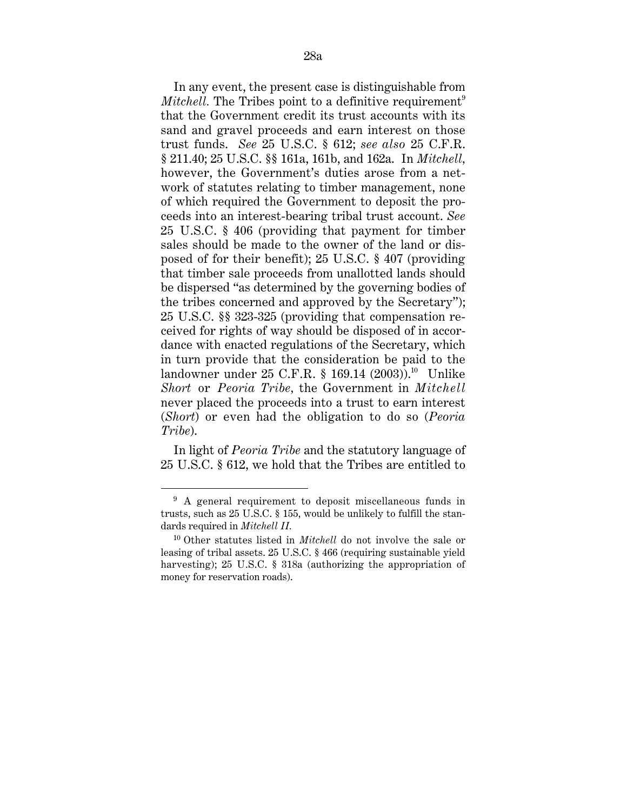In any event, the present case is distinguishable from *Mitchell.* The Tribes point to a definitive requirement<sup>9</sup> that the Government credit its trust accounts with its sand and gravel proceeds and earn interest on those trust funds. *See* 25 U.S.C. § 612; *see also* 25 C.F.R. § 211.40; 25 U.S.C. §§ 161a, 161b, and 162a. In *Mitchell,* however, the Government's duties arose from a network of statutes relating to timber management, none of which required the Government to deposit the proceeds into an interest-bearing tribal trust account. *See* 25 U.S.C. § 406 (providing that payment for timber sales should be made to the owner of the land or disposed of for their benefit); 25 U.S.C. § 407 (providing that timber sale proceeds from unallotted lands should be dispersed "as determined by the governing bodies of the tribes concerned and approved by the Secretary"); 25 U.S.C. §§ 323-325 (providing that compensation received for rights of way should be disposed of in accordance with enacted regulations of the Secretary, which in turn provide that the consideration be paid to the landowner under 25 C.F.R. § 169.14 (2003)).<sup>10</sup> Unlike *Short* or *Peoria Tribe,* the Government in *Mitchell* never placed the proceeds into a trust to earn interest (*Short*) or even had the obligation to do so (*Peoria Tribe*).

In light of *Peoria Tribe* and the statutory language of 25 U.S.C. § 612, we hold that the Tribes are entitled to

1

<sup>&</sup>lt;sup>9</sup> A general requirement to deposit miscellaneous funds in trusts, such as 25 U.S.C. § 155, would be unlikely to fulfill the standards required in *Mitchell II.*

<sup>10</sup> Other statutes listed in *Mitchell* do not involve the sale or leasing of tribal assets. 25 U.S.C. § 466 (requiring sustainable yield harvesting); 25 U.S.C. § 318a (authorizing the appropriation of money for reservation roads).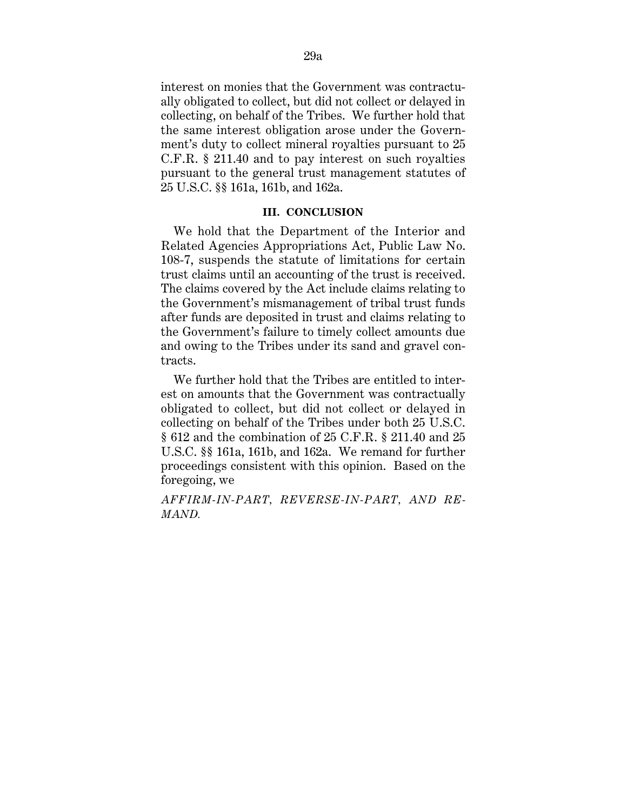interest on monies that the Government was contractually obligated to collect, but did not collect or delayed in collecting, on behalf of the Tribes. We further hold that the same interest obligation arose under the Government's duty to collect mineral royalties pursuant to 25 C.F.R. § 211.40 and to pay interest on such royalties pursuant to the general trust management statutes of 25 U.S.C. §§ 161a, 161b, and 162a.

### **III. CONCLUSION**

We hold that the Department of the Interior and Related Agencies Appropriations Act, Public Law No. 108-7, suspends the statute of limitations for certain trust claims until an accounting of the trust is received. The claims covered by the Act include claims relating to the Government's mismanagement of tribal trust funds after funds are deposited in trust and claims relating to the Government's failure to timely collect amounts due and owing to the Tribes under its sand and gravel contracts.

We further hold that the Tribes are entitled to interest on amounts that the Government was contractually obligated to collect, but did not collect or delayed in collecting on behalf of the Tribes under both 25 U.S.C. § 612 and the combination of 25 C.F.R. § 211.40 and 25 U.S.C. §§ 161a, 161b, and 162a. We remand for further proceedings consistent with this opinion. Based on the foregoing, we

*AFFIRM-IN-PART, REVERSE-IN-PART, AND RE-MAND.*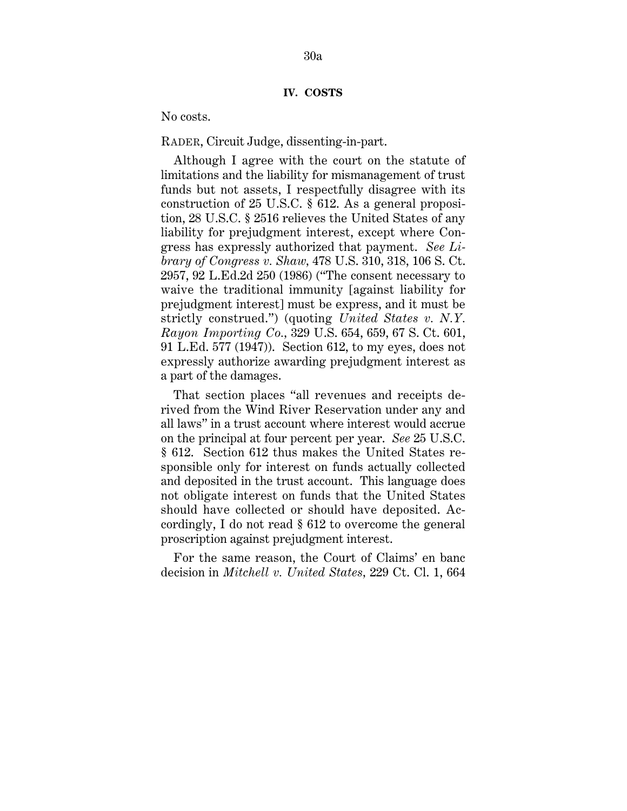No costs.

RADER, Circuit Judge, dissenting-in-part.

Although I agree with the court on the statute of limitations and the liability for mismanagement of trust funds but not assets, I respectfully disagree with its construction of 25 U.S.C. § 612. As a general proposition, 28 U.S.C. § 2516 relieves the United States of any liability for prejudgment interest, except where Congress has expressly authorized that payment. *See Library of Congress v. Shaw,* 478 U.S. 310, 318, 106 S. Ct. 2957, 92 L.Ed.2d 250 (1986) ("The consent necessary to waive the traditional immunity [against liability for prejudgment interest] must be express, and it must be strictly construed.") (quoting *United States v. N.Y. Rayon Importing Co.,* 329 U.S. 654, 659, 67 S. Ct. 601, 91 L.Ed. 577 (1947)). Section 612, to my eyes, does not expressly authorize awarding prejudgment interest as a part of the damages.

That section places "all revenues and receipts derived from the Wind River Reservation under any and all laws" in a trust account where interest would accrue on the principal at four percent per year. *See* 25 U.S.C. § 612. Section 612 thus makes the United States responsible only for interest on funds actually collected and deposited in the trust account. This language does not obligate interest on funds that the United States should have collected or should have deposited. Accordingly, I do not read § 612 to overcome the general proscription against prejudgment interest.

For the same reason, the Court of Claims' en banc decision in *Mitchell v. United States,* 229 Ct. Cl. 1, 664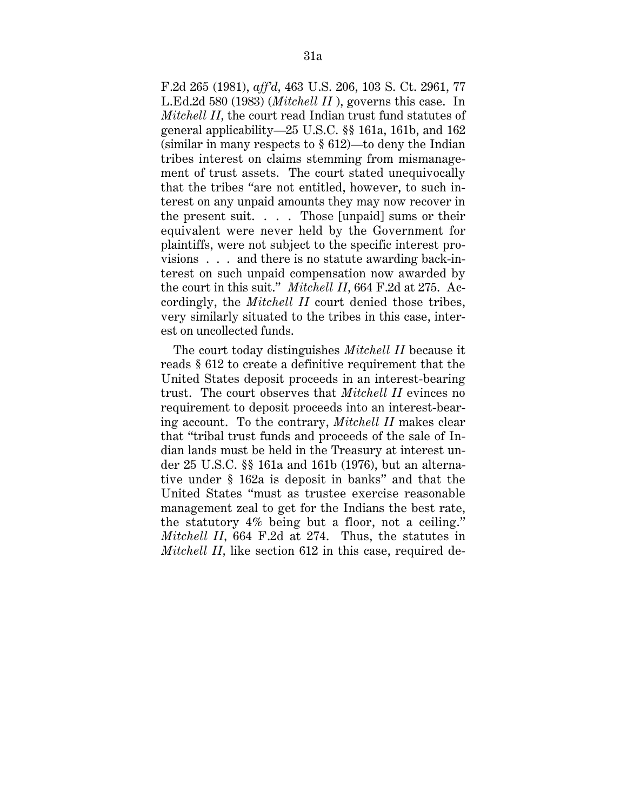F.2d 265 (1981), *aff'd,* 463 U.S. 206, 103 S. Ct. 2961, 77 L.Ed.2d 580 (1983) (*Mitchell II* ), governs this case. In *Mitchell II,* the court read Indian trust fund statutes of general applicability—25 U.S.C. §§ 161a, 161b, and 162 (similar in many respects to  $\S 612$ )—to deny the Indian tribes interest on claims stemming from mismanagement of trust assets. The court stated unequivocally that the tribes "are not entitled, however, to such interest on any unpaid amounts they may now recover in the present suit.  $\ldots$  . Those [unpaid] sums or their equivalent were never held by the Government for plaintiffs, were not subject to the specific interest provisions . . . and there is no statute awarding back-interest on such unpaid compensation now awarded by the court in this suit." *Mitchell II,* 664 F.2d at 275. Accordingly, the *Mitchell II* court denied those tribes, very similarly situated to the tribes in this case, interest on uncollected funds.

The court today distinguishes *Mitchell II* because it reads § 612 to create a definitive requirement that the United States deposit proceeds in an interest-bearing trust. The court observes that *Mitchell II* evinces no requirement to deposit proceeds into an interest-bearing account. To the contrary, *Mitchell II* makes clear that "tribal trust funds and proceeds of the sale of Indian lands must be held in the Treasury at interest under 25 U.S.C. §§ 161a and 161b (1976), but an alternative under § 162a is deposit in banks" and that the United States "must as trustee exercise reasonable management zeal to get for the Indians the best rate, the statutory 4% being but a floor, not a ceiling." *Mitchell II,* 664 F.2d at 274. Thus, the statutes in *Mitchell II*, like section 612 in this case, required de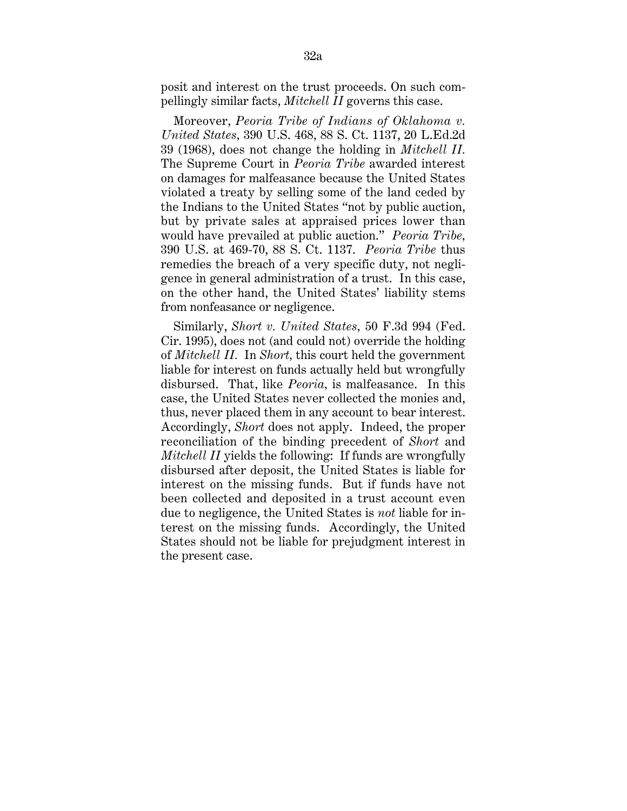posit and interest on the trust proceeds. On such compellingly similar facts, *Mitchell II* governs this case.

Moreover, *Peoria Tribe of Indians of Oklahoma v. United States,* 390 U.S. 468, 88 S. Ct. 1137, 20 L.Ed.2d 39 (1968), does not change the holding in *Mitchell II.* The Supreme Court in *Peoria Tribe* awarded interest on damages for malfeasance because the United States violated a treaty by selling some of the land ceded by the Indians to the United States "not by public auction, but by private sales at appraised prices lower than would have prevailed at public auction." *Peoria Tribe,* 390 U.S. at 469-70, 88 S. Ct. 1137. *Peoria Tribe* thus remedies the breach of a very specific duty, not negligence in general administration of a trust. In this case, on the other hand, the United States' liability stems from nonfeasance or negligence.

Similarly, *Short v. United States,* 50 F.3d 994 (Fed. Cir. 1995), does not (and could not) override the holding of *Mitchell II.* In *Short,* this court held the government liable for interest on funds actually held but wrongfully disbursed. That, like *Peoria,* is malfeasance. In this case, the United States never collected the monies and, thus, never placed them in any account to bear interest. Accordingly, *Short* does not apply. Indeed, the proper reconciliation of the binding precedent of *Short* and *Mitchell II* yields the following: If funds are wrongfully disbursed after deposit, the United States is liable for interest on the missing funds. But if funds have not been collected and deposited in a trust account even due to negligence, the United States is *not* liable for interest on the missing funds. Accordingly, the United States should not be liable for prejudgment interest in the present case.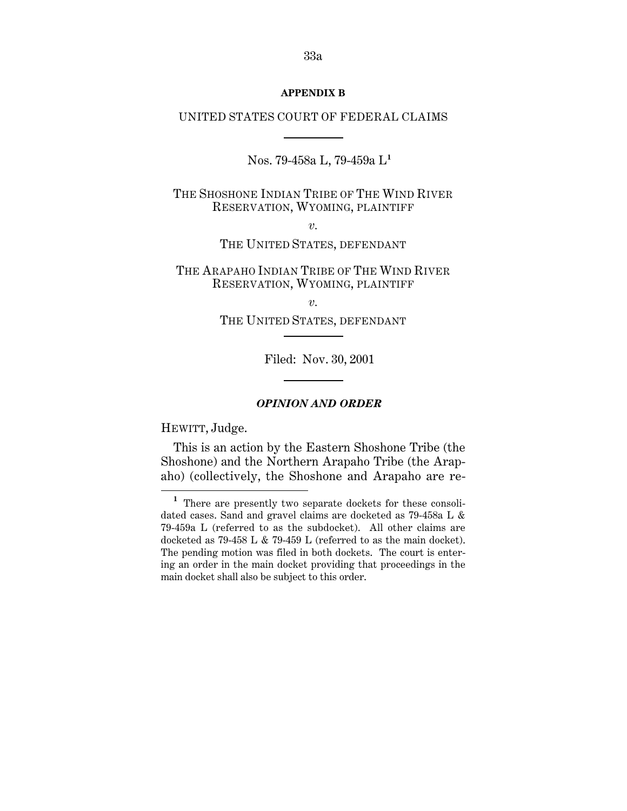#### **APPENDIX B**

#### UNITED STATES COURT OF FEDERAL CLAIMS

Nos. 79-458a L, 79-459a L**<sup>1</sup>**

THE SHOSHONE INDIAN TRIBE OF THE WIND RIVER RESERVATION, WYOMING, PLAINTIFF

*v.*

THE UNITED STATES, DEFENDANT

THE ARAPAHO INDIAN TRIBE OF THE WIND RIVER RESERVATION, WYOMING, PLAINTIFF

*v.*

THE UNITED STATES, DEFENDANT

Filed: Nov. 30, 2001

#### *OPINION AND ORDER*

HEWITT, Judge.

 $\overline{a}$ 

This is an action by the Eastern Shoshone Tribe (the Shoshone) and the Northern Arapaho Tribe (the Arapaho) (collectively, the Shoshone and Arapaho are re-

**<sup>1</sup>**There are presently two separate dockets for these consolidated cases. Sand and gravel claims are docketed as 79-458a L & 79-459a L (referred to as the subdocket). All other claims are docketed as 79-458 L & 79-459 L (referred to as the main docket). The pending motion was filed in both dockets. The court is entering an order in the main docket providing that proceedings in the main docket shall also be subject to this order.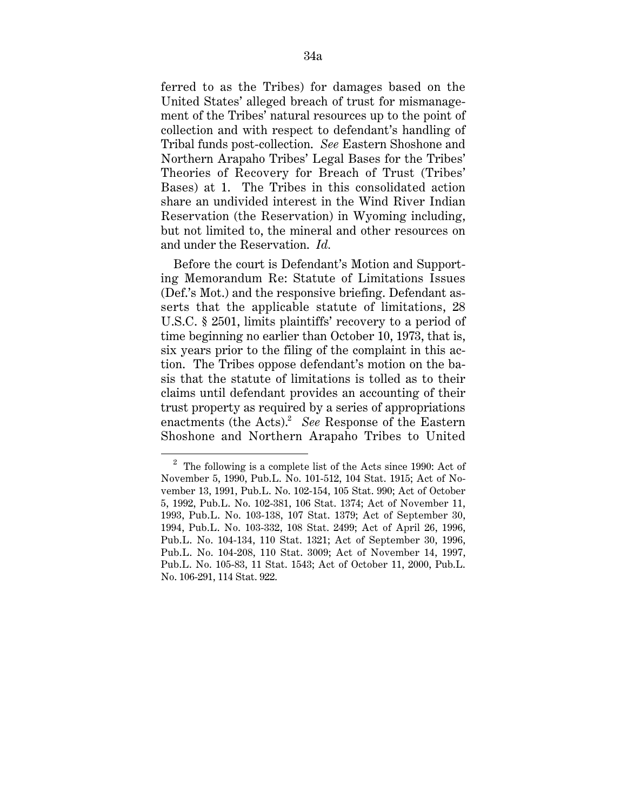ferred to as the Tribes) for damages based on the United States' alleged breach of trust for mismanagement of the Tribes' natural resources up to the point of collection and with respect to defendant's handling of Tribal funds post-collection. *See* Eastern Shoshone and Northern Arapaho Tribes' Legal Bases for the Tribes' Theories of Recovery for Breach of Trust (Tribes' Bases) at 1. The Tribes in this consolidated action share an undivided interest in the Wind River Indian Reservation (the Reservation) in Wyoming including, but not limited to, the mineral and other resources on and under the Reservation. *Id.*

Before the court is Defendant's Motion and Supporting Memorandum Re: Statute of Limitations Issues (Def.'s Mot.) and the responsive briefing. Defendant asserts that the applicable statute of limitations, 28 U.S.C. § 2501, limits plaintiffs' recovery to a period of time beginning no earlier than October 10, 1973, that is, six years prior to the filing of the complaint in this action. The Tribes oppose defendant's motion on the basis that the statute of limitations is tolled as to their claims until defendant provides an accounting of their trust property as required by a series of appropriations enactments (the Acts).<sup>2</sup> See Response of the Eastern Shoshone and Northern Arapaho Tribes to United

 $^{\rm 2}$  The following is a complete list of the Acts since 1990: Act of November 5, 1990, Pub.L. No. 101-512, 104 Stat. 1915; Act of November 13, 1991, Pub.L. No. 102-154, 105 Stat. 990; Act of October 5, 1992, Pub.L. No. 102-381, 106 Stat. 1374; Act of November 11, 1993, Pub.L. No. 103-138, 107 Stat. 1379; Act of September 30, 1994, Pub.L. No. 103-332, 108 Stat. 2499; Act of April 26, 1996, Pub.L. No. 104-134, 110 Stat. 1321; Act of September 30, 1996, Pub.L. No. 104-208, 110 Stat. 3009; Act of November 14, 1997, Pub.L. No. 105-83, 11 Stat. 1543; Act of October 11, 2000, Pub.L. No. 106-291, 114 Stat. 922.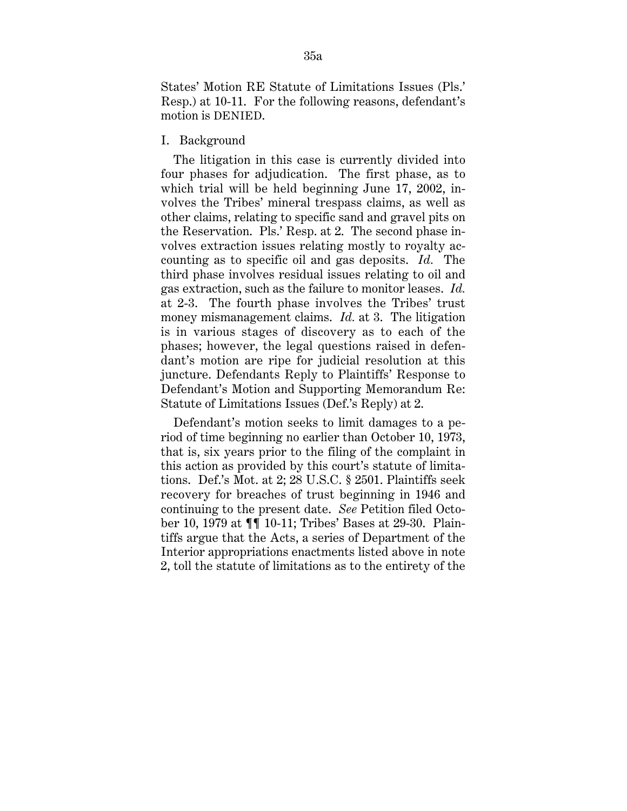States' Motion RE Statute of Limitations Issues (Pls.' Resp.) at 10-11. For the following reasons, defendant's motion is DENIED.

## I. Background

The litigation in this case is currently divided into four phases for adjudication. The first phase, as to which trial will be held beginning June 17, 2002, involves the Tribes' mineral trespass claims, as well as other claims, relating to specific sand and gravel pits on the Reservation. Pls.' Resp. at 2. The second phase involves extraction issues relating mostly to royalty accounting as to specific oil and gas deposits. *Id.* The third phase involves residual issues relating to oil and gas extraction, such as the failure to monitor leases. *Id.* at 2-3. The fourth phase involves the Tribes' trust money mismanagement claims. *Id.* at 3. The litigation is in various stages of discovery as to each of the phases; however, the legal questions raised in defendant's motion are ripe for judicial resolution at this juncture. Defendants Reply to Plaintiffs' Response to Defendant's Motion and Supporting Memorandum Re: Statute of Limitations Issues (Def.'s Reply) at 2.

Defendant's motion seeks to limit damages to a period of time beginning no earlier than October 10, 1973, that is, six years prior to the filing of the complaint in this action as provided by this court's statute of limitations. Def.'s Mot. at 2; 28 U.S.C. § 2501. Plaintiffs seek recovery for breaches of trust beginning in 1946 and continuing to the present date. *See* Petition filed October 10, 1979 at ¶¶ 10-11; Tribes' Bases at 29-30. Plaintiffs argue that the Acts, a series of Department of the Interior appropriations enactments listed above in note 2, toll the statute of limitations as to the entirety of the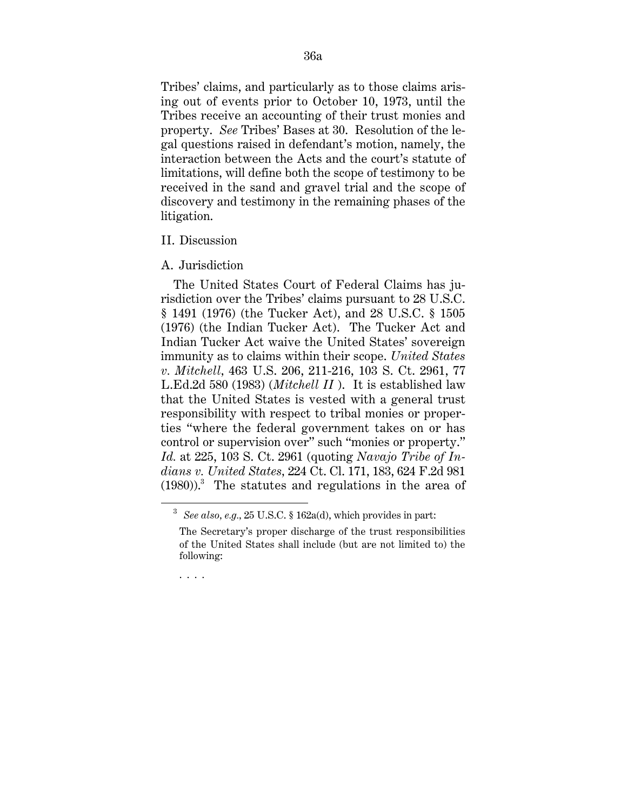Tribes' claims, and particularly as to those claims arising out of events prior to October 10, 1973, until the Tribes receive an accounting of their trust monies and property. *See* Tribes' Bases at 30. Resolution of the legal questions raised in defendant's motion, namely, the interaction between the Acts and the court's statute of limitations, will define both the scope of testimony to be received in the sand and gravel trial and the scope of discovery and testimony in the remaining phases of the litigation.

### II. Discussion

## A. Jurisdiction

The United States Court of Federal Claims has jurisdiction over the Tribes' claims pursuant to 28 U.S.C. § 1491 (1976) (the Tucker Act), and 28 U.S.C. § 1505 (1976) (the Indian Tucker Act). The Tucker Act and Indian Tucker Act waive the United States' sovereign immunity as to claims within their scope. *United States v. Mitchell,* 463 U.S. 206, 211-216, 103 S. Ct. 2961, 77 L.Ed.2d 580 (1983) (*Mitchell II* ). It is established law that the United States is vested with a general trust responsibility with respect to tribal monies or properties "where the federal government takes on or has control or supervision over" such "monies or property." *Id.* at 225, 103 S. Ct. 2961 (quoting *Navajo Tribe of Indians v. United States,* 224 Ct. Cl. 171, 183, 624 F.2d 981  $(1980)$ .<sup>3</sup> The statutes and regulations in the area of

. . . .

 <sup>3</sup> *See also, e.g.,* 25 U.S.C. § 162a(d), which provides in part:

The Secretary's proper discharge of the trust responsibilities of the United States shall include (but are not limited to) the following: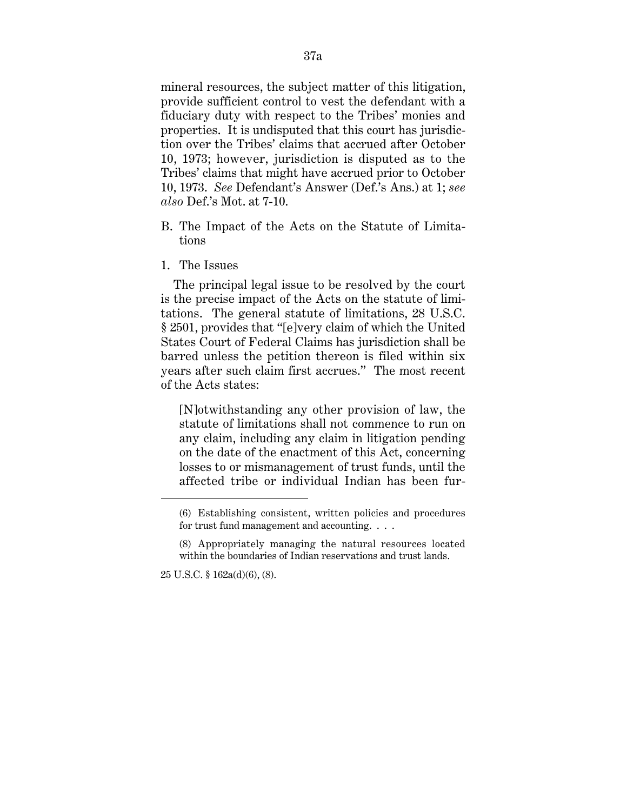mineral resources, the subject matter of this litigation, provide sufficient control to vest the defendant with a fiduciary duty with respect to the Tribes' monies and properties. It is undisputed that this court has jurisdiction over the Tribes' claims that accrued after October 10, 1973; however, jurisdiction is disputed as to the Tribes' claims that might have accrued prior to October 10, 1973. *See* Defendant's Answer (Def.'s Ans.) at 1; *see also* Def.'s Mot. at 7-10.

- B. The Impact of the Acts on the Statute of Limitations
- 1. The Issues

The principal legal issue to be resolved by the court is the precise impact of the Acts on the statute of limitations. The general statute of limitations, 28 U.S.C. § 2501, provides that "[e]very claim of which the United States Court of Federal Claims has jurisdiction shall be barred unless the petition thereon is filed within six years after such claim first accrues." The most recent of the Acts states:

[N]otwithstanding any other provision of law, the statute of limitations shall not commence to run on any claim, including any claim in litigation pending on the date of the enactment of this Act, concerning losses to or mismanagement of trust funds, until the affected tribe or individual Indian has been fur-

25 U.S.C. § 162a(d)(6), (8).

 $\overline{a}$ 

<sup>(6)</sup> Establishing consistent, written policies and procedures for trust fund management and accounting. . . .

<sup>(8)</sup> Appropriately managing the natural resources located within the boundaries of Indian reservations and trust lands.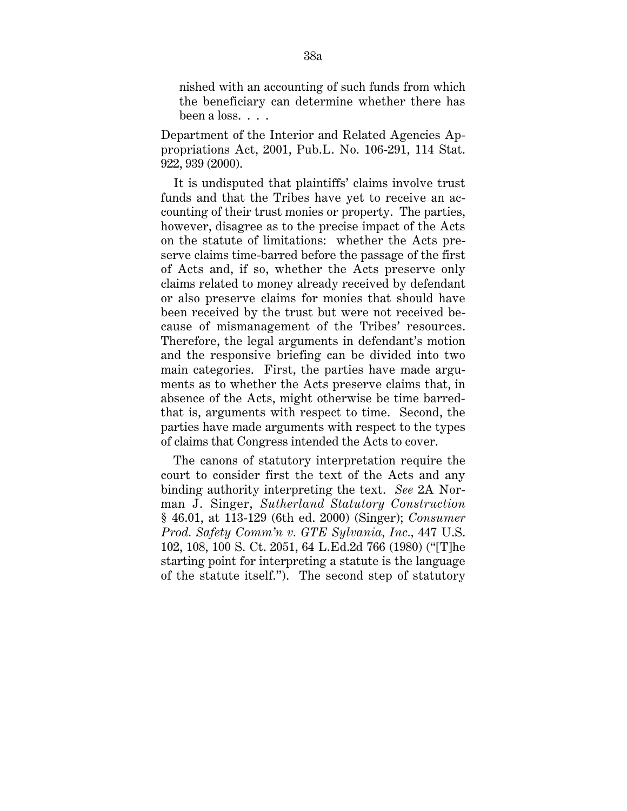nished with an accounting of such funds from which the beneficiary can determine whether there has been a loss. . . .

Department of the Interior and Related Agencies Appropriations Act, 2001, Pub.L. No. 106-291, 114 Stat. 922, 939 (2000).

It is undisputed that plaintiffs' claims involve trust funds and that the Tribes have yet to receive an accounting of their trust monies or property. The parties, however, disagree as to the precise impact of the Acts on the statute of limitations: whether the Acts preserve claims time-barred before the passage of the first of Acts and, if so, whether the Acts preserve only claims related to money already received by defendant or also preserve claims for monies that should have been received by the trust but were not received because of mismanagement of the Tribes' resources. Therefore, the legal arguments in defendant's motion and the responsive briefing can be divided into two main categories. First, the parties have made arguments as to whether the Acts preserve claims that, in absence of the Acts, might otherwise be time barredthat is, arguments with respect to time. Second, the parties have made arguments with respect to the types of claims that Congress intended the Acts to cover.

The canons of statutory interpretation require the court to consider first the text of the Acts and any binding authority interpreting the text. *See* 2A Norman J. Singer, *Sutherland Statutory Construction* § 46.01, at 113-129 (6th ed. 2000) (Singer); *Consumer Prod. Safety Comm'n v. GTE Sylvania, Inc.,* 447 U.S. 102, 108, 100 S. Ct. 2051, 64 L.Ed.2d 766 (1980) ("[T]he starting point for interpreting a statute is the language of the statute itself."). The second step of statutory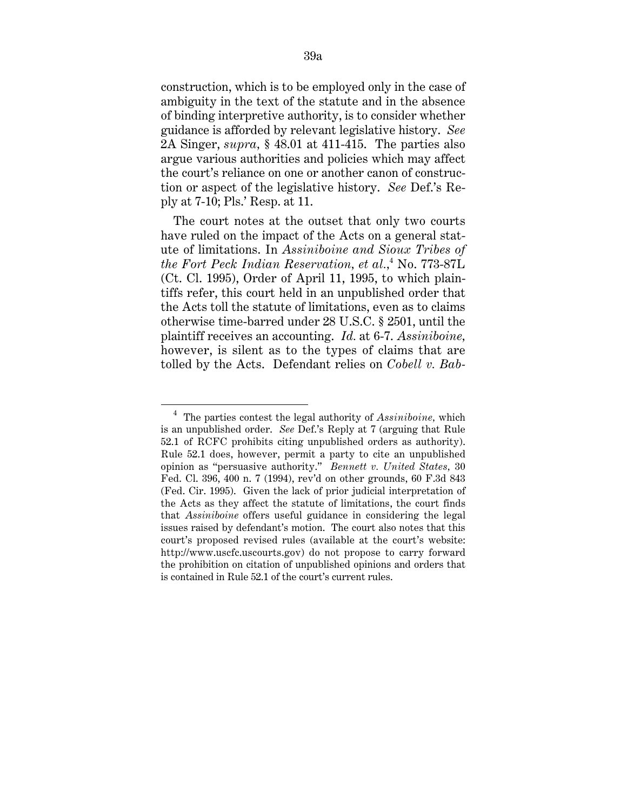construction, which is to be employed only in the case of ambiguity in the text of the statute and in the absence of binding interpretive authority, is to consider whether guidance is afforded by relevant legislative history. *See* 2A Singer, *supra,* § 48.01 at 411-415. The parties also argue various authorities and policies which may affect the court's reliance on one or another canon of construction or aspect of the legislative history. *See* Def.'s Reply at 7-10; Pls.' Resp. at 11.

The court notes at the outset that only two courts have ruled on the impact of the Acts on a general statute of limitations. In *Assiniboine and Sioux Tribes of the Fort Peck Indian Reservation, et al.,*<sup>4</sup> No. 773-87L (Ct. Cl. 1995), Order of April 11, 1995, to which plaintiffs refer, this court held in an unpublished order that the Acts toll the statute of limitations, even as to claims otherwise time-barred under 28 U.S.C. § 2501, until the plaintiff receives an accounting. *Id.* at 6-7. *Assiniboine,* however, is silent as to the types of claims that are tolled by the Acts. Defendant relies on *Cobell v. Bab-*

 <sup>4</sup> The parties contest the legal authority of *Assiniboine,* which is an unpublished order. *See* Def.'s Reply at 7 (arguing that Rule 52.1 of RCFC prohibits citing unpublished orders as authority). Rule 52.1 does, however, permit a party to cite an unpublished opinion as "persuasive authority." *Bennett v. United States,* 30 Fed. Cl. 396, 400 n. 7 (1994), rev'd on other grounds, 60 F.3d 843 (Fed. Cir. 1995). Given the lack of prior judicial interpretation of the Acts as they affect the statute of limitations, the court finds that *Assiniboine* offers useful guidance in considering the legal issues raised by defendant's motion. The court also notes that this court's proposed revised rules (available at the court's website: http://www.uscfc.uscourts.gov) do not propose to carry forward the prohibition on citation of unpublished opinions and orders that is contained in Rule 52.1 of the court's current rules.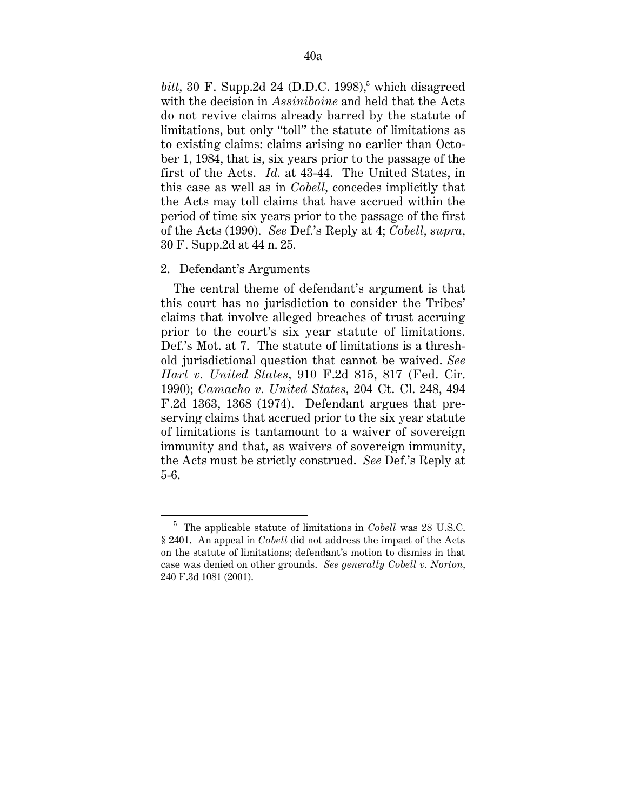$bitt$ , 30 F. Supp.2d 24 (D.D.C. 1998),<sup>5</sup> which disagreed with the decision in *Assiniboine* and held that the Acts do not revive claims already barred by the statute of limitations, but only "toll" the statute of limitations as to existing claims: claims arising no earlier than October 1, 1984, that is, six years prior to the passage of the first of the Acts. *Id.* at 43-44. The United States, in this case as well as in *Cobell,* concedes implicitly that the Acts may toll claims that have accrued within the period of time six years prior to the passage of the first of the Acts (1990). *See* Def.'s Reply at 4; *Cobell, supra,* 30 F. Supp.2d at 44 n. 25.

### 2. Defendant's Arguments

The central theme of defendant's argument is that this court has no jurisdiction to consider the Tribes' claims that involve alleged breaches of trust accruing prior to the court's six year statute of limitations. Def.'s Mot. at 7. The statute of limitations is a threshold jurisdictional question that cannot be waived. *See Hart v. United States,* 910 F.2d 815, 817 (Fed. Cir. 1990); *Camacho v. United States,* 204 Ct. Cl. 248, 494 F.2d 1363, 1368 (1974). Defendant argues that preserving claims that accrued prior to the six year statute of limitations is tantamount to a waiver of sovereign immunity and that, as waivers of sovereign immunity, the Acts must be strictly construed. *See* Def.'s Reply at 5-6.

 <sup>5</sup> The applicable statute of limitations in *Cobell* was 28 U.S.C. § 2401. An appeal in *Cobell* did not address the impact of the Acts on the statute of limitations; defendant's motion to dismiss in that case was denied on other grounds. *See generally Cobell v. Norton,* 240 F.3d 1081 (2001).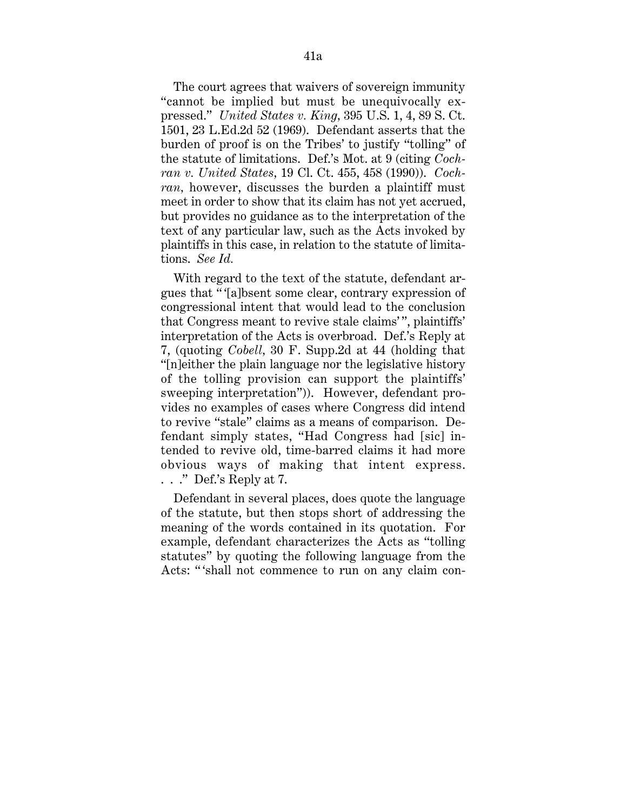The court agrees that waivers of sovereign immunity "cannot be implied but must be unequivocally expressed." *United States v. King,* 395 U.S. 1, 4, 89 S. Ct. 1501, 23 L.Ed.2d 52 (1969). Defendant asserts that the burden of proof is on the Tribes' to justify "tolling" of the statute of limitations. Def.'s Mot. at 9 (citing *Cochran v. United States,* 19 Cl. Ct. 455, 458 (1990)). *Cochran,* however, discusses the burden a plaintiff must meet in order to show that its claim has not yet accrued, but provides no guidance as to the interpretation of the text of any particular law, such as the Acts invoked by plaintiffs in this case, in relation to the statute of limitations. *See Id.*

With regard to the text of the statute, defendant argues that " '[a]bsent some clear, contrary expression of congressional intent that would lead to the conclusion that Congress meant to revive stale claims' ", plaintiffs' interpretation of the Acts is overbroad. Def.'s Reply at 7, (quoting *Cobell,* 30 F. Supp.2d at 44 (holding that "[n]either the plain language nor the legislative history of the tolling provision can support the plaintiffs' sweeping interpretation")). However, defendant provides no examples of cases where Congress did intend to revive "stale" claims as a means of comparison. Defendant simply states, "Had Congress had [sic] intended to revive old, time-barred claims it had more obvious ways of making that intent express. . . ." Def.'s Reply at 7.

Defendant in several places, does quote the language of the statute, but then stops short of addressing the meaning of the words contained in its quotation. For example, defendant characterizes the Acts as "tolling statutes" by quoting the following language from the Acts: " 'shall not commence to run on any claim con-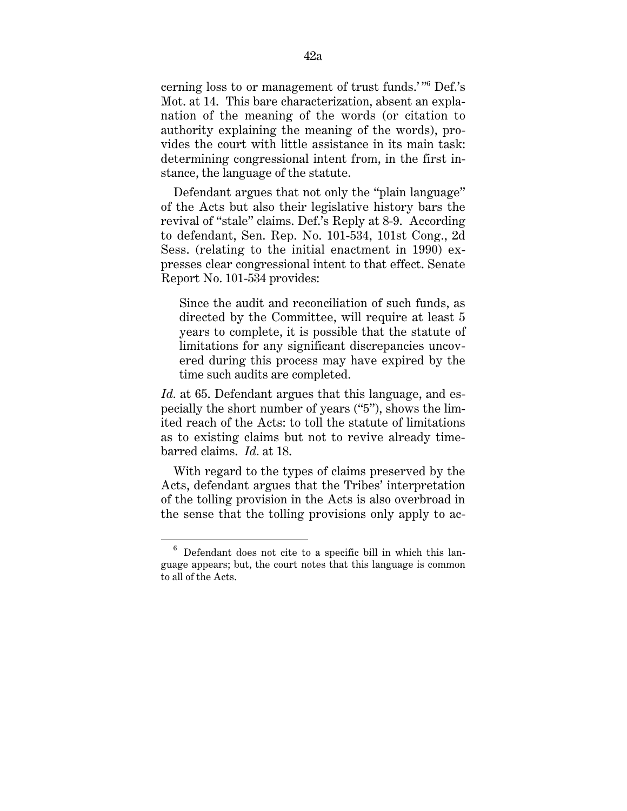cerning loss to or management of trust funds.'" Def.'s Mot. at 14. This bare characterization, absent an explanation of the meaning of the words (or citation to authority explaining the meaning of the words), provides the court with little assistance in its main task: determining congressional intent from, in the first instance, the language of the statute.

Defendant argues that not only the "plain language" of the Acts but also their legislative history bars the revival of "stale" claims. Def.'s Reply at 8-9. According to defendant, Sen. Rep. No. 101-534, 101st Cong., 2d Sess. (relating to the initial enactment in 1990) expresses clear congressional intent to that effect. Senate Report No. 101-534 provides:

Since the audit and reconciliation of such funds, as directed by the Committee, will require at least 5 years to complete, it is possible that the statute of limitations for any significant discrepancies uncovered during this process may have expired by the time such audits are completed.

*Id.* at 65. Defendant argues that this language, and especially the short number of years ("5"), shows the limited reach of the Acts: to toll the statute of limitations as to existing claims but not to revive already timebarred claims. *Id.* at 18.

With regard to the types of claims preserved by the Acts, defendant argues that the Tribes' interpretation of the tolling provision in the Acts is also overbroad in the sense that the tolling provisions only apply to ac-

 $6$  Defendant does not cite to a specific bill in which this language appears; but, the court notes that this language is common to all of the Acts.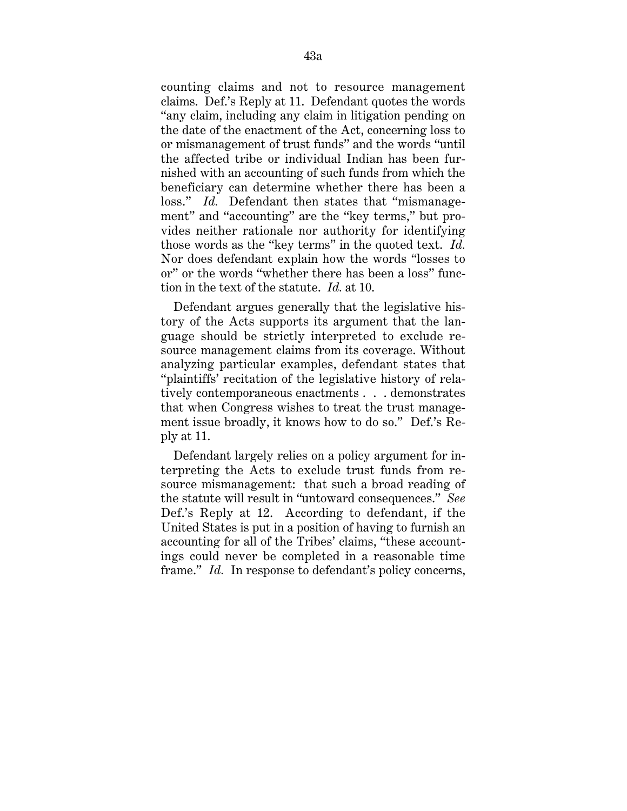counting claims and not to resource management claims. Def.'s Reply at 11. Defendant quotes the words "any claim, including any claim in litigation pending on the date of the enactment of the Act, concerning loss to or mismanagement of trust funds" and the words "until the affected tribe or individual Indian has been furnished with an accounting of such funds from which the beneficiary can determine whether there has been a loss." *Id.* Defendant then states that "mismanagement" and "accounting" are the "key terms," but provides neither rationale nor authority for identifying those words as the "key terms" in the quoted text. *Id.* Nor does defendant explain how the words "losses to or" or the words "whether there has been a loss" function in the text of the statute. *Id.* at 10.

Defendant argues generally that the legislative history of the Acts supports its argument that the language should be strictly interpreted to exclude resource management claims from its coverage. Without analyzing particular examples, defendant states that "plaintiffs' recitation of the legislative history of relatively contemporaneous enactments . . . demonstrates that when Congress wishes to treat the trust management issue broadly, it knows how to do so." Def.'s Reply at 11.

Defendant largely relies on a policy argument for interpreting the Acts to exclude trust funds from resource mismanagement: that such a broad reading of the statute will result in "untoward consequences." *See* Def.'s Reply at 12. According to defendant, if the United States is put in a position of having to furnish an accounting for all of the Tribes' claims, "these accountings could never be completed in a reasonable time frame." *Id.* In response to defendant's policy concerns,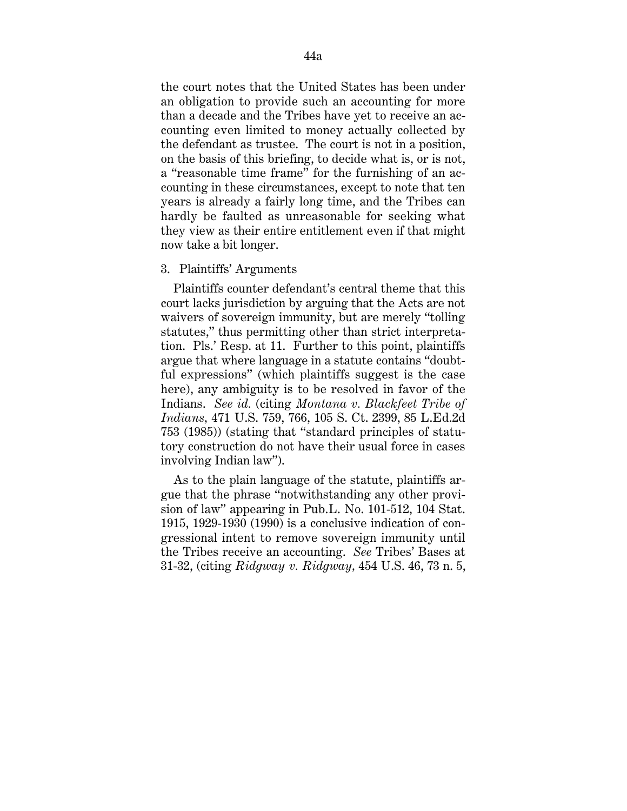the court notes that the United States has been under an obligation to provide such an accounting for more than a decade and the Tribes have yet to receive an accounting even limited to money actually collected by the defendant as trustee. The court is not in a position, on the basis of this briefing, to decide what is, or is not, a "reasonable time frame" for the furnishing of an accounting in these circumstances, except to note that ten years is already a fairly long time, and the Tribes can hardly be faulted as unreasonable for seeking what they view as their entire entitlement even if that might now take a bit longer.

### 3. Plaintiffs' Arguments

Plaintiffs counter defendant's central theme that this court lacks jurisdiction by arguing that the Acts are not waivers of sovereign immunity, but are merely "tolling statutes," thus permitting other than strict interpretation. Pls.' Resp. at 11. Further to this point, plaintiffs argue that where language in a statute contains "doubtful expressions" (which plaintiffs suggest is the case here), any ambiguity is to be resolved in favor of the Indians. *See id.* (citing *Montana v. Blackfeet Tribe of Indians,* 471 U.S. 759, 766, 105 S. Ct. 2399, 85 L.Ed.2d 753 (1985)) (stating that "standard principles of statutory construction do not have their usual force in cases involving Indian law").

As to the plain language of the statute, plaintiffs argue that the phrase "notwithstanding any other provision of law" appearing in Pub.L. No. 101-512, 104 Stat. 1915, 1929-1930 (1990) is a conclusive indication of congressional intent to remove sovereign immunity until the Tribes receive an accounting. *See* Tribes' Bases at 31-32, (citing *Ridgway v. Ridgway,* 454 U.S. 46, 73 n. 5,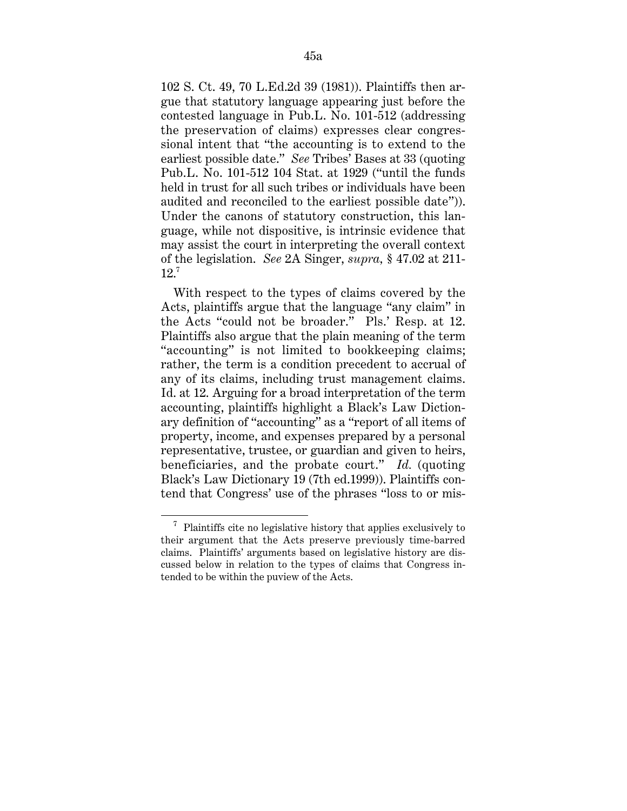102 S. Ct. 49, 70 L.Ed.2d 39 (1981)). Plaintiffs then argue that statutory language appearing just before the contested language in Pub.L. No. 101-512 (addressing the preservation of claims) expresses clear congressional intent that "the accounting is to extend to the earliest possible date." *See* Tribes' Bases at 33 (quoting Pub.L. No. 101-512 104 Stat. at 1929 ("until the funds held in trust for all such tribes or individuals have been audited and reconciled to the earliest possible date")). Under the canons of statutory construction, this language, while not dispositive, is intrinsic evidence that may assist the court in interpreting the overall context of the legislation. *See* 2A Singer, *supra,* § 47.02 at 211-  $12<sup>7</sup>$ 

With respect to the types of claims covered by the Acts, plaintiffs argue that the language "any claim" in the Acts "could not be broader." Pls.' Resp. at 12. Plaintiffs also argue that the plain meaning of the term "accounting" is not limited to bookkeeping claims; rather, the term is a condition precedent to accrual of any of its claims, including trust management claims. Id. at 12. Arguing for a broad interpretation of the term accounting, plaintiffs highlight a Black's Law Dictionary definition of "accounting" as a "report of all items of property, income, and expenses prepared by a personal representative, trustee, or guardian and given to heirs, beneficiaries, and the probate court." *Id.* (quoting Black's Law Dictionary 19 (7th ed.1999)). Plaintiffs contend that Congress' use of the phrases "loss to or mis-

 $\phantom{i}^7$  Plaintiffs cite no legislative history that applies exclusively to their argument that the Acts preserve previously time-barred claims. Plaintiffs' arguments based on legislative history are discussed below in relation to the types of claims that Congress intended to be within the puview of the Acts.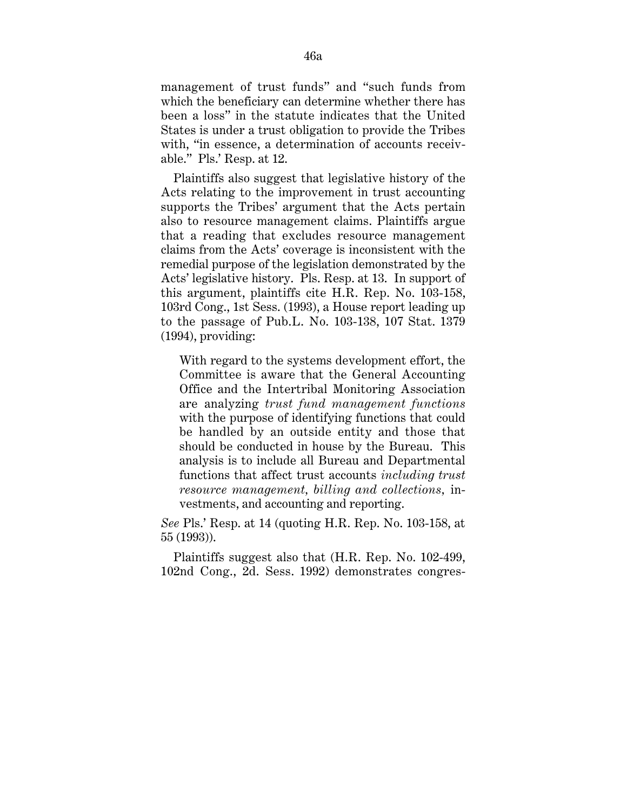management of trust funds" and "such funds from which the beneficiary can determine whether there has been a loss" in the statute indicates that the United States is under a trust obligation to provide the Tribes with, "in essence, a determination of accounts receivable." Pls.' Resp. at 12.

Plaintiffs also suggest that legislative history of the Acts relating to the improvement in trust accounting supports the Tribes' argument that the Acts pertain also to resource management claims. Plaintiffs argue that a reading that excludes resource management claims from the Acts' coverage is inconsistent with the remedial purpose of the legislation demonstrated by the Acts' legislative history. Pls. Resp. at 13. In support of this argument, plaintiffs cite H.R. Rep. No. 103-158, 103rd Cong., 1st Sess. (1993), a House report leading up to the passage of Pub.L. No. 103-138, 107 Stat. 1379 (1994), providing:

With regard to the systems development effort, the Committee is aware that the General Accounting Office and the Intertribal Monitoring Association are analyzing *trust fund management functions* with the purpose of identifying functions that could be handled by an outside entity and those that should be conducted in house by the Bureau. This analysis is to include all Bureau and Departmental functions that affect trust accounts *including trust resource management, billing and collections,* investments, and accounting and reporting.

*See* Pls.' Resp. at 14 (quoting H.R. Rep. No. 103-158, at 55 (1993)).

Plaintiffs suggest also that (H.R. Rep. No. 102-499, 102nd Cong., 2d. Sess. 1992) demonstrates congres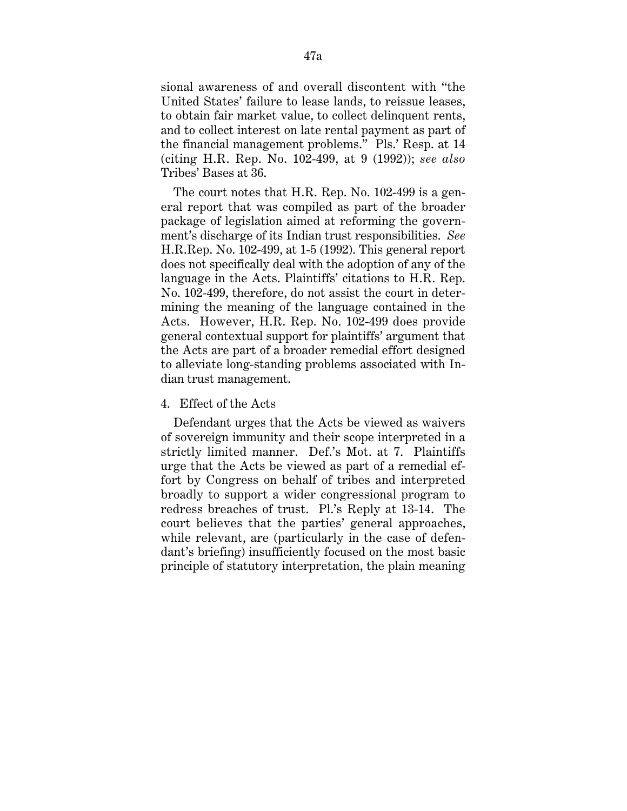sional awareness of and overall discontent with "the United States' failure to lease lands, to reissue leases, to obtain fair market value, to collect delinquent rents, and to collect interest on late rental payment as part of the financial management problems." Pls.' Resp. at 14 (citing H.R. Rep. No. 102-499, at 9 (1992)); *see also* Tribes' Bases at 36.

The court notes that H.R. Rep. No. 102-499 is a general report that was compiled as part of the broader package of legislation aimed at reforming the government's discharge of its Indian trust responsibilities. *See* H.R.Rep. No. 102-499, at 1-5 (1992). This general report does not specifically deal with the adoption of any of the language in the Acts. Plaintiffs' citations to H.R. Rep. No. 102-499, therefore, do not assist the court in determining the meaning of the language contained in the Acts. However, H.R. Rep. No. 102-499 does provide general contextual support for plaintiffs' argument that the Acts are part of a broader remedial effort designed to alleviate long-standing problems associated with Indian trust management.

## 4. Effect of the Acts

Defendant urges that the Acts be viewed as waivers of sovereign immunity and their scope interpreted in a strictly limited manner. Def.'s Mot. at 7. Plaintiffs urge that the Acts be viewed as part of a remedial effort by Congress on behalf of tribes and interpreted broadly to support a wider congressional program to redress breaches of trust. Pl.'s Reply at 13-14. The court believes that the parties' general approaches, while relevant, are (particularly in the case of defendant's briefing) insufficiently focused on the most basic principle of statutory interpretation, the plain meaning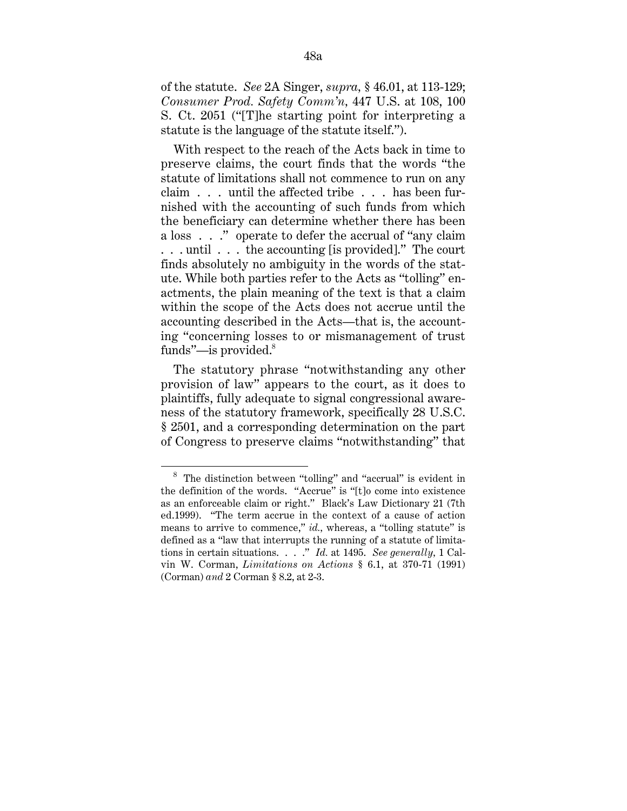of the statute. *See* 2A Singer, *supra,* § 46.01, at 113-129; *Consumer Prod. Safety Comm'n,* 447 U.S. at 108, 100 S. Ct. 2051 ("[T]he starting point for interpreting a statute is the language of the statute itself.").

With respect to the reach of the Acts back in time to preserve claims, the court finds that the words "the statute of limitations shall not commence to run on any claim . . . until the affected tribe . . . has been furnished with the accounting of such funds from which the beneficiary can determine whether there has been a loss . . ." operate to defer the accrual of "any claim . . . until . . . the accounting [is provided]." The court finds absolutely no ambiguity in the words of the statute. While both parties refer to the Acts as "tolling" enactments, the plain meaning of the text is that a claim within the scope of the Acts does not accrue until the accounting described in the Acts—that is, the accounting "concerning losses to or mismanagement of trust funds"—is provided. $8$ 

The statutory phrase "notwithstanding any other provision of law" appears to the court, as it does to plaintiffs, fully adequate to signal congressional awareness of the statutory framework, specifically 28 U.S.C. § 2501, and a corresponding determination on the part of Congress to preserve claims "notwithstanding" that

 <sup>8</sup> The distinction between "tolling" and "accrual" is evident in the definition of the words. "Accrue" is "[t]o come into existence as an enforceable claim or right." Black's Law Dictionary 21 (7th ed.1999). "The term accrue in the context of a cause of action means to arrive to commence," *id.*, whereas, a "tolling statute" is defined as a "law that interrupts the running of a statute of limitations in certain situations. . . ." *Id.* at 1495. *See generally,* 1 Calvin W. Corman, *Limitations on Actions* § 6.1, at 370-71 (1991) (Corman) *and* 2 Corman § 8.2, at 2-3.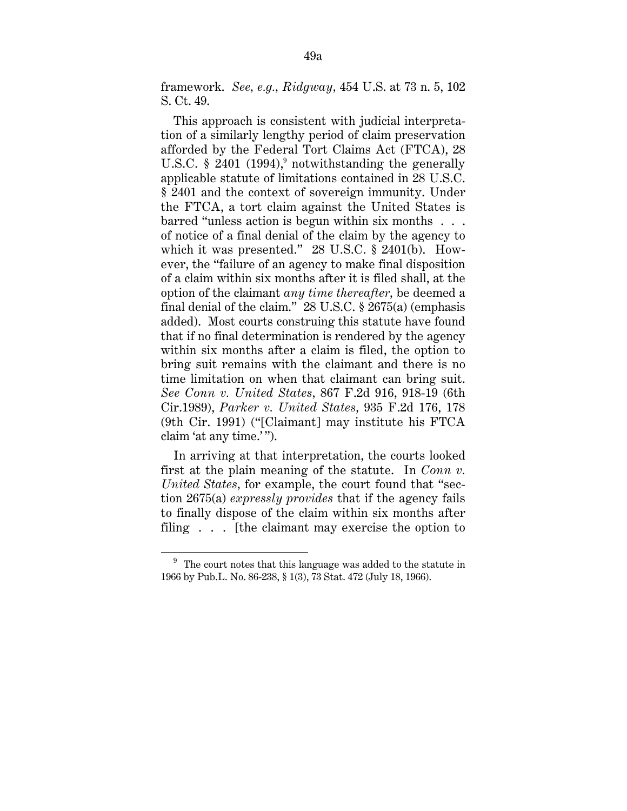framework. *See, e.g., Ridgway,* 454 U.S. at 73 n. 5, 102 S. Ct. 49.

This approach is consistent with judicial interpretation of a similarly lengthy period of claim preservation afforded by the Federal Tort Claims Act (FTCA), 28 U.S.C. § 2401  $(1994)$ ,<sup>9</sup> notwithstanding the generally applicable statute of limitations contained in 28 U.S.C. § 2401 and the context of sovereign immunity. Under the FTCA, a tort claim against the United States is barred "unless action is begun within six months . . . of notice of a final denial of the claim by the agency to which it was presented." 28 U.S.C. § 2401(b). However, the "failure of an agency to make final disposition of a claim within six months after it is filed shall, at the option of the claimant *any time thereafter,* be deemed a final denial of the claim." 28 U.S.C. § 2675(a) (emphasis added). Most courts construing this statute have found that if no final determination is rendered by the agency within six months after a claim is filed, the option to bring suit remains with the claimant and there is no time limitation on when that claimant can bring suit. *See Conn v. United States,* 867 F.2d 916, 918-19 (6th Cir.1989), *Parker v. United States,* 935 F.2d 176, 178 (9th Cir. 1991) ("[Claimant] may institute his FTCA claim 'at any time.' ").

In arriving at that interpretation, the courts looked first at the plain meaning of the statute. In *Conn v. United States,* for example, the court found that "section 2675(a) *expressly provides* that if the agency fails to finally dispose of the claim within six months after filing . . . [the claimant may exercise the option to

 $9\textdegree$  The court notes that this language was added to the statute in 1966 by Pub.L. No. 86-238, § 1(3), 73 Stat. 472 (July 18, 1966).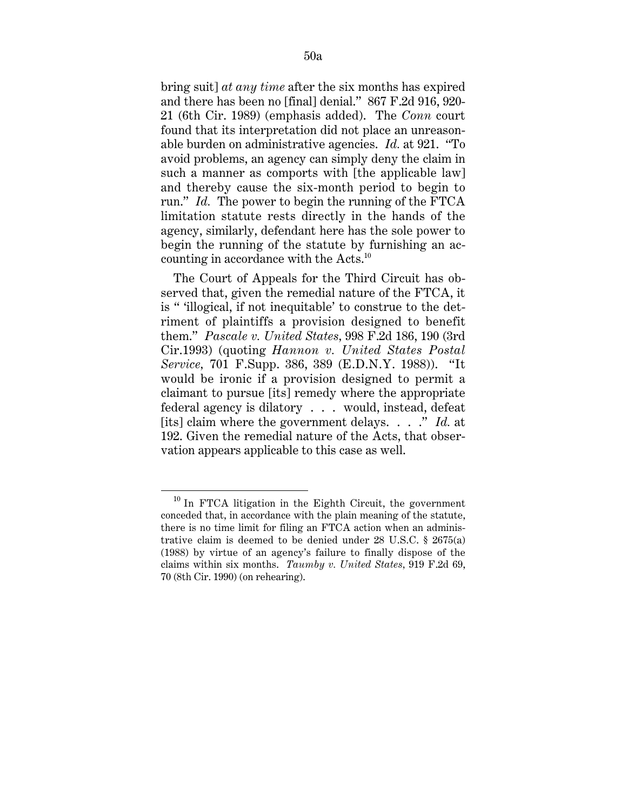bring suit] *at any time* after the six months has expired and there has been no [final] denial." 867 F.2d 916, 920- 21 (6th Cir. 1989) (emphasis added). The *Conn* court found that its interpretation did not place an unreasonable burden on administrative agencies. *Id.* at 921. "To avoid problems, an agency can simply deny the claim in such a manner as comports with [the applicable law] and thereby cause the six-month period to begin to run." *Id.* The power to begin the running of the FTCA limitation statute rests directly in the hands of the agency, similarly, defendant here has the sole power to begin the running of the statute by furnishing an accounting in accordance with the Acts.10

The Court of Appeals for the Third Circuit has observed that, given the remedial nature of the FTCA, it is " 'illogical, if not inequitable' to construe to the detriment of plaintiffs a provision designed to benefit them." *Pascale v. United States,* 998 F.2d 186, 190 (3rd Cir.1993) (quoting *Hannon v. United States Postal Service,* 701 F.Supp. 386, 389 (E.D.N.Y. 1988)). "It would be ironic if a provision designed to permit a claimant to pursue [its] remedy where the appropriate federal agency is dilatory . . . would, instead, defeat [its] claim where the government delays. . . ." *Id.* at 192. Given the remedial nature of the Acts, that observation appears applicable to this case as well.

 <sup>10</sup> In FTCA litigation in the Eighth Circuit, the government conceded that, in accordance with the plain meaning of the statute, there is no time limit for filing an FTCA action when an administrative claim is deemed to be denied under 28 U.S.C. § 2675(a) (1988) by virtue of an agency's failure to finally dispose of the claims within six months. *Taumby v. United States,* 919 F.2d 69, 70 (8th Cir. 1990) (on rehearing).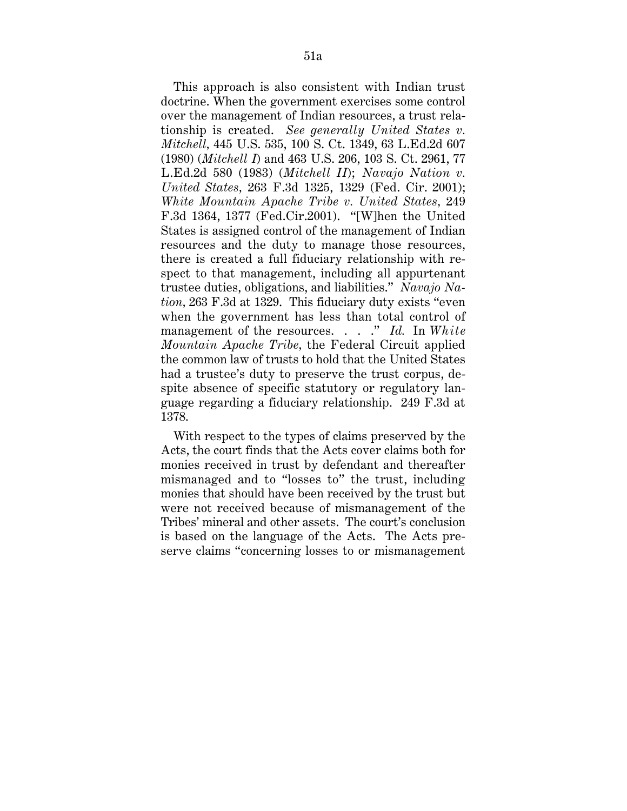This approach is also consistent with Indian trust doctrine. When the government exercises some control over the management of Indian resources, a trust relationship is created. *See generally United States v. Mitchell,* 445 U.S. 535, 100 S. Ct. 1349, 63 L.Ed.2d 607 (1980) (*Mitchell I*) and 463 U.S. 206, 103 S. Ct. 2961, 77 L.Ed.2d 580 (1983) (*Mitchell II*); *Navajo Nation v. United States,* 263 F.3d 1325, 1329 (Fed. Cir. 2001); *White Mountain Apache Tribe v. United States,* 249 F.3d 1364, 1377 (Fed.Cir.2001). "[W]hen the United States is assigned control of the management of Indian resources and the duty to manage those resources, there is created a full fiduciary relationship with respect to that management, including all appurtenant trustee duties, obligations, and liabilities." *Navajo Nation,* 263 F.3d at 1329. This fiduciary duty exists "even when the government has less than total control of management of the resources. . . ." *Id.* In *White Mountain Apache Tribe,* the Federal Circuit applied the common law of trusts to hold that the United States had a trustee's duty to preserve the trust corpus, despite absence of specific statutory or regulatory language regarding a fiduciary relationship. 249 F.3d at 1378.

With respect to the types of claims preserved by the Acts, the court finds that the Acts cover claims both for monies received in trust by defendant and thereafter mismanaged and to "losses to" the trust, including monies that should have been received by the trust but were not received because of mismanagement of the Tribes' mineral and other assets. The court's conclusion is based on the language of the Acts. The Acts preserve claims "concerning losses to or mismanagement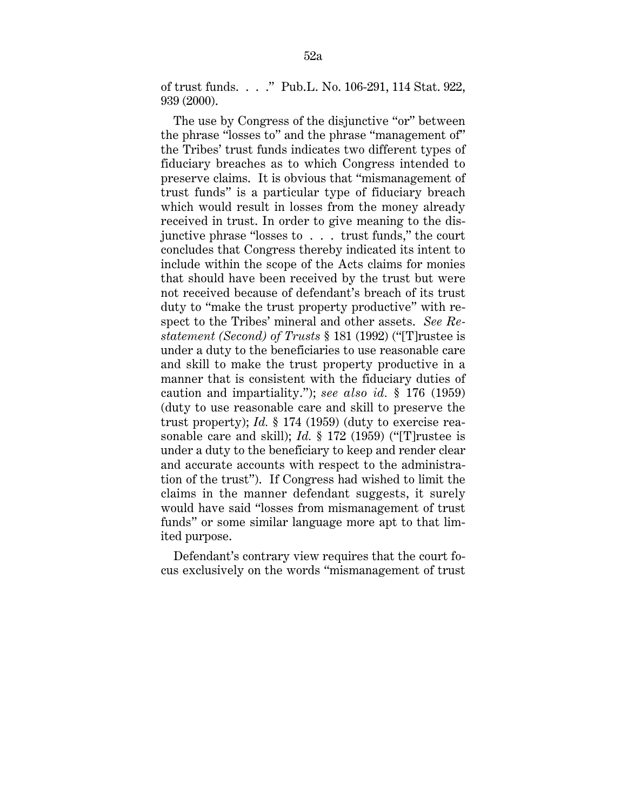of trust funds. . . ." Pub.L. No. 106-291, 114 Stat. 922, 939 (2000).

The use by Congress of the disjunctive "or" between the phrase "losses to" and the phrase "management of" the Tribes' trust funds indicates two different types of fiduciary breaches as to which Congress intended to preserve claims. It is obvious that "mismanagement of trust funds" is a particular type of fiduciary breach which would result in losses from the money already received in trust. In order to give meaning to the disjunctive phrase "losses to . . . trust funds," the court concludes that Congress thereby indicated its intent to include within the scope of the Acts claims for monies that should have been received by the trust but were not received because of defendant's breach of its trust duty to "make the trust property productive" with respect to the Tribes' mineral and other assets. *See Restatement (Second) of Trusts* § 181 (1992) ("[T]rustee is under a duty to the beneficiaries to use reasonable care and skill to make the trust property productive in a manner that is consistent with the fiduciary duties of caution and impartiality."); *see also id.* § 176 (1959) (duty to use reasonable care and skill to preserve the trust property); *Id.* § 174 (1959) (duty to exercise reasonable care and skill); *Id.* § 172 (1959) ("[T]rustee is under a duty to the beneficiary to keep and render clear and accurate accounts with respect to the administration of the trust"). If Congress had wished to limit the claims in the manner defendant suggests, it surely would have said "losses from mismanagement of trust funds" or some similar language more apt to that limited purpose.

Defendant's contrary view requires that the court focus exclusively on the words "mismanagement of trust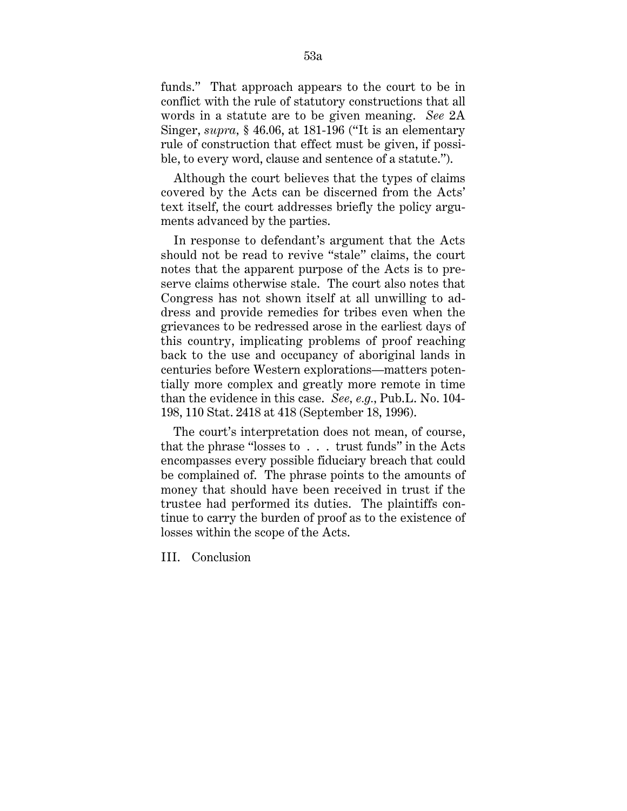funds." That approach appears to the court to be in conflict with the rule of statutory constructions that all words in a statute are to be given meaning. *See* 2A Singer, *supra,* § 46.06, at 181-196 ("It is an elementary rule of construction that effect must be given, if possible, to every word, clause and sentence of a statute.").

Although the court believes that the types of claims covered by the Acts can be discerned from the Acts' text itself, the court addresses briefly the policy arguments advanced by the parties.

In response to defendant's argument that the Acts should not be read to revive "stale" claims, the court notes that the apparent purpose of the Acts is to preserve claims otherwise stale. The court also notes that Congress has not shown itself at all unwilling to address and provide remedies for tribes even when the grievances to be redressed arose in the earliest days of this country, implicating problems of proof reaching back to the use and occupancy of aboriginal lands in centuries before Western explorations—matters potentially more complex and greatly more remote in time than the evidence in this case. *See, e.g.,* Pub.L. No. 104- 198, 110 Stat. 2418 at 418 (September 18, 1996).

The court's interpretation does not mean, of course, that the phrase "losses to . . . trust funds" in the Acts encompasses every possible fiduciary breach that could be complained of. The phrase points to the amounts of money that should have been received in trust if the trustee had performed its duties. The plaintiffs continue to carry the burden of proof as to the existence of losses within the scope of the Acts.

III. Conclusion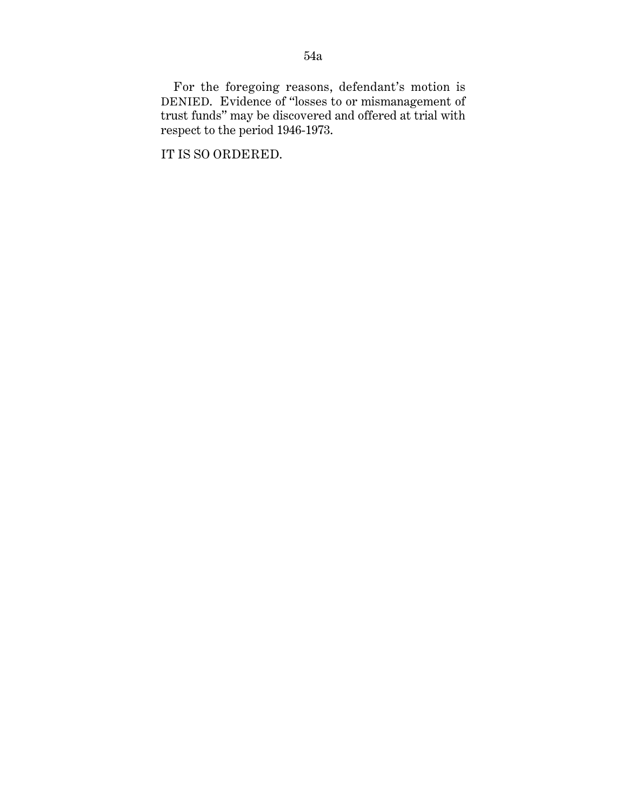For the foregoing reasons, defendant's motion is DENIED. Evidence of "losses to or mismanagement of trust funds" may be discovered and offered at trial with respect to the period 1946-1973.

IT IS SO ORDERED.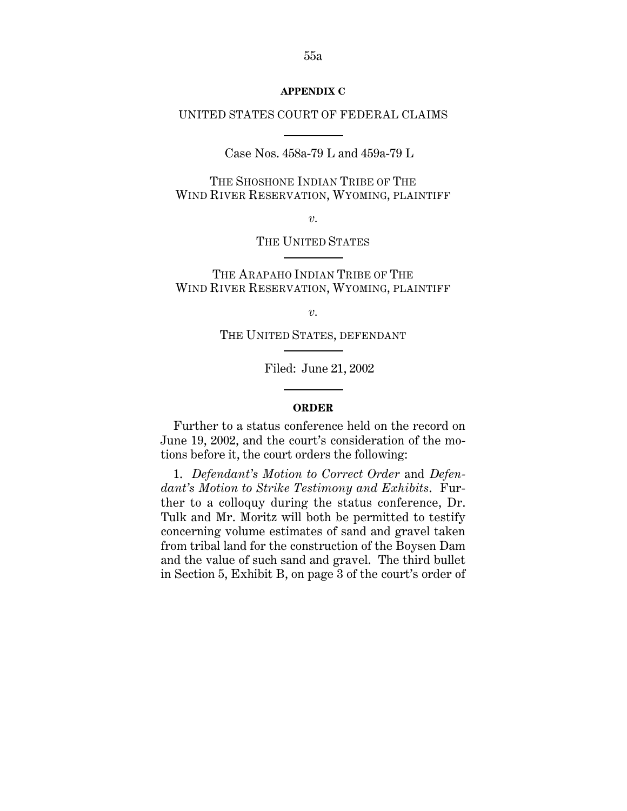#### **APPENDIX C**

## UNITED STATES COURT OF FEDERAL CLAIMS

Case Nos. 458a-79 L and 459a-79 L

THE SHOSHONE INDIAN TRIBE OF THE WIND RIVER RESERVATION, WYOMING, PLAINTIFF

*v.*

THE UNITED STATES

THE ARAPAHO INDIAN TRIBE OF THE WIND RIVER RESERVATION, WYOMING, PLAINTIFF

*v.*

THE UNITED STATES, DEFENDANT

Filed: June 21, 2002

#### **ORDER**

Further to a status conference held on the record on June 19, 2002, and the court's consideration of the motions before it, the court orders the following:

1. *Defendant's Motion to Correct Order* and *Defendant's Motion to Strike Testimony and Exhibits*. Further to a colloquy during the status conference, Dr. Tulk and Mr. Moritz will both be permitted to testify concerning volume estimates of sand and gravel taken from tribal land for the construction of the Boysen Dam and the value of such sand and gravel. The third bullet in Section 5, Exhibit B, on page 3 of the court's order of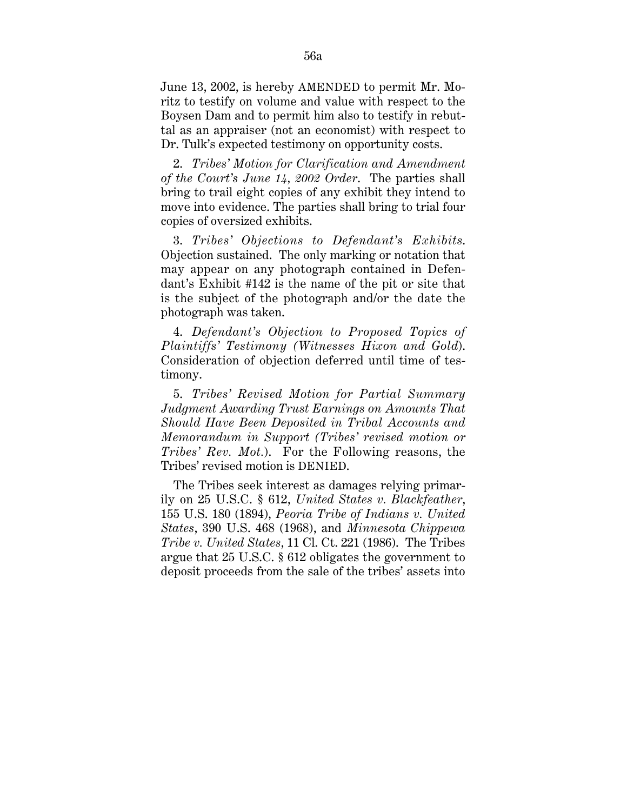June 13, 2002, is hereby AMENDED to permit Mr. Moritz to testify on volume and value with respect to the Boysen Dam and to permit him also to testify in rebuttal as an appraiser (not an economist) with respect to Dr. Tulk's expected testimony on opportunity costs.

2. *Tribes' Motion for Clarification and Amendment of the Court's June 14, 2002 Order*. The parties shall bring to trail eight copies of any exhibit they intend to move into evidence. The parties shall bring to trial four copies of oversized exhibits.

3. *Tribes' Objections to Defendant's Exhibits*. Objection sustained. The only marking or notation that may appear on any photograph contained in Defendant's Exhibit #142 is the name of the pit or site that is the subject of the photograph and/or the date the photograph was taken.

4. *Defendant's Objection to Proposed Topics of Plaintiffs' Testimony (Witnesses Hixon and Gold*). Consideration of objection deferred until time of testimony.

5. *Tribes' Revised Motion for Partial Summary Judgment Awarding Trust Earnings on Amounts That Should Have Been Deposited in Tribal Accounts and Memorandum in Support (Tribes' revised motion or Tribes' Rev. Mot.*). For the Following reasons, the Tribes' revised motion is DENIED.

The Tribes seek interest as damages relying primarily on 25 U.S.C. § 612, *United States v. Blackfeather*, 155 U.S. 180 (1894), *Peoria Tribe of Indians v. United States*, 390 U.S. 468 (1968), and *Minnesota Chippewa Tribe v. United States*, 11 Cl. Ct. 221 (1986). The Tribes argue that 25 U.S.C. § 612 obligates the government to deposit proceeds from the sale of the tribes' assets into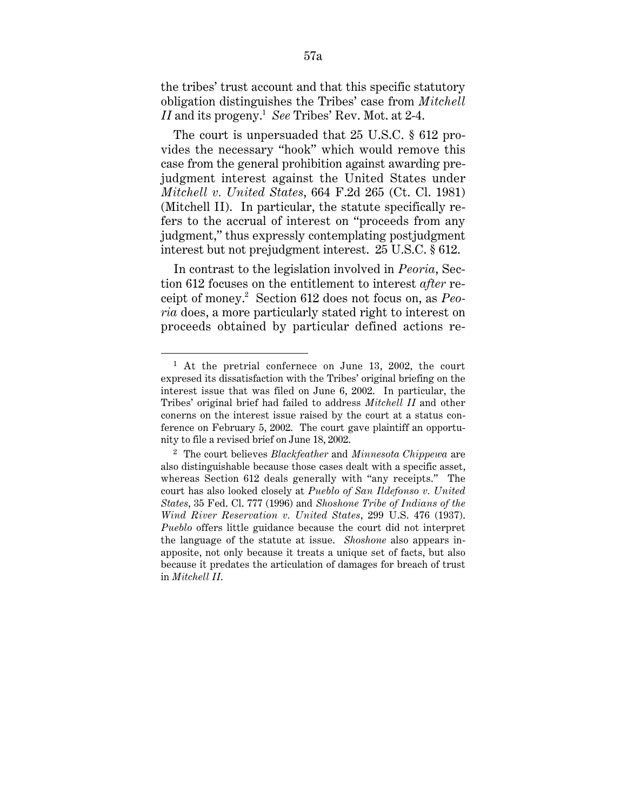the tribes' trust account and that this specific statutory obligation distinguishes the Tribes' case from *Mitchell II* and its progeny.1 *See* Tribes' Rev. Mot. at 2-4.

The court is unpersuaded that 25 U.S.C. § 612 provides the necessary "hook" which would remove this case from the general prohibition against awarding prejudgment interest against the United States under *Mitchell v. United States*, 664 F.2d 265 (Ct. Cl. 1981) (Mitchell II). In particular, the statute specifically refers to the accrual of interest on "proceeds from any judgment," thus expressly contemplating postjudgment interest but not prejudgment interest. 25 U.S.C. § 612.

In contrast to the legislation involved in *Peoria*, Section 612 focuses on the entitlement to interest *after* receipt of money.2 Section 612 does not focus on, as *Peoria* does, a more particularly stated right to interest on proceeds obtained by particular defined actions re-

1

<sup>&</sup>lt;sup>1</sup> At the pretrial confernece on June 13, 2002, the court expresed its dissatisfaction with the Tribes' original briefing on the interest issue that was filed on June 6, 2002. In particular, the Tribes' original brief had failed to address *Mitchell II* and other conerns on the interest issue raised by the court at a status conference on February 5, 2002. The court gave plaintiff an opportunity to file a revised brief on June 18, 2002.

<sup>2</sup> The court believes *Blackfeather* and *Minnesota Chippewa* are also distinguishable because those cases dealt with a specific asset, whereas Section 612 deals generally with "any receipts." The court has also looked closely at *Pueblo of San Ildefonso v. United States*, 35 Fed. Cl. 777 (1996) and *Shoshone Tribe of Indians of the Wind River Reservation v. United States*, 299 U.S. 476 (1937). *Pueblo* offers little guidance because the court did not interpret the language of the statute at issue. *Shoshone* also appears inapposite, not only because it treats a unique set of facts, but also because it predates the articulation of damages for breach of trust in *Mitchell II*.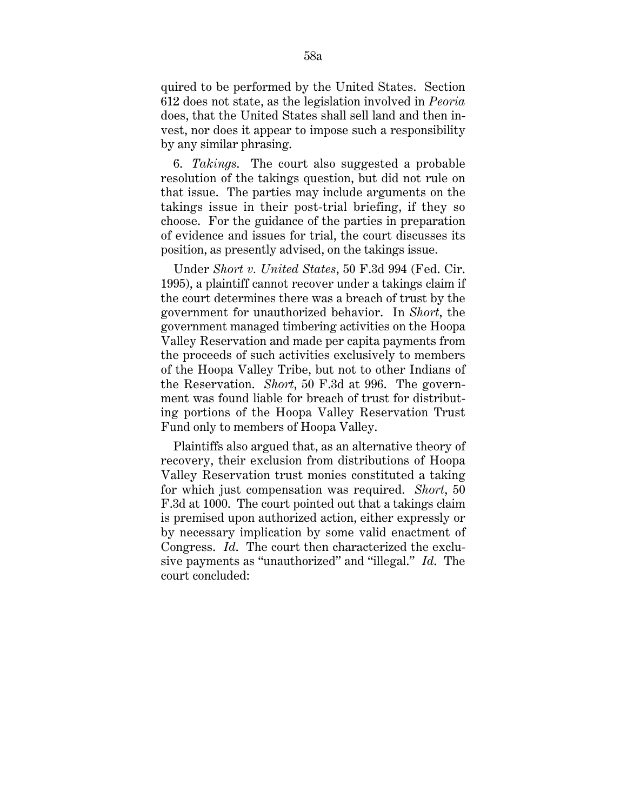quired to be performed by the United States. Section 612 does not state, as the legislation involved in *Peoria* does, that the United States shall sell land and then invest, nor does it appear to impose such a responsibility by any similar phrasing.

6. *Takings*. The court also suggested a probable resolution of the takings question, but did not rule on that issue. The parties may include arguments on the takings issue in their post-trial briefing, if they so choose. For the guidance of the parties in preparation of evidence and issues for trial, the court discusses its position, as presently advised, on the takings issue.

Under *Short v. United States*, 50 F.3d 994 (Fed. Cir. 1995), a plaintiff cannot recover under a takings claim if the court determines there was a breach of trust by the government for unauthorized behavior. In *Short*, the government managed timbering activities on the Hoopa Valley Reservation and made per capita payments from the proceeds of such activities exclusively to members of the Hoopa Valley Tribe, but not to other Indians of the Reservation. *Short*, 50 F.3d at 996. The government was found liable for breach of trust for distributing portions of the Hoopa Valley Reservation Trust Fund only to members of Hoopa Valley.

Plaintiffs also argued that, as an alternative theory of recovery, their exclusion from distributions of Hoopa Valley Reservation trust monies constituted a taking for which just compensation was required. *Short*, 50 F.3d at 1000. The court pointed out that a takings claim is premised upon authorized action, either expressly or by necessary implication by some valid enactment of Congress. *Id*. The court then characterized the exclusive payments as "unauthorized" and "illegal." *Id*. The court concluded: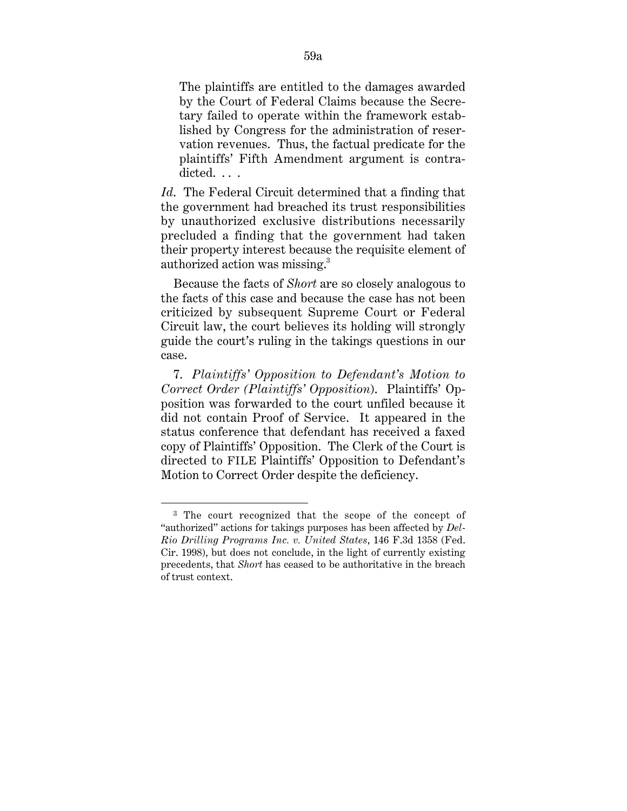The plaintiffs are entitled to the damages awarded by the Court of Federal Claims because the Secretary failed to operate within the framework established by Congress for the administration of reservation revenues. Thus, the factual predicate for the plaintiffs' Fifth Amendment argument is contradicted...

*Id*. The Federal Circuit determined that a finding that the government had breached its trust responsibilities by unauthorized exclusive distributions necessarily precluded a finding that the government had taken their property interest because the requisite element of authorized action was missing.3

Because the facts of *Short* are so closely analogous to the facts of this case and because the case has not been criticized by subsequent Supreme Court or Federal Circuit law, the court believes its holding will strongly guide the court's ruling in the takings questions in our case.

7. *Plaintiffs' Opposition to Defendant's Motion to Correct Order (Plaintiffs' Opposition*). Plaintiffs' Opposition was forwarded to the court unfiled because it did not contain Proof of Service. It appeared in the status conference that defendant has received a faxed copy of Plaintiffs' Opposition. The Clerk of the Court is directed to FILE Plaintiffs' Opposition to Defendant's Motion to Correct Order despite the deficiency.

 $\overline{a}$ 

<sup>3</sup> The court recognized that the scope of the concept of "authorized" actions for takings purposes has been affected by *Del-Rio Drilling Programs Inc. v. United States*, 146 F.3d 1358 (Fed. Cir. 1998), but does not conclude, in the light of currently existing precedents, that *Short* has ceased to be authoritative in the breach of trust context.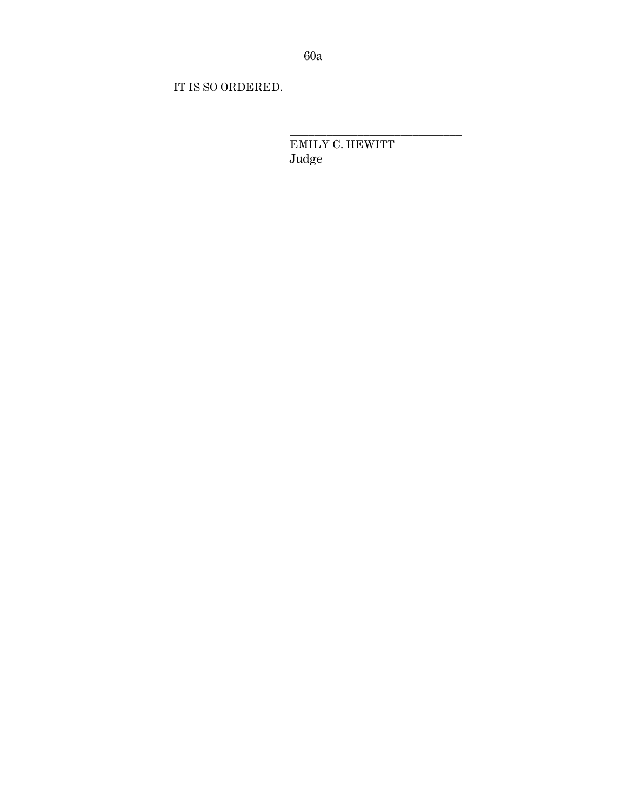IT IS SO ORDERED.

EMILY C. HEWITT Judge

\_\_\_\_\_\_\_\_\_\_\_\_\_\_\_\_\_\_\_\_\_\_\_\_\_\_\_\_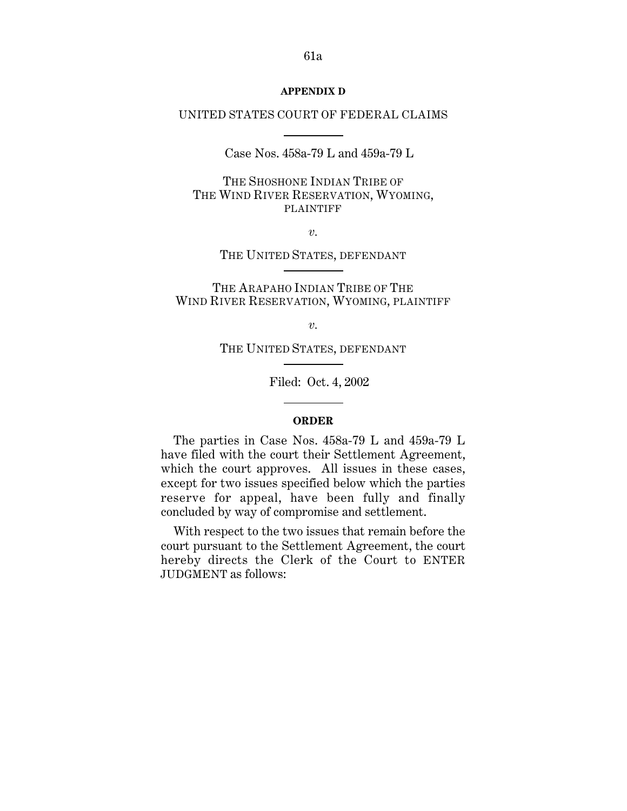### **APPENDIX D**

## UNITED STATES COURT OF FEDERAL CLAIMS

Case Nos. 458a-79 L and 459a-79 L

THE SHOSHONE INDIAN TRIBE OF THE WIND RIVER RESERVATION, WYOMING, PLAINTIFF

*v.*

THE UNITED STATES, DEFENDANT

THE ARAPAHO INDIAN TRIBE OF THE WIND RIVER RESERVATION, WYOMING, PLAINTIFF

*v.*

THE UNITED STATES, DEFENDANT

Filed: Oct. 4, 2002

### **ORDER**

The parties in Case Nos. 458a-79 L and 459a-79 L have filed with the court their Settlement Agreement, which the court approves. All issues in these cases, except for two issues specified below which the parties reserve for appeal, have been fully and finally concluded by way of compromise and settlement.

With respect to the two issues that remain before the court pursuant to the Settlement Agreement, the court hereby directs the Clerk of the Court to ENTER JUDGMENT as follows: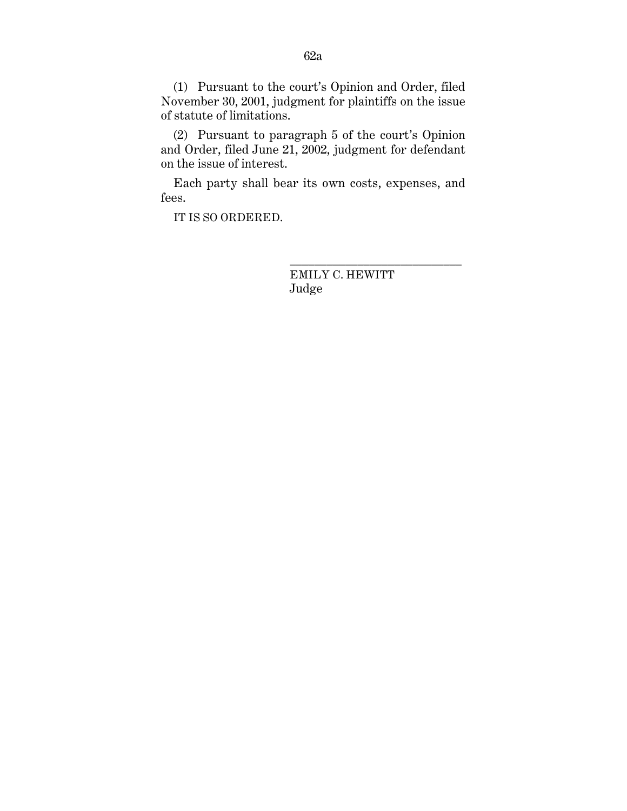(1) Pursuant to the court's Opinion and Order, filed November 30, 2001, judgment for plaintiffs on the issue of statute of limitations.

(2) Pursuant to paragraph 5 of the court's Opinion and Order, filed June 21, 2002, judgment for defendant on the issue of interest.

Each party shall bear its own costs, expenses, and fees.

IT IS SO ORDERED.

EMILY C. HEWITT Judge

\_\_\_\_\_\_\_\_\_\_\_\_\_\_\_\_\_\_\_\_\_\_\_\_\_\_\_\_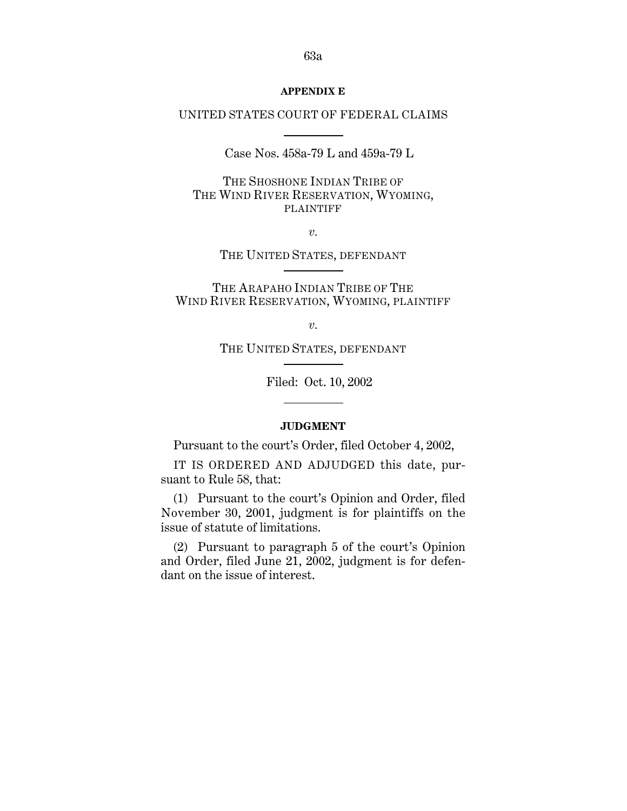#### **APPENDIX E**

## UNITED STATES COURT OF FEDERAL CLAIMS

Case Nos. 458a-79 L and 459a-79 L

THE SHOSHONE INDIAN TRIBE OF THE WIND RIVER RESERVATION, WYOMING, PLAINTIFF

*v.*

THE UNITED STATES, DEFENDANT

THE ARAPAHO INDIAN TRIBE OF THE WIND RIVER RESERVATION, WYOMING, PLAINTIFF

*v.*

THE UNITED STATES, DEFENDANT

Filed: Oct. 10, 2002

### **JUDGMENT**

Pursuant to the court's Order, filed October 4, 2002,

IT IS ORDERED AND ADJUDGED this date, pursuant to Rule 58, that:

(1) Pursuant to the court's Opinion and Order, filed November 30, 2001, judgment is for plaintiffs on the issue of statute of limitations.

(2) Pursuant to paragraph 5 of the court's Opinion and Order, filed June 21, 2002, judgment is for defendant on the issue of interest.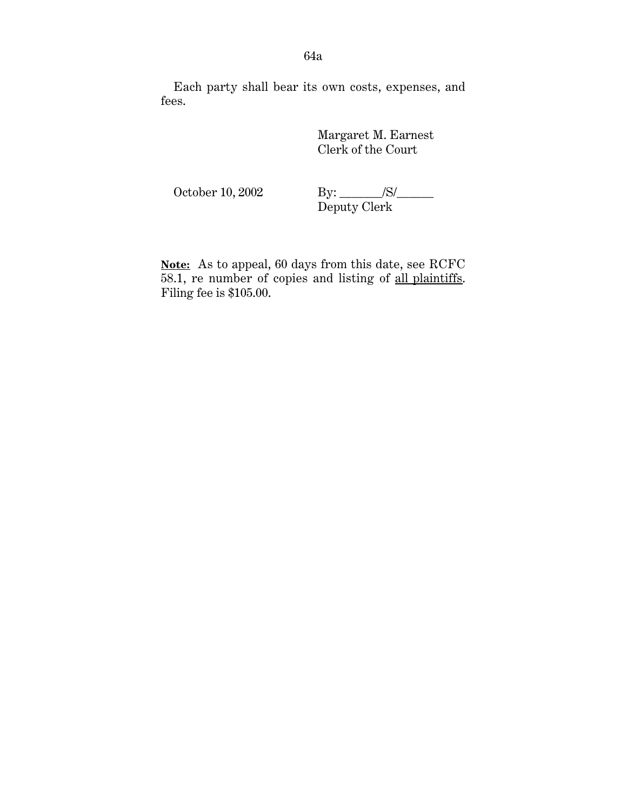Each party shall bear its own costs, expenses, and fees.

> Margaret M. Earnest Clerk of the Court

October 10, 2002 By: \_\_\_\_\_\_\_/S/\_\_\_\_\_\_\_\_ Deputy Clerk

Note: As to appeal, 60 days from this date, see RCFC 58.1, re number of copies and listing of all plaintiffs . Filing fee is \$105.00.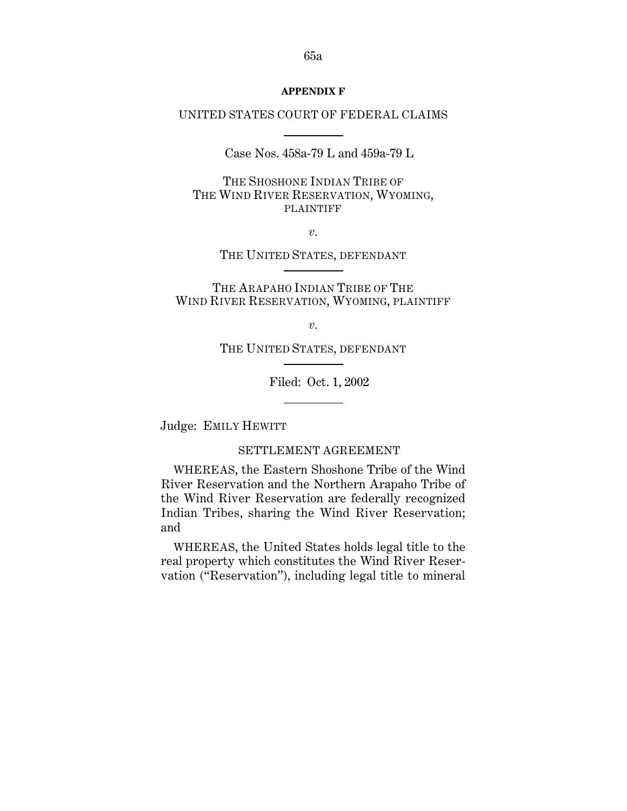#### **APPENDIX F**

# UNITED STATES COURT OF FEDERAL CLAIMS

Case Nos. 458a-79 L and 459a-79 L

THE SHOSHONE INDIAN TRIBE OF THE WIND RIVER RESERVATION, WYOMING, PLAINTIFF

*v.*

THE UNITED STATES, DEFENDANT

THE ARAPAHO INDIAN TRIBE OF THE WIND RIVER RESERVATION, WYOMING, PLAINTIFF

*v.*

THE UNITED STATES, DEFENDANT

Filed: Oct. 1, 2002

Judge: EMILY HEWITT

SETTLEMENT AGREEMENT

WHEREAS, the Eastern Shoshone Tribe of the Wind River Reservation and the Northern Arapaho Tribe of the Wind River Reservation are federally recognized Indian Tribes, sharing the Wind River Reservation; and

WHEREAS, the United States holds legal title to the real property which constitutes the Wind River Reservation ("Reservation"), including legal title to mineral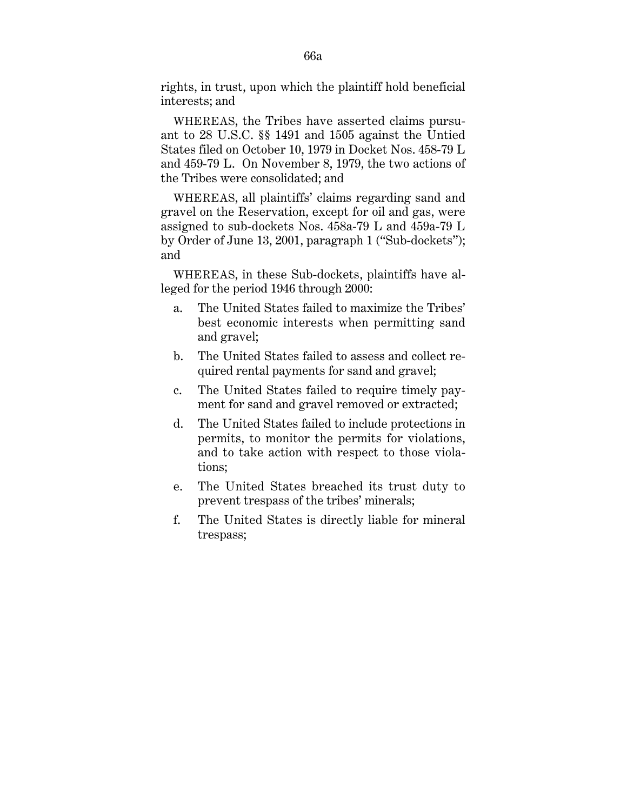rights, in trust, upon which the plaintiff hold beneficial interests; and

WHEREAS, the Tribes have asserted claims pursuant to 28 U.S.C. §§ 1491 and 1505 against the Untied States filed on October 10, 1979 in Docket Nos. 458-79 L and 459-79 L. On November 8, 1979, the two actions of the Tribes were consolidated; and

WHEREAS, all plaintiffs' claims regarding sand and gravel on the Reservation, except for oil and gas, were assigned to sub-dockets Nos. 458a-79 L and 459a-79 L by Order of June 13, 2001, paragraph 1 ("Sub-dockets"); and

WHEREAS, in these Sub-dockets, plaintiffs have alleged for the period 1946 through 2000:

- a. The United States failed to maximize the Tribes' best economic interests when permitting sand and gravel;
- b. The United States failed to assess and collect required rental payments for sand and gravel;
- c. The United States failed to require timely payment for sand and gravel removed or extracted;
- d. The United States failed to include protections in permits, to monitor the permits for violations, and to take action with respect to those violations;
- e. The United States breached its trust duty to prevent trespass of the tribes' minerals;
- f. The United States is directly liable for mineral trespass;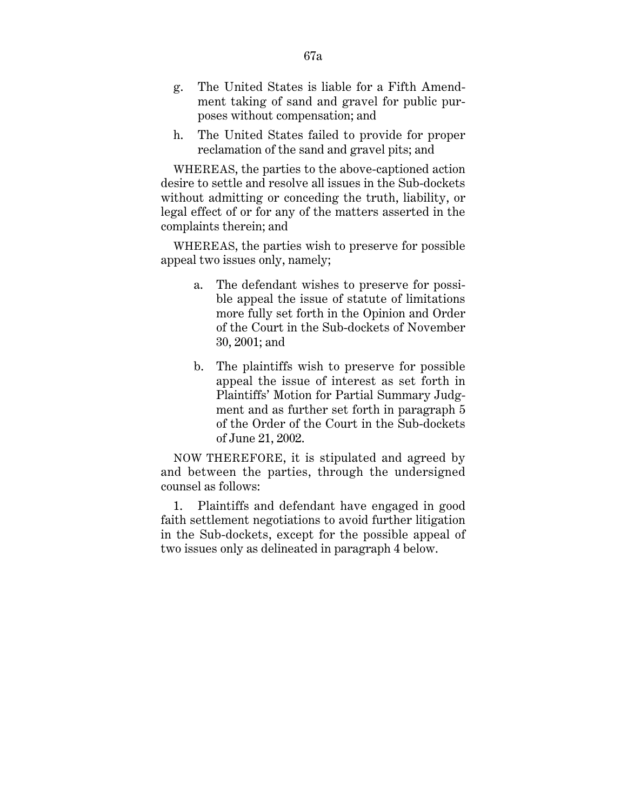- g. The United States is liable for a Fifth Amendment taking of sand and gravel for public purposes without compensation; and
- h. The United States failed to provide for proper reclamation of the sand and gravel pits; and

WHEREAS, the parties to the above-captioned action desire to settle and resolve all issues in the Sub-dockets without admitting or conceding the truth, liability, or legal effect of or for any of the matters asserted in the complaints therein; and

WHEREAS, the parties wish to preserve for possible appeal two issues only, namely;

- a. The defendant wishes to preserve for possible appeal the issue of statute of limitations more fully set forth in the Opinion and Order of the Court in the Sub-dockets of November 30, 2001; and
- b. The plaintiffs wish to preserve for possible appeal the issue of interest as set forth in Plaintiffs' Motion for Partial Summary Judgment and as further set forth in paragraph 5 of the Order of the Court in the Sub-dockets of June 21, 2002.

NOW THEREFORE, it is stipulated and agreed by and between the parties, through the undersigned counsel as follows:

1. Plaintiffs and defendant have engaged in good faith settlement negotiations to avoid further litigation in the Sub-dockets, except for the possible appeal of two issues only as delineated in paragraph 4 below.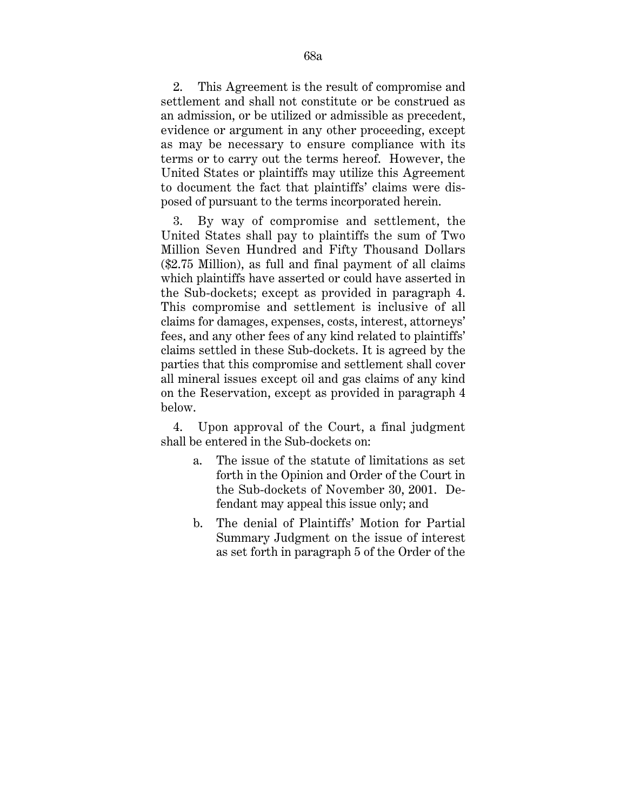2. This Agreement is the result of compromise and settlement and shall not constitute or be construed as an admission, or be utilized or admissible as precedent, evidence or argument in any other proceeding, except as may be necessary to ensure compliance with its terms or to carry out the terms hereof. However, the United States or plaintiffs may utilize this Agreement to document the fact that plaintiffs' claims were disposed of pursuant to the terms incorporated herein.

3. By way of compromise and settlement, the United States shall pay to plaintiffs the sum of Two Million Seven Hundred and Fifty Thousand Dollars (\$2.75 Million), as full and final payment of all claims which plaintiffs have asserted or could have asserted in the Sub-dockets; except as provided in paragraph 4. This compromise and settlement is inclusive of all claims for damages, expenses, costs, interest, attorneys' fees, and any other fees of any kind related to plaintiffs' claims settled in these Sub-dockets. It is agreed by the parties that this compromise and settlement shall cover all mineral issues except oil and gas claims of any kind on the Reservation, except as provided in paragraph 4 below.

4. Upon approval of the Court, a final judgment shall be entered in the Sub-dockets on:

- a. The issue of the statute of limitations as set forth in the Opinion and Order of the Court in the Sub-dockets of November 30, 2001. Defendant may appeal this issue only; and
- b. The denial of Plaintiffs' Motion for Partial Summary Judgment on the issue of interest as set forth in paragraph 5 of the Order of the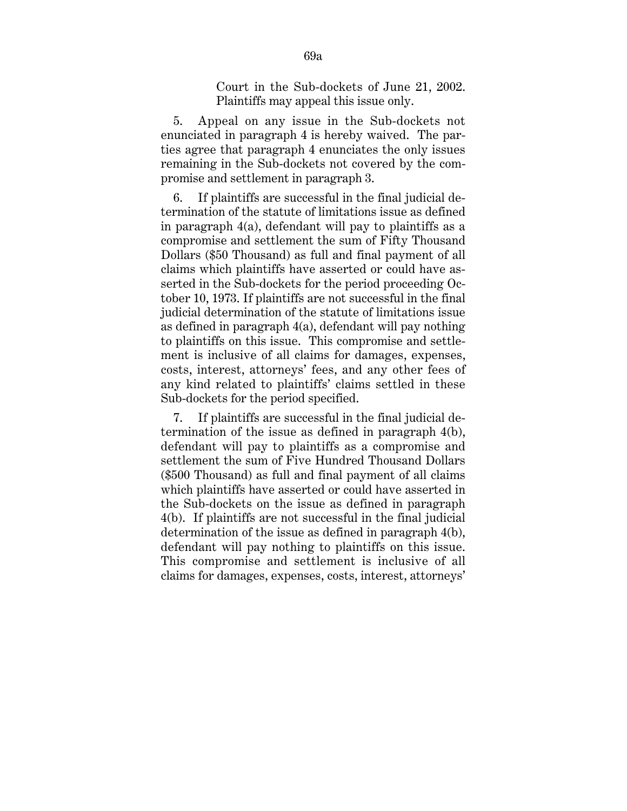Court in the Sub-dockets of June 21, 2002. Plaintiffs may appeal this issue only.

5. Appeal on any issue in the Sub-dockets not enunciated in paragraph 4 is hereby waived. The parties agree that paragraph 4 enunciates the only issues remaining in the Sub-dockets not covered by the compromise and settlement in paragraph 3.

6. If plaintiffs are successful in the final judicial determination of the statute of limitations issue as defined in paragraph 4(a), defendant will pay to plaintiffs as a compromise and settlement the sum of Fifty Thousand Dollars (\$50 Thousand) as full and final payment of all claims which plaintiffs have asserted or could have asserted in the Sub-dockets for the period proceeding October 10, 1973. If plaintiffs are not successful in the final judicial determination of the statute of limitations issue as defined in paragraph 4(a), defendant will pay nothing to plaintiffs on this issue. This compromise and settlement is inclusive of all claims for damages, expenses, costs, interest, attorneys' fees, and any other fees of any kind related to plaintiffs' claims settled in these Sub-dockets for the period specified.

7. If plaintiffs are successful in the final judicial determination of the issue as defined in paragraph 4(b), defendant will pay to plaintiffs as a compromise and settlement the sum of Five Hundred Thousand Dollars (\$500 Thousand) as full and final payment of all claims which plaintiffs have asserted or could have asserted in the Sub-dockets on the issue as defined in paragraph 4(b). If plaintiffs are not successful in the final judicial determination of the issue as defined in paragraph 4(b), defendant will pay nothing to plaintiffs on this issue. This compromise and settlement is inclusive of all claims for damages, expenses, costs, interest, attorneys'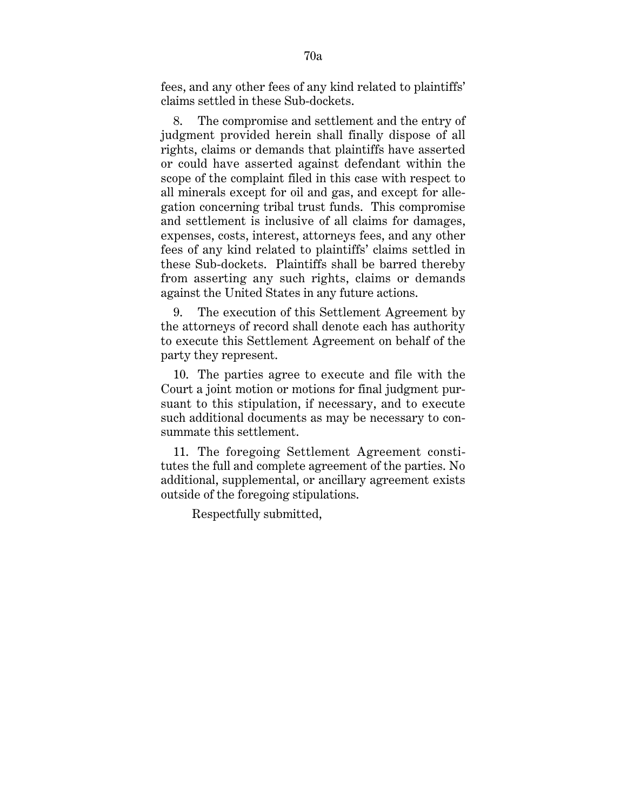fees, and any other fees of any kind related to plaintiffs' claims settled in these Sub-dockets.

8. The compromise and settlement and the entry of judgment provided herein shall finally dispose of all rights, claims or demands that plaintiffs have asserted or could have asserted against defendant within the scope of the complaint filed in this case with respect to all minerals except for oil and gas, and except for allegation concerning tribal trust funds. This compromise and settlement is inclusive of all claims for damages, expenses, costs, interest, attorneys fees, and any other fees of any kind related to plaintiffs' claims settled in these Sub-dockets. Plaintiffs shall be barred thereby from asserting any such rights, claims or demands against the United States in any future actions.

9. The execution of this Settlement Agreement by the attorneys of record shall denote each has authority to execute this Settlement Agreement on behalf of the party they represent.

10. The parties agree to execute and file with the Court a joint motion or motions for final judgment pursuant to this stipulation, if necessary, and to execute such additional documents as may be necessary to consummate this settlement.

11. The foregoing Settlement Agreement constitutes the full and complete agreement of the parties. No additional, supplemental, or ancillary agreement exists outside of the foregoing stipulations.

Respectfully submitted,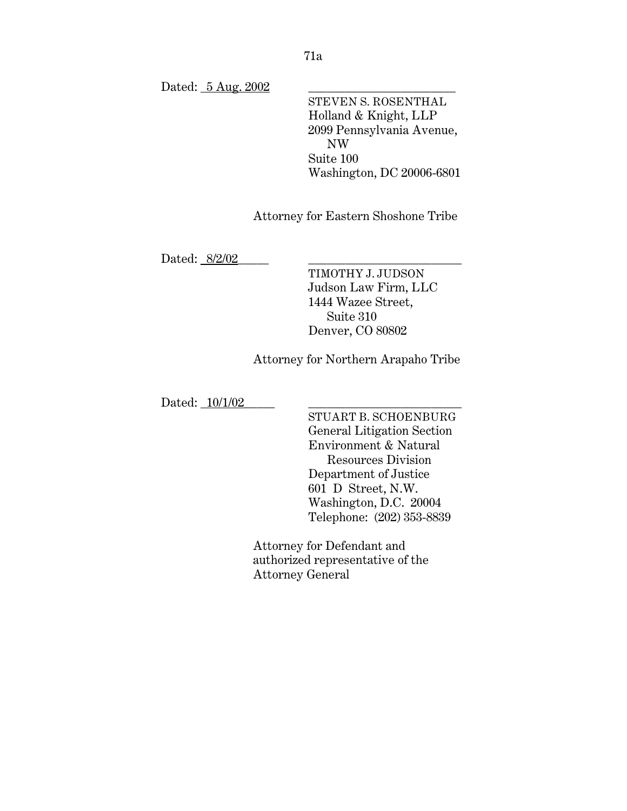Dated: 5 Aug. 2002

STEVEN S. ROSENTHAL Holland & Knight, LLP 2099 Pennsylvania Avenue, NW Suite 100 Washington, DC 20006-6801

Attorney for Eastern Shoshone Tribe

Dated: 8/2/02

TIMOTHY J. JUDSON Judson Law Firm, LLC 1444 Wazee Street, Suite 310 Denver, CO 80802

Attorney for Northern Arapaho Tribe

Dated: <u>10/1/02</u>

STUART B. SCHOENBURG General Litigation Section Environment & Natural Resources Division Department of Justice 601 D Street, N.W. Washington, D.C. 20004 Telephone: (202) 353-8839

Attorney for Defendant and authorized representative of the Attorney General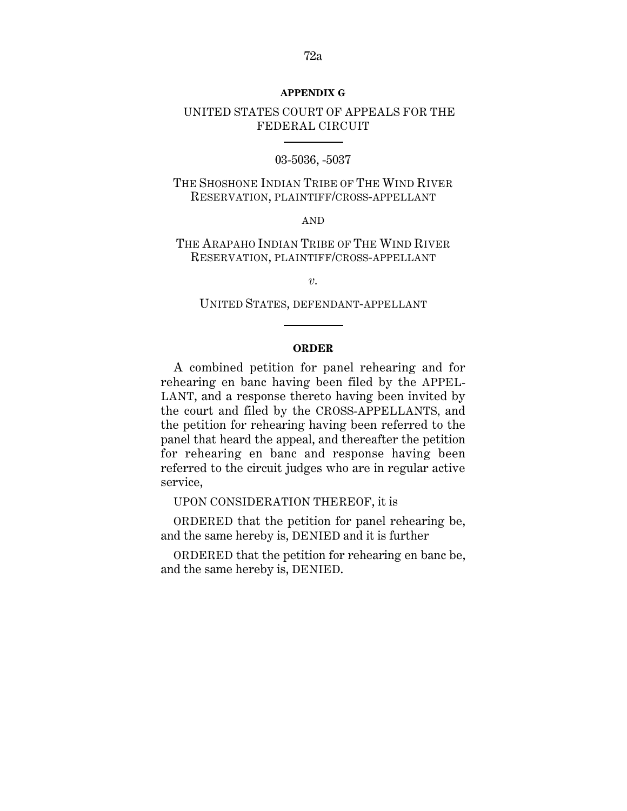#### **APPENDIX G**

# UNITED STATES COURT OF APPEALS FOR THE FEDERAL CIRCUIT

### 03-5036, -5037

THE SHOSHONE INDIAN TRIBE OF THE WIND RIVER RESERVATION, PLAINTIFF/CROSS-APPELLANT

AND

THE ARAPAHO INDIAN TRIBE OF THE WIND RIVER RESERVATION, PLAINTIFF/CROSS-APPELLANT

*v.*

UNITED STATES, DEFENDANT-APPELLANT

#### **ORDER**

A combined petition for panel rehearing and for rehearing en banc having been filed by the APPEL-LANT, and a response thereto having been invited by the court and filed by the CROSS-APPELLANTS, and the petition for rehearing having been referred to the panel that heard the appeal, and thereafter the petition for rehearing en banc and response having been referred to the circuit judges who are in regular active service,

UPON CONSIDERATION THEREOF, it is

ORDERED that the petition for panel rehearing be, and the same hereby is, DENIED and it is further

ORDERED that the petition for rehearing en banc be, and the same hereby is, DENIED.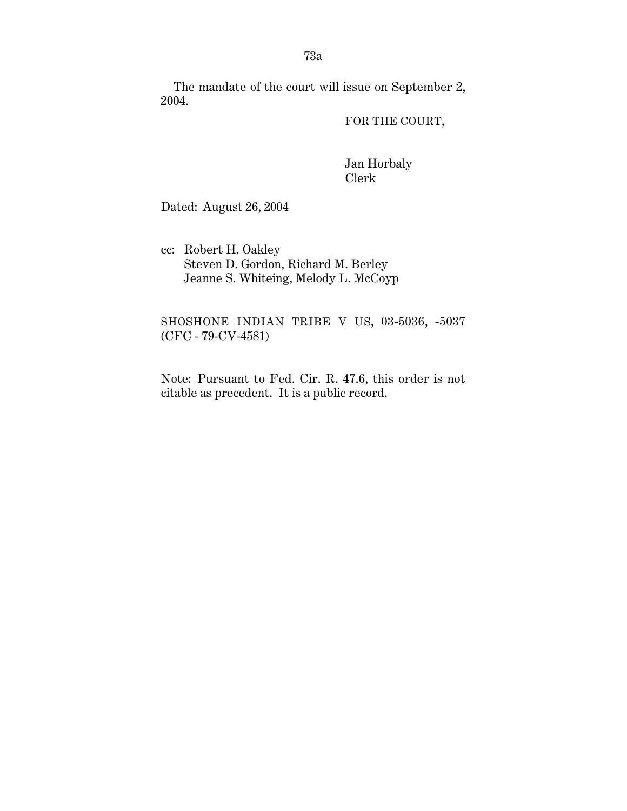The mandate of the court will issue on September 2, 2004.

FOR THE COURT,

Jan Horbaly Clerk

Dated: August 26, 2004

cc: Robert H. Oakley Steven D. Gordon, Richard M. Berley Jeanne S. Whiteing, Melody L. McCoyp

SHOSHONE INDIAN TRIBE V US, 03-5036, -5037 (CFC - 79-CV-4581)

Note: Pursuant to Fed. Cir. R. 47.6, this order is not citable as precedent. It is a public record.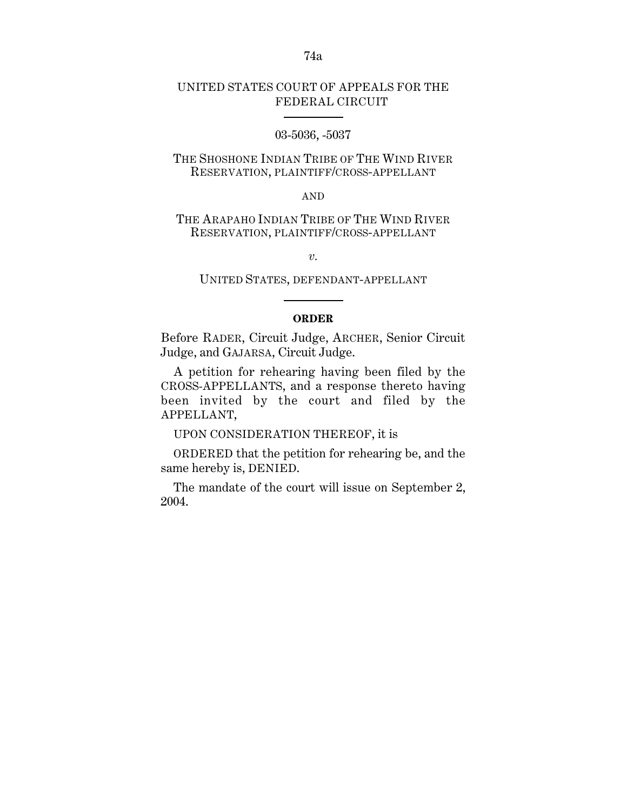# UNITED STATES COURT OF APPEALS FOR THE FEDERAL CIRCUIT

### 03-5036, -5037

# THE SHOSHONE INDIAN TRIBE OF THE WIND RIVER RESERVATION, PLAINTIFF/CROSS-APPELLANT

#### AND

## THE ARAPAHO INDIAN TRIBE OF THE WIND RIVER RESERVATION, PLAINTIFF/CROSS-APPELLANT

*v.*

### UNITED STATES, DEFENDANT-APPELLANT

### **ORDER**

Before RADER, Circuit Judge, ARCHER, Senior Circuit Judge, and GAJARSA, Circuit Judge.

A petition for rehearing having been filed by the CROSS-APPELLANTS, and a response thereto having been invited by the court and filed by the APPELLANT,

UPON CONSIDERATION THEREOF, it is

ORDERED that the petition for rehearing be, and the same hereby is, DENIED.

The mandate of the court will issue on September 2, 2004.